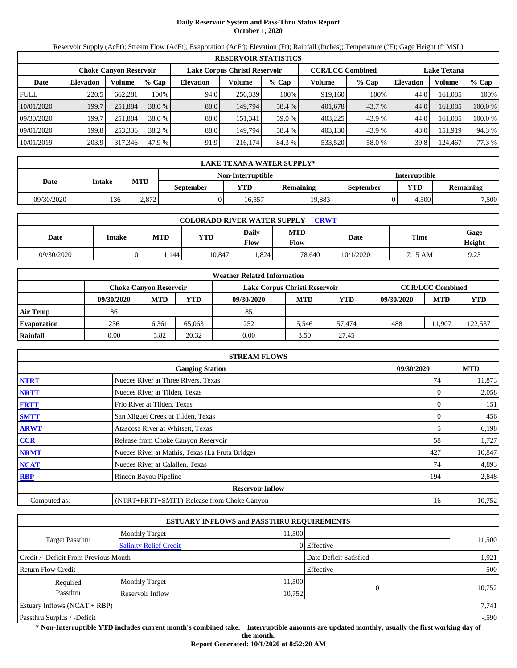# **Daily Reservoir System and Pass-Thru Status Report October 1, 2020**

Reservoir Supply (AcFt); Stream Flow (AcFt); Evaporation (AcFt); Elevation (Ft); Rainfall (Inches); Temperature (°F); Gage Height (ft MSL)

| <b>RESERVOIR STATISTICS</b> |                  |                               |         |                               |         |         |                         |         |                    |         |         |
|-----------------------------|------------------|-------------------------------|---------|-------------------------------|---------|---------|-------------------------|---------|--------------------|---------|---------|
|                             |                  | <b>Choke Canvon Reservoir</b> |         | Lake Corpus Christi Reservoir |         |         | <b>CCR/LCC Combined</b> |         | <b>Lake Texana</b> |         |         |
| Date                        | <b>Elevation</b> | Volume                        | $%$ Cap | <b>Elevation</b>              | Volume  | $%$ Cap | Volume                  | $%$ Cap | <b>Elevation</b>   | Volume  | $%$ Cap |
| <b>FULL</b>                 | 220.5            | 662,281                       | 100%    | 94.0                          | 256.339 | 100%    | 919.160                 | 100%    | 44.0               | 161.085 | 100%    |
| 10/01/2020                  | 199.7            | 251,884                       | 38.0 %  | 88.0                          | 149.794 | 58.4 %  | 401,678                 | 43.7 %  | 44.0               | 161.085 | 100.0 % |
| 09/30/2020                  | 199.7            | 251.884                       | 38.0 %  | 88.0                          | 151.341 | 59.0 %  | 403.225                 | 43.9 %  | 44.0               | 161.085 | 100.0 % |
| 09/01/2020                  | 199.8            | 253,336                       | 38.2 %  | 88.0                          | 149.794 | 58.4 %  | 403,130                 | 43.9 %  | 43.0               | 151,919 | 94.3 %  |
| 10/01/2019                  | 203.9            | 317,346                       | 47.9 %  | 91.9                          | 216.174 | 84.3 %  | 533,520                 | 58.0 %  | 39.8               | 124,467 | 77.3 %  |

| LAKE TEXANA WATER SUPPLY* |                   |            |                  |            |                                             |  |       |                      |  |  |  |
|---------------------------|-------------------|------------|------------------|------------|---------------------------------------------|--|-------|----------------------|--|--|--|
|                           | Non-Interruptible |            |                  |            |                                             |  |       | <b>Interruptible</b> |  |  |  |
| Date                      | Intake            | <b>MTD</b> | <b>September</b> | <b>YTD</b> | <b>YTD</b><br><b>Remaining</b><br>September |  |       |                      |  |  |  |
| 09/30/2020                | 136               | 2.872      |                  | 16.557     | 19.883                                      |  | 4.500 | 7,500                |  |  |  |

| <b>COLORADO RIVER WATER SUPPLY</b><br>CRWT |        |            |            |               |                    |           |         |                |  |  |
|--------------------------------------------|--------|------------|------------|---------------|--------------------|-----------|---------|----------------|--|--|
| Date                                       | Intake | <b>MTD</b> | <b>YTD</b> | Daily<br>Flow | <b>MTD</b><br>Flow | Date      | Time    | Gage<br>Height |  |  |
| 09/30/2020                                 |        | .144       | 10.847     | .824          | 78.640             | 10/1/2020 | 7:15 AM | 9.23           |  |  |

| <b>Weather Related Information</b> |                               |            |        |                               |                         |            |            |            |            |  |  |
|------------------------------------|-------------------------------|------------|--------|-------------------------------|-------------------------|------------|------------|------------|------------|--|--|
|                                    | <b>Choke Canyon Reservoir</b> |            |        | Lake Corpus Christi Reservoir | <b>CCR/LCC Combined</b> |            |            |            |            |  |  |
|                                    | 09/30/2020                    | <b>MTD</b> | YTD    | 09/30/2020                    | <b>MTD</b>              | <b>YTD</b> | 09/30/2020 | <b>MTD</b> | <b>YTD</b> |  |  |
| <b>Air Temp</b>                    | 86                            |            |        | 85                            |                         |            |            |            |            |  |  |
| <b>Evaporation</b>                 | 236                           | 6.361      | 65,063 | 252                           | 5.546                   | 57.474     | 488        | 1.907      | 122,537    |  |  |
| Rainfall                           | 0.00                          | 5.82       | 20.32  | 0.00                          | 3.50                    | 27.45      |            |            |            |  |  |

| <b>STREAM FLOWS</b>                                |                                                 |     |        |  |  |  |  |  |  |
|----------------------------------------------------|-------------------------------------------------|-----|--------|--|--|--|--|--|--|
| <b>MTD</b><br>09/30/2020<br><b>Gauging Station</b> |                                                 |     |        |  |  |  |  |  |  |
| <b>NTRT</b>                                        | Nueces River at Three Rivers, Texas             | 74  | 11,873 |  |  |  |  |  |  |
| <b>NRTT</b>                                        | Nueces River at Tilden, Texas                   |     | 2,058  |  |  |  |  |  |  |
| <b>FRTT</b>                                        | Frio River at Tilden, Texas                     |     | 151    |  |  |  |  |  |  |
| <b>SMTT</b>                                        | San Miguel Creek at Tilden, Texas               |     | 456    |  |  |  |  |  |  |
| <b>ARWT</b>                                        | Atascosa River at Whitsett, Texas               |     | 6,198  |  |  |  |  |  |  |
| CCR                                                | Release from Choke Canyon Reservoir             | 58  | 1,727  |  |  |  |  |  |  |
| <b>NRMT</b>                                        | Nueces River at Mathis, Texas (La Fruta Bridge) | 427 | 10,847 |  |  |  |  |  |  |
| <b>NCAT</b>                                        | Nueces River at Calallen, Texas                 | 74  | 4,893  |  |  |  |  |  |  |
| <b>RBP</b>                                         | Rincon Bayou Pipeline                           | 194 | 2,848  |  |  |  |  |  |  |
|                                                    | <b>Reservoir Inflow</b>                         |     |        |  |  |  |  |  |  |
| Computed as:                                       | (NTRT+FRTT+SMTT)-Release from Choke Canyon      | 16  | 10,752 |  |  |  |  |  |  |

| <b>ESTUARY INFLOWS and PASSTHRU REQUIREMENTS</b> |                                 |                        |             |        |  |  |  |  |
|--------------------------------------------------|---------------------------------|------------------------|-------------|--------|--|--|--|--|
|                                                  | 11.500<br><b>Monthly Target</b> |                        |             |        |  |  |  |  |
| <b>Target Passthru</b>                           | <b>Salinity Relief Credit</b>   |                        | 0 Effective | 11,500 |  |  |  |  |
| Credit / -Deficit From Previous Month            |                                 | Date Deficit Satisfied | 1,921       |        |  |  |  |  |
| <b>Return Flow Credit</b>                        | Effective                       |                        |             |        |  |  |  |  |
| Required                                         | <b>Monthly Target</b>           | 11,500                 |             |        |  |  |  |  |
| Passthru                                         | Reservoir Inflow                | 10,752                 | $\Omega$    | 10,752 |  |  |  |  |
| Estuary Inflows $(NCAT + RBP)$                   |                                 |                        |             |        |  |  |  |  |
| Passthru Surplus / -Deficit                      |                                 |                        |             |        |  |  |  |  |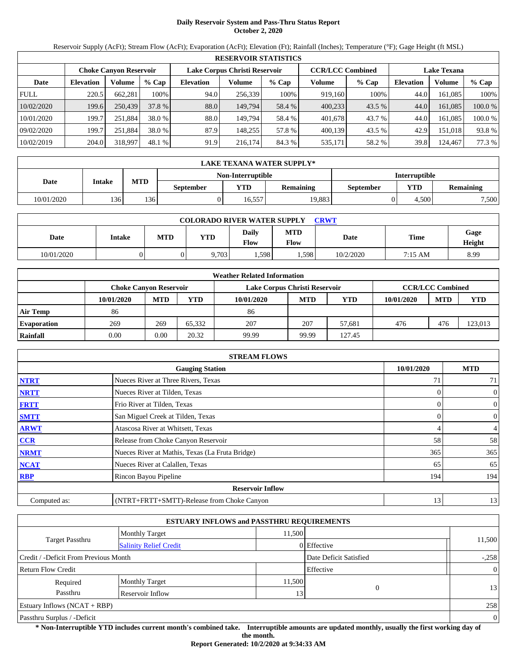# **Daily Reservoir System and Pass-Thru Status Report October 2, 2020**

Reservoir Supply (AcFt); Stream Flow (AcFt); Evaporation (AcFt); Elevation (Ft); Rainfall (Inches); Temperature (°F); Gage Height (ft MSL)

| <b>RESERVOIR STATISTICS</b> |                  |                               |         |                               |         |         |                         |         |                    |         |         |
|-----------------------------|------------------|-------------------------------|---------|-------------------------------|---------|---------|-------------------------|---------|--------------------|---------|---------|
|                             |                  | <b>Choke Canvon Reservoir</b> |         | Lake Corpus Christi Reservoir |         |         | <b>CCR/LCC Combined</b> |         | <b>Lake Texana</b> |         |         |
| Date                        | <b>Elevation</b> | Volume                        | $%$ Cap | <b>Elevation</b>              | Volume  | $%$ Cap | Volume                  | $%$ Cap | <b>Elevation</b>   | Volume  | $%$ Cap |
| <b>FULL</b>                 | 220.5            | 662.281                       | 100%    | 94.0                          | 256.339 | 100%    | 919.160                 | 100%    | 44.0               | 161.085 | 100%    |
| 10/02/2020                  | 199.6            | 250,439                       | 37.8 %  | 88.0                          | 149.794 | 58.4 %  | 400,233                 | 43.5 %  | 44.0               | 161.085 | 100.0 % |
| 10/01/2020                  | 199.7            | 251.884                       | 38.0 %  | 88.0                          | 149.794 | 58.4 %  | 401.678                 | 43.7 %  | 44.0               | 161.085 | 100.0 % |
| 09/02/2020                  | 199.7            | 251.884                       | 38.0 %  | 87.9                          | 148.255 | 57.8 %  | 400.139                 | 43.5 %  | 42.9               | 151.018 | 93.8 %  |
| 10/02/2019                  | 204.0            | 318,997                       | 48.1 %  | 91.9                          | 216.174 | 84.3 %  | 535,171                 | 58.2 %  | 39.8               | 124,467 | 77.3 %  |

| <b>LAKE TEXANA WATER SUPPLY*</b> |        |            |                                                                        |                   |        |                      |       |                  |  |  |  |
|----------------------------------|--------|------------|------------------------------------------------------------------------|-------------------|--------|----------------------|-------|------------------|--|--|--|
|                                  |        |            |                                                                        | Non-Interruptible |        | <b>Interruptible</b> |       |                  |  |  |  |
| Date                             | Intake | <b>MTD</b> | YTD<br><b>YTD</b><br><b>Remaining</b><br><b>September</b><br>September |                   |        |                      |       | <b>Remaining</b> |  |  |  |
| 10/01/2020                       | 136    | 136        |                                                                        | 16.557            | 19.883 |                      | 4.500 | 7,500            |  |  |  |

| <b>COLORADO RIVER WATER SUPPLY</b><br><b>CRWT</b> |        |            |            |                      |                    |           |             |                |  |  |
|---------------------------------------------------|--------|------------|------------|----------------------|--------------------|-----------|-------------|----------------|--|--|
| Date                                              | Intake | <b>MTD</b> | <b>YTD</b> | Daily<br><b>Flow</b> | <b>MTD</b><br>Flow | Date      | <b>Time</b> | Gage<br>Height |  |  |
| 10/01/2020                                        |        |            | 9,703      | 1,598                | .598               | 10/2/2020 | 7:15 AM     | 8.99           |  |  |

| <b>Weather Related Information</b> |                        |            |        |                               |                         |            |            |            |         |  |  |
|------------------------------------|------------------------|------------|--------|-------------------------------|-------------------------|------------|------------|------------|---------|--|--|
|                                    | Choke Canvon Reservoir |            |        | Lake Corpus Christi Reservoir | <b>CCR/LCC Combined</b> |            |            |            |         |  |  |
|                                    | 10/01/2020             | <b>MTD</b> | YTD    | 10/01/2020                    | <b>MTD</b>              | <b>YTD</b> | 10/01/2020 | <b>MTD</b> | YTD     |  |  |
| Air Temp                           | 86                     |            |        | 86                            |                         |            |            |            |         |  |  |
| <b>Evaporation</b>                 | 269                    | 269        | 65.332 | 207                           | 207                     | 57.681     | 476        | 476        | 123,013 |  |  |
| Rainfall                           | 0.00                   | 0.00       | 20.32  | 99.99                         | 99.99                   | 127.45     |            |            |         |  |  |

| <b>STREAM FLOWS</b>                                |                                                 |     |                |  |  |  |  |  |  |
|----------------------------------------------------|-------------------------------------------------|-----|----------------|--|--|--|--|--|--|
| <b>MTD</b><br><b>Gauging Station</b><br>10/01/2020 |                                                 |     |                |  |  |  |  |  |  |
| <b>NTRT</b>                                        | Nueces River at Three Rivers, Texas             | 71  | 71             |  |  |  |  |  |  |
| <b>NRTT</b>                                        | Nueces River at Tilden, Texas                   | 0   | $\overline{0}$ |  |  |  |  |  |  |
| <b>FRTT</b>                                        | Frio River at Tilden, Texas                     |     | $\mathbf{0}$   |  |  |  |  |  |  |
| <b>SMTT</b>                                        | San Miguel Creek at Tilden, Texas               | 0   | $\overline{0}$ |  |  |  |  |  |  |
| <b>ARWT</b>                                        | Atascosa River at Whitsett, Texas               | 4   | $\overline{4}$ |  |  |  |  |  |  |
| CCR                                                | Release from Choke Canyon Reservoir             | 58  | 58             |  |  |  |  |  |  |
| <b>NRMT</b>                                        | Nueces River at Mathis, Texas (La Fruta Bridge) | 365 | 365            |  |  |  |  |  |  |
| <b>NCAT</b>                                        | Nueces River at Calallen, Texas                 | 65  | 65             |  |  |  |  |  |  |
| <b>RBP</b>                                         | Rincon Bayou Pipeline                           | 194 | 194            |  |  |  |  |  |  |
|                                                    | <b>Reservoir Inflow</b>                         |     |                |  |  |  |  |  |  |
| Computed as:                                       | (NTRT+FRTT+SMTT)-Release from Choke Canyon      | 13  | 13             |  |  |  |  |  |  |

| <b>ESTUARY INFLOWS and PASSTHRU REQUIREMENTS</b> |                               |                        |               |        |  |  |  |  |
|--------------------------------------------------|-------------------------------|------------------------|---------------|--------|--|--|--|--|
|                                                  | <b>Monthly Target</b>         | 11.500                 |               |        |  |  |  |  |
| <b>Target Passthru</b>                           | <b>Salinity Relief Credit</b> |                        | $0$ Effective | 11,500 |  |  |  |  |
| Credit / -Deficit From Previous Month            |                               | Date Deficit Satisfied | $-.258$       |        |  |  |  |  |
| <b>Return Flow Credit</b>                        | Effective                     |                        |               |        |  |  |  |  |
| Required                                         | <b>Monthly Target</b>         | 11,500                 |               |        |  |  |  |  |
| Passthru                                         | <b>Reservoir Inflow</b>       | 13                     | $\theta$      | 13     |  |  |  |  |
| Estuary Inflows $(NCAT + RBP)$                   |                               |                        |               |        |  |  |  |  |
| Passthru Surplus / -Deficit                      |                               |                        |               |        |  |  |  |  |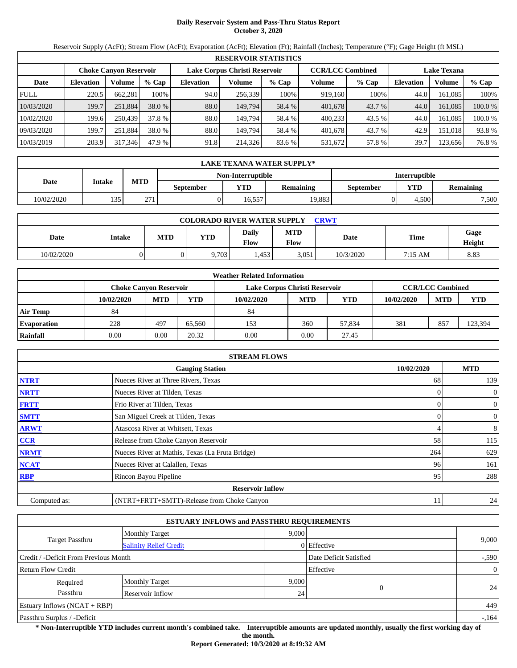# **Daily Reservoir System and Pass-Thru Status Report October 3, 2020**

Reservoir Supply (AcFt); Stream Flow (AcFt); Evaporation (AcFt); Elevation (Ft); Rainfall (Inches); Temperature (°F); Gage Height (ft MSL)

| <b>RESERVOIR STATISTICS</b> |                                                                                           |         |         |                  |         |         |         |         |                  |                    |         |  |
|-----------------------------|-------------------------------------------------------------------------------------------|---------|---------|------------------|---------|---------|---------|---------|------------------|--------------------|---------|--|
|                             | Lake Corpus Christi Reservoir<br><b>CCR/LCC Combined</b><br><b>Choke Canvon Reservoir</b> |         |         |                  |         |         |         |         |                  | <b>Lake Texana</b> |         |  |
| Date                        | <b>Elevation</b>                                                                          | Volume  | $%$ Cap | <b>Elevation</b> | Volume  | $%$ Cap | Volume  | $%$ Cap | <b>Elevation</b> | Volume             | % Cap   |  |
| <b>FULL</b>                 | 220.5                                                                                     | 662.281 | 100%    | 94.0             | 256,339 | 100%    | 919.160 | 100%    | 44.0             | 161.085            | 100%    |  |
| 10/03/2020                  | 199.7                                                                                     | 251,884 | 38.0 %  | 88.0             | 149.794 | 58.4 %  | 401,678 | 43.7 %  | 44.0             | 161.085            | 100.0 % |  |
| 10/02/2020                  | 199.6                                                                                     | 250.439 | 37.8 %  | 88.0             | 149.794 | 58.4 %  | 400.233 | 43.5 %  | 44.0             | 161.085            | 100.0 % |  |
| 09/03/2020                  | 199.7                                                                                     | 251.884 | 38.0 %  | 88.0             | 149.794 | 58.4 %  | 401.678 | 43.7 %  | 42.9             | 151.018            | 93.8%   |  |
| 10/03/2019                  | 203.9                                                                                     | 317,346 | 47.9 %  | 91.8             | 214,326 | 83.6 %  | 531,672 | 57.8 %  | 39.7             | 123,656            | 76.8%   |  |

| LAKE TEXANA WATER SUPPLY* |        |            |                  |                   |                  |                      |       |       |  |  |
|---------------------------|--------|------------|------------------|-------------------|------------------|----------------------|-------|-------|--|--|
|                           |        |            |                  | Non-Interruptible |                  | <b>Interruptible</b> |       |       |  |  |
| Date                      | Intake | <b>MTD</b> | <b>September</b> | YTD               | <b>Remaining</b> |                      |       |       |  |  |
| 10/02/2020                | 135    | 271        |                  | 16.557            | 19.883           |                      | 4.500 | 7,500 |  |  |

| <b>COLORADO RIVER WATER SUPPLY</b><br>CRWT |        |            |            |                      |                    |           |             |                |  |  |
|--------------------------------------------|--------|------------|------------|----------------------|--------------------|-----------|-------------|----------------|--|--|
| Date                                       | Intake | <b>MTD</b> | <b>YTD</b> | Daily<br><b>Flow</b> | <b>MTD</b><br>Flow | Date      | <b>Time</b> | Gage<br>Height |  |  |
| 10/02/2020                                 |        |            | 2,703      | .453                 | 3,051              | 10/3/2020 | 7:15 AM     | 8.83           |  |  |

| <b>Weather Related Information</b> |                                                         |            |        |            |            |        |            |                         |            |  |  |
|------------------------------------|---------------------------------------------------------|------------|--------|------------|------------|--------|------------|-------------------------|------------|--|--|
|                                    | Lake Corpus Christi Reservoir<br>Choke Canvon Reservoir |            |        |            |            |        |            | <b>CCR/LCC Combined</b> |            |  |  |
|                                    | 10/02/2020                                              | <b>MTD</b> | YTD    | 10/02/2020 | <b>MTD</b> | YTD    | 10/02/2020 | <b>MTD</b>              | <b>YTD</b> |  |  |
| Air Temp                           | 84                                                      |            |        | 84         |            |        |            |                         |            |  |  |
| <b>Evaporation</b>                 | 228                                                     | 497        | 65.560 | 153        | 360        | 57.834 | 381        | 857                     | 123,394    |  |  |
| Rainfall                           | 0.00                                                    | 0.00       | 20.32  | 0.00       | 0.00       | 27.45  |            |                         |            |  |  |

|                                      | <b>STREAM FLOWS</b>                             |     |                |  |  |  |  |  |  |
|--------------------------------------|-------------------------------------------------|-----|----------------|--|--|--|--|--|--|
| 10/02/2020<br><b>Gauging Station</b> |                                                 |     |                |  |  |  |  |  |  |
| <b>NTRT</b>                          | Nueces River at Three Rivers, Texas             | 68  | 139            |  |  |  |  |  |  |
| <b>NRTT</b>                          | Nueces River at Tilden, Texas                   |     | $\overline{0}$ |  |  |  |  |  |  |
| <b>FRTT</b>                          | Frio River at Tilden, Texas                     |     | $\overline{0}$ |  |  |  |  |  |  |
| <b>SMTT</b>                          | San Miguel Creek at Tilden, Texas               | 0   | $\overline{0}$ |  |  |  |  |  |  |
| <b>ARWT</b>                          | Atascosa River at Whitsett, Texas               | 4   | 8              |  |  |  |  |  |  |
| CCR                                  | Release from Choke Canyon Reservoir             | 58  | 115            |  |  |  |  |  |  |
| <b>NRMT</b>                          | Nueces River at Mathis, Texas (La Fruta Bridge) | 264 | 629            |  |  |  |  |  |  |
| <b>NCAT</b>                          | Nueces River at Calallen, Texas                 | 96  | 161            |  |  |  |  |  |  |
| <b>RBP</b>                           | Rincon Bayou Pipeline                           | 95  | 288            |  |  |  |  |  |  |
|                                      | <b>Reservoir Inflow</b>                         |     |                |  |  |  |  |  |  |
| Computed as:                         | (NTRT+FRTT+SMTT)-Release from Choke Canyon      | 11  | 24             |  |  |  |  |  |  |

| <b>ESTUARY INFLOWS and PASSTHRU REQUIREMENTS</b> |                               |                |                        |         |  |  |  |  |  |
|--------------------------------------------------|-------------------------------|----------------|------------------------|---------|--|--|--|--|--|
|                                                  | <b>Monthly Target</b>         | 9.000          |                        |         |  |  |  |  |  |
| <b>Target Passthru</b>                           | <b>Salinity Relief Credit</b> |                | 0 Effective            | 9,000   |  |  |  |  |  |
| Credit / -Deficit From Previous Month            |                               |                | Date Deficit Satisfied | $-.590$ |  |  |  |  |  |
| <b>Return Flow Credit</b>                        | Effective                     | $\overline{0}$ |                        |         |  |  |  |  |  |
| Required                                         | <b>Monthly Target</b>         | 9,000          |                        |         |  |  |  |  |  |
| Passthru                                         | <b>Reservoir Inflow</b>       | 24             | $\overline{0}$         | 24      |  |  |  |  |  |
| Estuary Inflows $(NCAT + RBP)$                   |                               |                |                        | 449     |  |  |  |  |  |
| Passthru Surplus / -Deficit                      |                               |                |                        | $-164$  |  |  |  |  |  |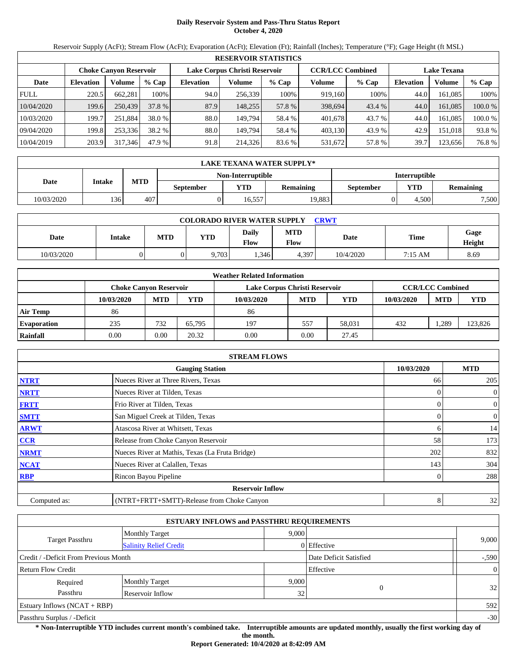# **Daily Reservoir System and Pass-Thru Status Report October 4, 2020**

Reservoir Supply (AcFt); Stream Flow (AcFt); Evaporation (AcFt); Elevation (Ft); Rainfall (Inches); Temperature (°F); Gage Height (ft MSL)

| <b>RESERVOIR STATISTICS</b> |                                                                                                                 |         |         |                  |         |         |         |        |                  |          |         |  |
|-----------------------------|-----------------------------------------------------------------------------------------------------------------|---------|---------|------------------|---------|---------|---------|--------|------------------|----------|---------|--|
|                             | Lake Corpus Christi Reservoir<br><b>CCR/LCC Combined</b><br><b>Lake Texana</b><br><b>Choke Canvon Reservoir</b> |         |         |                  |         |         |         |        |                  |          |         |  |
| Date                        | <b>Elevation</b>                                                                                                | Volume  | $%$ Cap | <b>Elevation</b> | Volume  | $%$ Cap | Volume  | % Cap  | <b>Elevation</b> | Volume   | $%$ Cap |  |
| <b>FULL</b>                 | 220.5                                                                                                           | 662.281 | 100%    | 94.0             | 256.339 | 100%    | 919,160 | 100%   | 44.0             | 161.085  | 100%    |  |
| 10/04/2020                  | 199.6                                                                                                           | 250,439 | 37.8 %  | 87.9             | 148,255 | 57.8 %  | 398,694 | 43.4 % | 44.0             | 161.085  | 100.0 % |  |
| 10/03/2020                  | 199.7                                                                                                           | 251.884 | 38.0 %  | 88.0             | 149.794 | 58.4 %  | 401.678 | 43.7 % | 44.0             | 161.085  | 100.0 % |  |
| 09/04/2020                  | 199.8                                                                                                           | 253,336 | 38.2 %  | 88.0             | 149.794 | 58.4 %  | 403,130 | 43.9 % | 42.9             | 151.0181 | 93.8 %  |  |
| 10/04/2019                  | 203.9                                                                                                           | 317,346 | 47.9 %  | 91.8             | 214.326 | 83.6 %  | 531,672 | 57.8 % | 39.7             | 123,656  | 76.8 %  |  |

| LAKE TEXANA WATER SUPPLY* |        |            |           |                   |        |                      |       |       |  |  |
|---------------------------|--------|------------|-----------|-------------------|--------|----------------------|-------|-------|--|--|
|                           |        |            |           | Non-Interruptible |        | <b>Interruptible</b> |       |       |  |  |
| Date                      | Intake | <b>MTD</b> | September | <b>Remaining</b>  |        |                      |       |       |  |  |
| 10/03/2020                | 136    | 407        |           | 16.557            | 19.883 |                      | 4.500 | 7,500 |  |  |

| <b>COLORADO RIVER WATER SUPPLY</b><br><b>CRWT</b> |        |     |            |                      |                    |           |             |                |  |  |
|---------------------------------------------------|--------|-----|------------|----------------------|--------------------|-----------|-------------|----------------|--|--|
| Date                                              | Intake | MTD | <b>YTD</b> | <b>Daily</b><br>Flow | <b>MTD</b><br>Flow | Date      | <b>Time</b> | Gage<br>Height |  |  |
| 10/03/2020                                        |        |     | 9,703      | .346                 | 4,397              | 10/4/2020 | 7:15 AM     | 8.69           |  |  |

| <b>Weather Related Information</b> |                        |            |                         |            |            |            |            |            |         |  |  |
|------------------------------------|------------------------|------------|-------------------------|------------|------------|------------|------------|------------|---------|--|--|
|                                    | Choke Canvon Reservoir |            | <b>CCR/LCC Combined</b> |            |            |            |            |            |         |  |  |
|                                    | 10/03/2020             | <b>MTD</b> | YTD                     | 10/03/2020 | <b>MTD</b> | <b>YTD</b> | 10/03/2020 | <b>MTD</b> | YTD     |  |  |
| <b>Air Temp</b>                    | 86                     |            |                         | 86         |            |            |            |            |         |  |  |
| <b>Evaporation</b>                 | 235                    | 732        | 65.795                  | 197        | 557        | 58.031     | 432        | .289       | 123,826 |  |  |
| Rainfall                           | 0.00                   | 0.00       | 20.32                   | 0.00       | 0.00       | 27.45      |            |            |         |  |  |

|                                      | <b>STREAM FLOWS</b>                             |     |                |  |  |  |  |  |  |
|--------------------------------------|-------------------------------------------------|-----|----------------|--|--|--|--|--|--|
| 10/03/2020<br><b>Gauging Station</b> |                                                 |     |                |  |  |  |  |  |  |
| <b>NTRT</b>                          | Nueces River at Three Rivers, Texas             | 66  | 205            |  |  |  |  |  |  |
| <b>NRTT</b>                          | Nueces River at Tilden, Texas                   |     | $\overline{0}$ |  |  |  |  |  |  |
| <b>FRTT</b>                          | Frio River at Tilden, Texas                     |     | $\overline{0}$ |  |  |  |  |  |  |
| <b>SMTT</b>                          | San Miguel Creek at Tilden, Texas               | 0   | $\overline{0}$ |  |  |  |  |  |  |
| <b>ARWT</b>                          | Atascosa River at Whitsett, Texas               | 6   | 14             |  |  |  |  |  |  |
| CCR                                  | Release from Choke Canyon Reservoir             | 58  | 173            |  |  |  |  |  |  |
| <b>NRMT</b>                          | Nueces River at Mathis, Texas (La Fruta Bridge) | 202 | 832            |  |  |  |  |  |  |
| <b>NCAT</b>                          | Nueces River at Calallen, Texas                 | 143 | 304            |  |  |  |  |  |  |
| <b>RBP</b>                           | Rincon Bayou Pipeline                           | 0   | 288            |  |  |  |  |  |  |
|                                      | <b>Reservoir Inflow</b>                         |     |                |  |  |  |  |  |  |
| Computed as:                         | (NTRT+FRTT+SMTT)-Release from Choke Canyon      | 8   | 32             |  |  |  |  |  |  |

| <b>ESTUARY INFLOWS and PASSTHRU REQUIREMENTS</b> |                               |                 |                        |         |  |  |  |  |  |
|--------------------------------------------------|-------------------------------|-----------------|------------------------|---------|--|--|--|--|--|
|                                                  | <b>Monthly Target</b>         |                 | 9.000                  |         |  |  |  |  |  |
| <b>Target Passthru</b>                           | <b>Salinity Relief Credit</b> |                 | 0 Effective            | 9,000   |  |  |  |  |  |
| Credit / -Deficit From Previous Month            |                               |                 | Date Deficit Satisfied | $-.590$ |  |  |  |  |  |
| Return Flow Credit                               | Effective                     | $\overline{0}$  |                        |         |  |  |  |  |  |
| Required                                         | <b>Monthly Target</b>         | 9,000           |                        |         |  |  |  |  |  |
| Passthru                                         | <b>Reservoir Inflow</b>       | 32 <sub>1</sub> | $\overline{0}$         | 32      |  |  |  |  |  |
| Estuary Inflows $(NCAT + RBP)$                   |                               |                 |                        | 592     |  |  |  |  |  |
| Passthru Surplus / -Deficit                      |                               |                 |                        | $-30$   |  |  |  |  |  |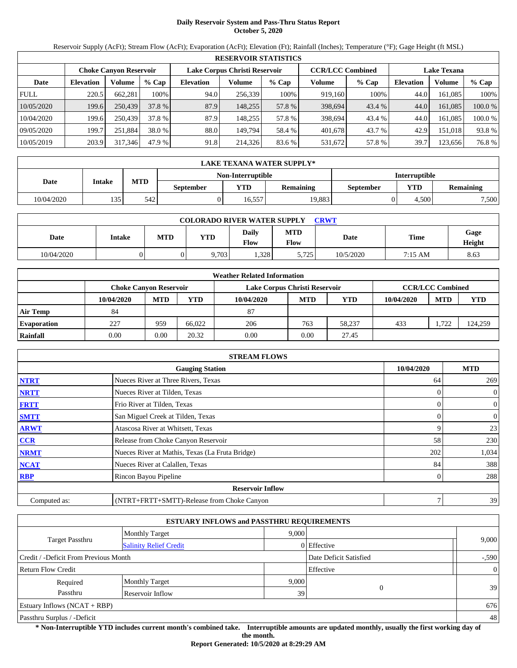# **Daily Reservoir System and Pass-Thru Status Report October 5, 2020**

Reservoir Supply (AcFt); Stream Flow (AcFt); Evaporation (AcFt); Elevation (Ft); Rainfall (Inches); Temperature (°F); Gage Height (ft MSL)

|             | <b>RESERVOIR STATISTICS</b> |                               |         |                               |         |         |                         |         |                    |         |         |
|-------------|-----------------------------|-------------------------------|---------|-------------------------------|---------|---------|-------------------------|---------|--------------------|---------|---------|
|             |                             | <b>Choke Canvon Reservoir</b> |         | Lake Corpus Christi Reservoir |         |         | <b>CCR/LCC Combined</b> |         | <b>Lake Texana</b> |         |         |
| Date        | <b>Elevation</b>            | Volume                        | $%$ Cap | <b>Elevation</b>              | Volume  | $%$ Cap | Volume                  | $%$ Cap | <b>Elevation</b>   | Volume  | $%$ Cap |
| <b>FULL</b> | 220.5                       | 662.281                       | 100%    | 94.0                          | 256.339 | 100%    | 919.160                 | 100%    | 44.0               | 161.085 | 100%    |
| 10/05/2020  | 199.6                       | 250,439                       | 37.8 %  | 87.9                          | 148,255 | 57.8 %  | 398,694                 | 43.4 %  | 44.0               | 161.085 | 100.0 % |
| 10/04/2020  | 199.6                       | 250.439                       | 37.8 %  | 87.9                          | 148.255 | 57.8 %  | 398,694                 | 43.4 %  | 44.0               | 161.085 | 100.0 % |
| 09/05/2020  | 199.7                       | 251.884                       | 38.0 %  | 88.0                          | 149.794 | 58.4 %  | 401.678                 | 43.7 %  | 42.9               | 151.018 | 93.8 %  |
| 10/05/2019  | 203.9                       | 317,346                       | 47.9 %  | 91.8                          | 214,326 | 83.6 %  | 531,672                 | 57.8 %  | 39.7               | 123,656 | 76.8 %  |

|            | <b>LAKE TEXANA WATER SUPPLY*</b> |            |                  |                   |                  |                      |                         |       |  |  |  |
|------------|----------------------------------|------------|------------------|-------------------|------------------|----------------------|-------------------------|-------|--|--|--|
|            |                                  |            |                  | Non-Interruptible |                  | <b>Interruptible</b> |                         |       |  |  |  |
| Date       | Intake                           | <b>MTD</b> | <b>September</b> | <b>YTD</b>        | <b>Remaining</b> | <b>September</b>     | YTD<br><b>Remaining</b> |       |  |  |  |
| 10/04/2020 | 135                              | 542        |                  | 16.557            | 19.883           |                      | 4.500                   | 7,500 |  |  |  |

| <b>COLORADO RIVER WATER SUPPLY</b><br><b>CRWT</b> |        |            |            |               |             |           |             |                |  |  |
|---------------------------------------------------|--------|------------|------------|---------------|-------------|-----------|-------------|----------------|--|--|
| Date                                              | Intake | <b>MTD</b> | <b>YTD</b> | Daily<br>Flow | MTD<br>Flow | Date      | <b>Time</b> | Gage<br>Height |  |  |
| 10/04/2020                                        |        |            | 9,703      | 0.328         | 5,725       | 10/5/2020 | 7:15 AM     | 8.63           |  |  |

|                    |            |                               |        | <b>Weather Related Information</b> |            |            |            |                         |            |
|--------------------|------------|-------------------------------|--------|------------------------------------|------------|------------|------------|-------------------------|------------|
|                    |            | <b>Choke Canvon Reservoir</b> |        | Lake Corpus Christi Reservoir      |            |            |            | <b>CCR/LCC Combined</b> |            |
|                    | 10/04/2020 | <b>MTD</b>                    | YTD    | 10/04/2020                         | <b>MTD</b> | <b>YTD</b> | 10/04/2020 | <b>MTD</b>              | <b>YTD</b> |
| <b>Air Temp</b>    | 84         |                               |        | 87                                 |            |            |            |                         |            |
| <b>Evaporation</b> | 227        | 959                           | 66.022 | 206                                | 763        | 58.237     | 433        | 1.722                   | 124,259    |
| Rainfall           | 0.00       | 0.00                          | 20.32  | 0.00                               | 0.00       | 27.45      |            |                         |            |

|              | <b>STREAM FLOWS</b>                             |            |                |
|--------------|-------------------------------------------------|------------|----------------|
|              | <b>Gauging Station</b>                          | 10/04/2020 | <b>MTD</b>     |
| <b>NTRT</b>  | Nueces River at Three Rivers, Texas             | 64         | 269            |
| <b>NRTT</b>  | Nueces River at Tilden, Texas                   |            | $\overline{0}$ |
| <b>FRTT</b>  | Frio River at Tilden, Texas                     |            | $\overline{0}$ |
| <b>SMTT</b>  | San Miguel Creek at Tilden, Texas               | 0          | $\overline{0}$ |
| <b>ARWT</b>  | Atascosa River at Whitsett, Texas               | 9          | 23             |
| CCR          | Release from Choke Canyon Reservoir             | 58         | 230            |
| <b>NRMT</b>  | Nueces River at Mathis, Texas (La Fruta Bridge) | 202        | 1,034          |
| <b>NCAT</b>  | Nueces River at Calallen, Texas                 | 84         | 388            |
| <b>RBP</b>   | Rincon Bayou Pipeline                           | 0          | 288            |
|              | <b>Reservoir Inflow</b>                         |            |                |
| Computed as: | (NTRT+FRTT+SMTT)-Release from Choke Canyon      | 7          | 39             |

|                                       | <b>ESTUARY INFLOWS and PASSTHRU REQUIREMENTS</b> |       |                        |                |  |  |  |
|---------------------------------------|--------------------------------------------------|-------|------------------------|----------------|--|--|--|
|                                       | <b>Monthly Target</b>                            | 9.000 |                        |                |  |  |  |
| Target Passthru                       | <b>Salinity Relief Credit</b>                    |       | 0 Effective            | 9,000          |  |  |  |
| Credit / -Deficit From Previous Month |                                                  |       | Date Deficit Satisfied | $-.590$        |  |  |  |
| Return Flow Credit                    |                                                  |       | Effective              | $\overline{0}$ |  |  |  |
| Required                              | <b>Monthly Target</b>                            | 9,000 |                        |                |  |  |  |
| Passthru                              | Reservoir Inflow                                 | 39    | $\overline{0}$         | 39             |  |  |  |
| Estuary Inflows $(NCAT + RBP)$        |                                                  |       |                        | 676            |  |  |  |
| Passthru Surplus / -Deficit           |                                                  |       |                        |                |  |  |  |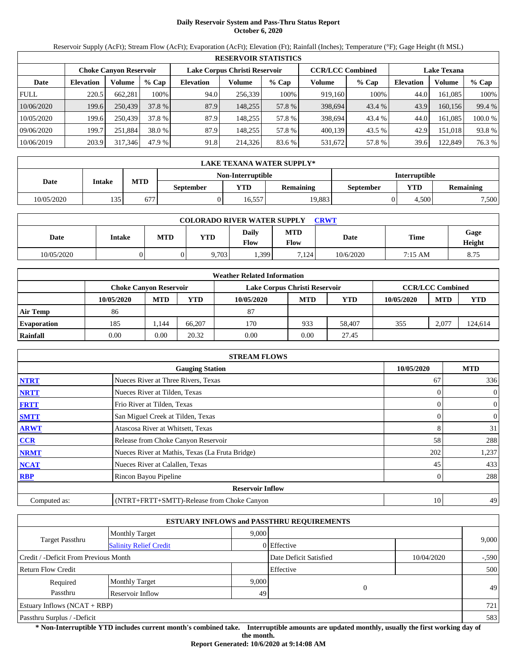# **Daily Reservoir System and Pass-Thru Status Report October 6, 2020**

Reservoir Supply (AcFt); Stream Flow (AcFt); Evaporation (AcFt); Elevation (Ft); Rainfall (Inches); Temperature (°F); Gage Height (ft MSL)

|             | <b>RESERVOIR STATISTICS</b> |                               |         |                               |         |         |                         |         |                    |         |         |
|-------------|-----------------------------|-------------------------------|---------|-------------------------------|---------|---------|-------------------------|---------|--------------------|---------|---------|
|             |                             | <b>Choke Canvon Reservoir</b> |         | Lake Corpus Christi Reservoir |         |         | <b>CCR/LCC Combined</b> |         | <b>Lake Texana</b> |         |         |
| Date        | <b>Elevation</b>            | Volume                        | $%$ Cap | <b>Elevation</b>              | Volume  | $%$ Cap | Volume                  | $%$ Cap | <b>Elevation</b>   | Volume  | % Cap   |
| <b>FULL</b> | 220.5                       | 662.281                       | 100%    | 94.0                          | 256,339 | 100%    | 919.160                 | 100%    | 44.0               | 161.085 | 100%    |
| 10/06/2020  | 199.6                       | 250,439                       | 37.8 %  | 87.9                          | 148.255 | 57.8 %  | 398,694                 | 43.4 %  | 43.9               | 160.156 | 99.4 %  |
| 10/05/2020  | 199.6                       | 250.439                       | 37.8 %  | 87.9                          | 148.255 | 57.8 %  | 398,694                 | 43.4 %  | 44.0               | 161.085 | 100.0 % |
| 09/06/2020  | 199.7                       | 251,884                       | 38.0 %  | 87.9                          | 148.255 | 57.8 %  | 400.139                 | 43.5 %  | 42.9               | 151.018 | 93.8%   |
| 10/06/2019  | 203.9                       | 317,346                       | 47.9 %  | 91.8                          | 214,326 | 83.6 %  | 531,672                 | 57.8 %  | 39.6               | 122,849 | 76.3 %  |

|            | LAKE TEXANA WATER SUPPLY* |            |                  |                   |                  |                      |                         |       |  |  |  |
|------------|---------------------------|------------|------------------|-------------------|------------------|----------------------|-------------------------|-------|--|--|--|
|            |                           |            |                  | Non-Interruptible |                  | <b>Interruptible</b> |                         |       |  |  |  |
| Date       | Intake                    | <b>MTD</b> | <b>September</b> | <b>YTD</b>        | <b>Remaining</b> | September            | YTD<br><b>Remaining</b> |       |  |  |  |
| 10/05/2020 | 125.<br>ں ر               | 677        |                  | 16.557            | 19.883           |                      | 4.500                   | 7,500 |  |  |  |

| <b>COLORADO RIVER WATER SUPPLY</b><br><b>CRWT</b> |        |            |            |               |             |           |             |                |  |  |
|---------------------------------------------------|--------|------------|------------|---------------|-------------|-----------|-------------|----------------|--|--|
| Date                                              | Intake | <b>MTD</b> | <b>YTD</b> | Daily<br>Flow | MTD<br>Flow | Date      | <b>Time</b> | Gage<br>Height |  |  |
| 10/05/2020                                        |        |            | 9,703      | 1,399         | 7,124       | 10/6/2020 | 7:15 AM     | 8.75           |  |  |

|                    |                        |            |        | <b>Weather Related Information</b> |            |            |            |                         |         |
|--------------------|------------------------|------------|--------|------------------------------------|------------|------------|------------|-------------------------|---------|
|                    | Choke Canvon Reservoir |            |        | Lake Corpus Christi Reservoir      |            |            |            | <b>CCR/LCC Combined</b> |         |
|                    | 10/05/2020             | <b>MTD</b> | YTD    | 10/05/2020                         | <b>MTD</b> | <b>YTD</b> | 10/05/2020 | <b>MTD</b>              | YTD     |
| <b>Air Temp</b>    | 86                     |            |        | 87                                 |            |            |            |                         |         |
| <b>Evaporation</b> | 185                    | .144       | 66,207 | 170                                | 933        | 58,407     | 355        | 2.077                   | 124,614 |
| Rainfall           | 0.00                   | 0.00       | 20.32  | 0.00                               | 0.00       | 27.45      |            |                         |         |

|              | <b>STREAM FLOWS</b>                             |            |                |
|--------------|-------------------------------------------------|------------|----------------|
|              | <b>Gauging Station</b>                          | 10/05/2020 | <b>MTD</b>     |
| <b>NTRT</b>  | Nueces River at Three Rivers, Texas             | 67         | 336            |
| <b>NRTT</b>  | Nueces River at Tilden, Texas                   |            | $\overline{0}$ |
| <b>FRTT</b>  | Frio River at Tilden, Texas                     |            | $\overline{0}$ |
| <b>SMTT</b>  | San Miguel Creek at Tilden, Texas               | 0          | $\overline{0}$ |
| <b>ARWT</b>  | Atascosa River at Whitsett, Texas               | 8          | 31             |
| CCR          | Release from Choke Canyon Reservoir             | 58         | 288            |
| <b>NRMT</b>  | Nueces River at Mathis, Texas (La Fruta Bridge) | 202        | 1,237          |
| <b>NCAT</b>  | Nueces River at Calallen, Texas                 | 45         | 433            |
| <b>RBP</b>   | Rincon Bayou Pipeline                           | 0          | 288            |
|              | <b>Reservoir Inflow</b>                         |            |                |
| Computed as: | (NTRT+FRTT+SMTT)-Release from Choke Canyon      | 10         | 49             |

|                                       |                               |       | <b>ESTUARY INFLOWS and PASSTHRU REQUIREMENTS</b> |            |         |
|---------------------------------------|-------------------------------|-------|--------------------------------------------------|------------|---------|
|                                       | <b>Monthly Target</b>         | 9.000 |                                                  |            |         |
| <b>Target Passthru</b>                | <b>Salinity Relief Credit</b> |       | 0 Effective                                      |            | 9,000   |
| Credit / -Deficit From Previous Month |                               |       | Date Deficit Satisfied                           | 10/04/2020 | $-.590$ |
| <b>Return Flow Credit</b>             |                               |       | Effective                                        |            | 500     |
| Required                              | <b>Monthly Target</b>         | 9,000 |                                                  |            |         |
| Passthru                              | Reservoir Inflow              | 49    | $\theta$                                         |            | 49      |
| Estuary Inflows $(NCAT + RBP)$        |                               |       |                                                  |            | 721     |
| Passthru Surplus / -Deficit           |                               |       |                                                  |            | 583     |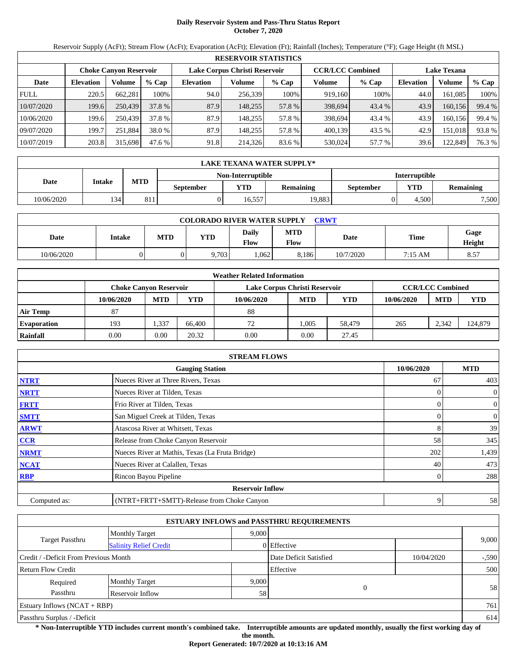# **Daily Reservoir System and Pass-Thru Status Report October 7, 2020**

Reservoir Supply (AcFt); Stream Flow (AcFt); Evaporation (AcFt); Elevation (Ft); Rainfall (Inches); Temperature (°F); Gage Height (ft MSL)

|             |                  |                               |         |                  | <b>RESERVOIR STATISTICS</b>   |         |                         |         |                  |                    |        |
|-------------|------------------|-------------------------------|---------|------------------|-------------------------------|---------|-------------------------|---------|------------------|--------------------|--------|
|             |                  | <b>Choke Canyon Reservoir</b> |         |                  | Lake Corpus Christi Reservoir |         | <b>CCR/LCC Combined</b> |         |                  | <b>Lake Texana</b> |        |
| Date        | <b>Elevation</b> | Volume                        | $%$ Cap | <b>Elevation</b> | Volume                        | $%$ Cap | Volume                  | $%$ Cap | <b>Elevation</b> | Volume             | % Cap  |
| <b>FULL</b> | 220.5            | 662.281                       | 100%    | 94.0             | 256,339                       | 100%    | 919,160                 | 100%    | 44.0             | 161.085            | 100%   |
| 10/07/2020  | 199.6            | 250,439                       | 37.8 %  | 87.9             | 148.255                       | 57.8 %  | 398,694                 | 43.4 %  | 43.9             | 160.156            | 99.4 % |
| 10/06/2020  | 199.6            | 250,439                       | 37.8 %  | 87.9             | 148.255                       | 57.8 %  | 398.694                 | 43.4 %  | 43.9             | 160.156            | 99.4 % |
| 09/07/2020  | 199.7            | 251.884                       | 38.0 %  | 87.9             | 148.255                       | 57.8 %  | 400,139                 | 43.5 %  | 42.9             | 151.018            | 93.8%  |
| 10/07/2019  | 203.8            | 315,698                       | 47.6 %  | 91.8             | 214,326                       | 83.6 %  | 530,024                 | 57.7 %  | 39.6             | 122,849            | 76.3 % |

|            | LAKE TEXANA WATER SUPPLY* |            |           |                   |                  |                      |       |                  |  |  |  |
|------------|---------------------------|------------|-----------|-------------------|------------------|----------------------|-------|------------------|--|--|--|
|            |                           |            |           | Non-Interruptible |                  | <b>Interruptible</b> |       |                  |  |  |  |
| Date       | Intake                    | <b>MTD</b> | September | <b>YTD</b>        | <b>Remaining</b> | September            | YTD   | <b>Remaining</b> |  |  |  |
| 10/06/2020 | 134                       | 811        |           | 16.557            | 19.883           |                      | 4.500 | 7,500            |  |  |  |

| <b>COLORADO RIVER WATER SUPPLY</b><br>CRWT |        |            |            |                      |                    |           |             |                |  |  |
|--------------------------------------------|--------|------------|------------|----------------------|--------------------|-----------|-------------|----------------|--|--|
| Date                                       | Intake | <b>MTD</b> | <b>YTD</b> | Daily<br><b>Flow</b> | <b>MTD</b><br>Flow | Date      | <b>Time</b> | Gage<br>Height |  |  |
| 10/06/2020                                 |        |            | 2,703      | ,062                 | 8,186              | 10/7/2020 | 7:15 AM     | 8.57           |  |  |

|                    |                               |            |        | <b>Weather Related Information</b> |            |        |            |                         |         |
|--------------------|-------------------------------|------------|--------|------------------------------------|------------|--------|------------|-------------------------|---------|
|                    | <b>Choke Canvon Reservoir</b> |            |        | Lake Corpus Christi Reservoir      |            |        |            | <b>CCR/LCC Combined</b> |         |
|                    | 10/06/2020                    | <b>MTD</b> | YTD    | 10/06/2020                         | <b>MTD</b> | YTD    | 10/06/2020 | <b>MTD</b>              | YTD     |
| <b>Air Temp</b>    | 87                            |            |        | 88                                 |            |        |            |                         |         |
| <b>Evaporation</b> | 193                           | .337       | 66.400 | 72                                 | 1.005      | 58.479 | 265        | 2.342                   | 124,879 |
| Rainfall           | 0.00                          | 0.00       | 20.32  | 0.00                               | 0.00       | 27.45  |            |                         |         |

|              | <b>STREAM FLOWS</b>                             |            |                |
|--------------|-------------------------------------------------|------------|----------------|
|              | <b>Gauging Station</b>                          | 10/06/2020 | <b>MTD</b>     |
| <b>NTRT</b>  | Nueces River at Three Rivers, Texas             | 67         | 403            |
| <b>NRTT</b>  | Nueces River at Tilden, Texas                   |            | $\overline{0}$ |
| <b>FRTT</b>  | Frio River at Tilden, Texas                     |            | $\overline{0}$ |
| <b>SMTT</b>  | San Miguel Creek at Tilden, Texas               | 0          | $\overline{0}$ |
| <b>ARWT</b>  | Atascosa River at Whitsett, Texas               | 8          | 39             |
| CCR          | Release from Choke Canyon Reservoir             | 58         | 345            |
| <b>NRMT</b>  | Nueces River at Mathis, Texas (La Fruta Bridge) | 202        | 1,439          |
| <b>NCAT</b>  | Nueces River at Calallen, Texas                 | 40         | 473            |
| <b>RBP</b>   | Rincon Bayou Pipeline                           | 0          | 288            |
|              | <b>Reservoir Inflow</b>                         |            |                |
| Computed as: | (NTRT+FRTT+SMTT)-Release from Choke Canyon      | 9          | 58             |

|                                       |                               |       | <b>ESTUARY INFLOWS and PASSTHRU REQUIREMENTS</b> |            |         |
|---------------------------------------|-------------------------------|-------|--------------------------------------------------|------------|---------|
|                                       | <b>Monthly Target</b>         | 9.000 |                                                  |            |         |
| <b>Target Passthru</b>                | <b>Salinity Relief Credit</b> |       | 0 Effective                                      |            | 9,000   |
| Credit / -Deficit From Previous Month |                               |       | Date Deficit Satisfied                           | 10/04/2020 | $-.590$ |
| <b>Return Flow Credit</b>             |                               |       | Effective                                        |            | 500     |
| Required                              | <b>Monthly Target</b>         | 9,000 |                                                  |            |         |
| Passthru                              | Reservoir Inflow              | 58    | $\Omega$                                         |            | 58      |
| Estuary Inflows $(NCAT + RBP)$        |                               |       |                                                  |            | 761     |
| Passthru Surplus / -Deficit           |                               |       |                                                  |            | 614     |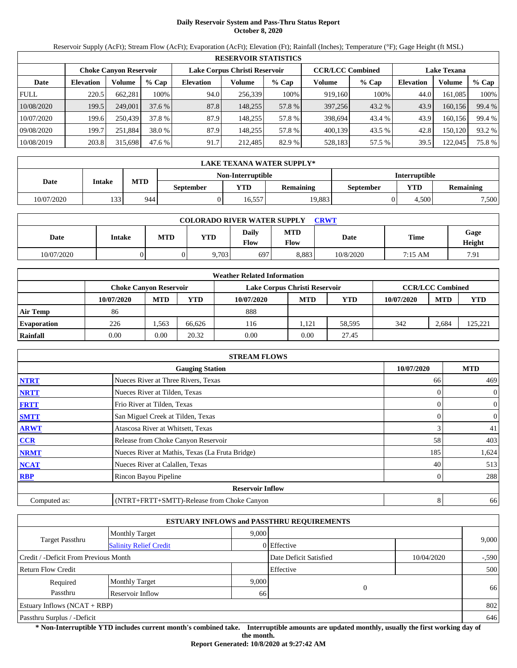# **Daily Reservoir System and Pass-Thru Status Report October 8, 2020**

Reservoir Supply (AcFt); Stream Flow (AcFt); Evaporation (AcFt); Elevation (Ft); Rainfall (Inches); Temperature (°F); Gage Height (ft MSL)

|             | <b>RESERVOIR STATISTICS</b>                                                        |         |         |                  |         |                    |         |        |                  |         |        |
|-------------|------------------------------------------------------------------------------------|---------|---------|------------------|---------|--------------------|---------|--------|------------------|---------|--------|
|             | Lake Corpus Christi Reservoir<br><b>CCR/LCC Combined</b><br>Choke Canvon Reservoir |         |         |                  |         | <b>Lake Texana</b> |         |        |                  |         |        |
| Date        | <b>Elevation</b>                                                                   | Volume  | $%$ Cap | <b>Elevation</b> | Volume  | $%$ Cap            | Volume  | % Cap  | <b>Elevation</b> | Volume  | % Cap  |
| <b>FULL</b> | 220.5                                                                              | 662,281 | 100%    | 94.0             | 256.339 | 100%               | 919,160 | 100%   | 44.0             | 161,085 | 100%   |
| 10/08/2020  | 199.5                                                                              | 249,001 | 37.6%   | 87.8             | 148.255 | 57.8 %             | 397,256 | 43.2 % | 43.9             | 160,156 | 99.4 % |
| 10/07/2020  | 199.6                                                                              | 250,439 | 37.8 %  | 87.9             | 148.255 | 57.8 %             | 398,694 | 43.4 % | 43.9             | 160.156 | 99.4 % |
| 09/08/2020  | 199.7                                                                              | 251.884 | 38.0 %  | 87.9             | 148.255 | 57.8 %             | 400.139 | 43.5 % | 42.8             | 150.120 | 93.2 % |
| 10/08/2019  | 203.8                                                                              | 315,698 | 47.6 %  | 91.7             | 212,485 | 82.9 %             | 528,183 | 57.5 % | 39.5             | 122,045 | 75.8%  |

|            | LAKE TEXANA WATER SUPPLY* |            |                  |                   |                  |                      |       |                  |  |  |  |
|------------|---------------------------|------------|------------------|-------------------|------------------|----------------------|-------|------------------|--|--|--|
|            |                           |            |                  | Non-Interruptible |                  | <b>Interruptible</b> |       |                  |  |  |  |
| Date       | Intake                    | <b>MTD</b> | <b>September</b> | <b>YTD</b>        | <b>Remaining</b> | September            | YTD   | <b>Remaining</b> |  |  |  |
| 10/07/2020 | 133                       | 944        |                  | 16.557            | 19.883           |                      | 4.500 | 7,500            |  |  |  |

| <b>COLORADO RIVER WATER SUPPLY</b><br><b>CRWT</b> |        |            |       |                      |                    |           |             |                |  |  |
|---------------------------------------------------|--------|------------|-------|----------------------|--------------------|-----------|-------------|----------------|--|--|
| Date                                              | Intake | <b>MTD</b> | YTD   | Daily<br><b>Flow</b> | <b>MTD</b><br>Flow | Date      | <b>Time</b> | Gage<br>Height |  |  |
| 10/07/2020                                        |        |            | 9,703 | 697                  | 8.883              | 10/8/2020 | 7:15 AM     | 7.91           |  |  |

|                    |                        |            |        | <b>Weather Related Information</b> |            |            |            |                         |         |
|--------------------|------------------------|------------|--------|------------------------------------|------------|------------|------------|-------------------------|---------|
|                    | Choke Canvon Reservoir |            |        | Lake Corpus Christi Reservoir      |            |            |            | <b>CCR/LCC Combined</b> |         |
|                    | 10/07/2020             | <b>MTD</b> | YTD    | 10/07/2020                         | <b>MTD</b> | <b>YTD</b> | 10/07/2020 | <b>MTD</b>              | YTD     |
| <b>Air Temp</b>    | 86                     |            |        | 888                                |            |            |            |                         |         |
| <b>Evaporation</b> | 226                    | .563       | 66.626 | 116                                | 1.121      | 58.595     | 342        | 2.684                   | 125.221 |
| Rainfall           | 0.00                   | 0.00       | 20.32  | 0.00                               | 0.00       | 27.45      |            |                         |         |

|              | <b>STREAM FLOWS</b>                             |            |                |
|--------------|-------------------------------------------------|------------|----------------|
|              | <b>Gauging Station</b>                          | 10/07/2020 | <b>MTD</b>     |
| <b>NTRT</b>  | Nueces River at Three Rivers, Texas             | 66         | 469            |
| <b>NRTT</b>  | Nueces River at Tilden, Texas                   |            | $\overline{0}$ |
| <b>FRTT</b>  | Frio River at Tilden, Texas                     |            | $\overline{0}$ |
| <b>SMTT</b>  | San Miguel Creek at Tilden, Texas               | 0          | $\overline{0}$ |
| <b>ARWT</b>  | Atascosa River at Whitsett, Texas               | 3          | 41             |
| CCR          | Release from Choke Canyon Reservoir             | 58         | 403            |
| <b>NRMT</b>  | Nueces River at Mathis, Texas (La Fruta Bridge) | 185        | 1,624          |
| <b>NCAT</b>  | Nueces River at Calallen, Texas                 | 40         | 513            |
| <b>RBP</b>   | Rincon Bayou Pipeline                           | 0          | 288            |
|              | <b>Reservoir Inflow</b>                         |            |                |
| Computed as: | (NTRT+FRTT+SMTT)-Release from Choke Canyon      | 8          | 66             |

|                                       |                               |       | <b>ESTUARY INFLOWS and PASSTHRU REQUIREMENTS</b> |            |         |
|---------------------------------------|-------------------------------|-------|--------------------------------------------------|------------|---------|
|                                       | <b>Monthly Target</b>         | 9.000 |                                                  |            |         |
| <b>Target Passthru</b>                | <b>Salinity Relief Credit</b> |       | 0 Effective                                      |            | 9,000   |
| Credit / -Deficit From Previous Month |                               |       | Date Deficit Satisfied                           | 10/04/2020 | $-.590$ |
| <b>Return Flow Credit</b>             |                               |       | Effective                                        |            | 500     |
| Required                              | <b>Monthly Target</b>         | 9,000 |                                                  |            |         |
| Passthru                              | Reservoir Inflow              | 66    | $\Omega$                                         |            | 66      |
| Estuary Inflows $(NCAT + RBP)$        |                               |       |                                                  |            | 802     |
| Passthru Surplus / -Deficit           |                               |       |                                                  |            | 646     |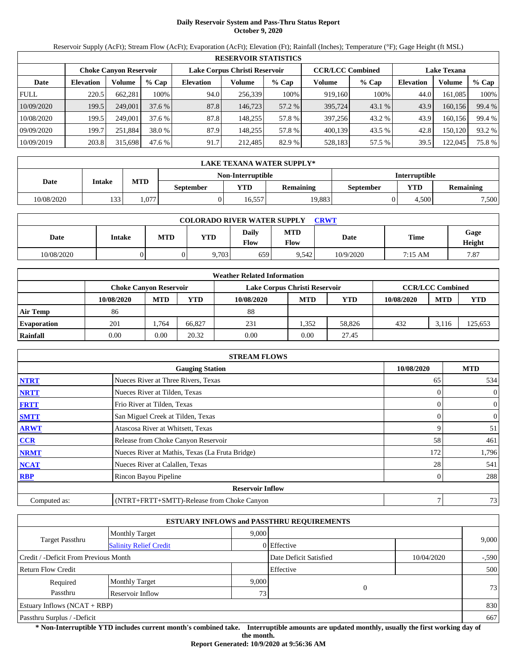# **Daily Reservoir System and Pass-Thru Status Report October 9, 2020**

Reservoir Supply (AcFt); Stream Flow (AcFt); Evaporation (AcFt); Elevation (Ft); Rainfall (Inches); Temperature (°F); Gage Height (ft MSL)

|             |                  |                               |         |                               | <b>RESERVOIR STATISTICS</b> |         |                         |         |                    |         |        |
|-------------|------------------|-------------------------------|---------|-------------------------------|-----------------------------|---------|-------------------------|---------|--------------------|---------|--------|
|             |                  | <b>Choke Canyon Reservoir</b> |         | Lake Corpus Christi Reservoir |                             |         | <b>CCR/LCC Combined</b> |         | <b>Lake Texana</b> |         |        |
| Date        | <b>Elevation</b> | Volume                        | $%$ Cap | <b>Elevation</b>              | Volume                      | $%$ Cap | Volume                  | $%$ Cap | <b>Elevation</b>   | Volume  | % Cap  |
| <b>FULL</b> | 220.5            | 662.281                       | 100%    | 94.0                          | 256,339                     | 100%    | 919.160                 | 100%    | 44.0               | 161.085 | 100%   |
| 10/09/2020  | 199.5            | 249,001                       | 37.6%   | 87.8                          | 146,723                     | 57.2 %  | 395,724                 | 43.1 %  | 43.9               | 160.156 | 99.4 % |
| 10/08/2020  | 199.5            | 249,001                       | 37.6 %  | 87.8                          | 148.255                     | 57.8 %  | 397.256                 | 43.2 %  | 43.9               | 160.156 | 99.4 % |
| 09/09/2020  | 199.7            | 251.884                       | 38.0 %  | 87.9                          | 148.255                     | 57.8 %  | 400.139                 | 43.5 %  | 42.8               | 150.120 | 93.2 % |
| 10/09/2019  | 203.8            | 315,698                       | 47.6 %  | 91.7                          | 212,485                     | 82.9 %  | 528,183                 | 57.5 %  | 39.5               | 122,045 | 75.8%  |

|            | LAKE TEXANA WATER SUPPLY* |            |                  |                   |                  |                                |       |       |  |  |  |
|------------|---------------------------|------------|------------------|-------------------|------------------|--------------------------------|-------|-------|--|--|--|
|            |                           |            |                  | Non-Interruptible |                  | <b>Interruptible</b>           |       |       |  |  |  |
| Date       | Intake                    | <b>MTD</b> | <b>September</b> | <b>YTD</b>        | <b>Remaining</b> | <b>YTD</b><br><b>September</b> |       |       |  |  |  |
| 10/08/2020 | 122                       | .077       |                  | 16.557            | 19.883           |                                | 4.500 | 7,500 |  |  |  |

| <b>COLORADO RIVER WATER SUPPLY</b><br>CRWT |        |            |       |                      |                    |           |             |                |  |  |
|--------------------------------------------|--------|------------|-------|----------------------|--------------------|-----------|-------------|----------------|--|--|
| Date                                       | Intake | <b>MTD</b> | YTD   | Daily<br><b>Flow</b> | <b>MTD</b><br>Flow | Date      | <b>Time</b> | Gage<br>Height |  |  |
| 10/08/2020                                 |        |            | 9,703 | 659                  | 9.542              | 10/9/2020 | 7:15 AM     | 7.87           |  |  |

|                    |                        |            |        | <b>Weather Related Information</b> |            |            |            |                         |            |
|--------------------|------------------------|------------|--------|------------------------------------|------------|------------|------------|-------------------------|------------|
|                    | Choke Canvon Reservoir |            |        | Lake Corpus Christi Reservoir      |            |            |            | <b>CCR/LCC Combined</b> |            |
|                    | 10/08/2020             | <b>MTD</b> | YTD    | 10/08/2020                         | <b>MTD</b> | <b>YTD</b> | 10/08/2020 | <b>MTD</b>              | <b>YTD</b> |
| <b>Air Temp</b>    | 86                     |            |        | 88                                 |            |            |            |                         |            |
| <b>Evaporation</b> | 201                    | . 764      | 66.827 | 231                                | 1.352      | 58,826     | 432        | 3.116                   | 125,653    |
| Rainfall           | 0.00                   | 0.00       | 20.32  | 0.00                               | 0.00       | 27.45      |            |                         |            |

|              | <b>STREAM FLOWS</b>                             |            |                |
|--------------|-------------------------------------------------|------------|----------------|
|              | <b>Gauging Station</b>                          | 10/08/2020 | <b>MTD</b>     |
| <b>NTRT</b>  | Nueces River at Three Rivers, Texas             | 65         | 534            |
| <b>NRTT</b>  | Nueces River at Tilden, Texas                   |            | $\overline{0}$ |
| <b>FRTT</b>  | Frio River at Tilden, Texas                     |            | $\overline{0}$ |
| <b>SMTT</b>  | San Miguel Creek at Tilden, Texas               | 0          | $\overline{0}$ |
| <b>ARWT</b>  | Atascosa River at Whitsett, Texas               | 9          | 51             |
| CCR          | Release from Choke Canyon Reservoir             | 58         | 461            |
| <b>NRMT</b>  | Nueces River at Mathis, Texas (La Fruta Bridge) | 172        | 1,796          |
| <b>NCAT</b>  | Nueces River at Calallen, Texas                 | 28         | 541            |
| <b>RBP</b>   | Rincon Bayou Pipeline                           | 0          | 288            |
|              | <b>Reservoir Inflow</b>                         |            |                |
| Computed as: | (NTRT+FRTT+SMTT)-Release from Choke Canyon      | 7          | 73             |

|                                                         |                       |       | <b>ESTUARY INFLOWS and PASSTHRU REQUIREMENTS</b> |            |         |
|---------------------------------------------------------|-----------------------|-------|--------------------------------------------------|------------|---------|
|                                                         | <b>Monthly Target</b> | 9.000 |                                                  |            |         |
| <b>Target Passthru</b><br><b>Salinity Relief Credit</b> |                       |       | 0 Effective                                      |            | 9,000   |
| Credit / -Deficit From Previous Month                   |                       |       | Date Deficit Satisfied                           | 10/04/2020 | $-.590$ |
| <b>Return Flow Credit</b>                               |                       |       | Effective                                        |            | 500     |
| Required                                                | <b>Monthly Target</b> | 9,000 |                                                  |            |         |
| Passthru<br>Reservoir Inflow                            |                       |       | 0<br>73                                          |            | 73      |
| Estuary Inflows $(NCAT + RBP)$                          |                       |       |                                                  |            | 830     |
| Passthru Surplus / -Deficit                             |                       |       |                                                  |            | 667     |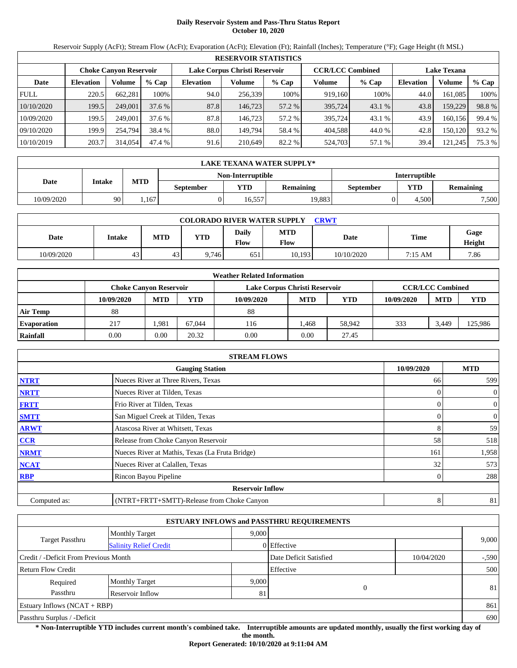# **Daily Reservoir System and Pass-Thru Status Report October 10, 2020**

Reservoir Supply (AcFt); Stream Flow (AcFt); Evaporation (AcFt); Elevation (Ft); Rainfall (Inches); Temperature (°F); Gage Height (ft MSL)

|             | <b>RESERVOIR STATISTICS</b> |                               |         |                               |         |         |                         |         |                    |         |        |  |
|-------------|-----------------------------|-------------------------------|---------|-------------------------------|---------|---------|-------------------------|---------|--------------------|---------|--------|--|
|             |                             | <b>Choke Canyon Reservoir</b> |         | Lake Corpus Christi Reservoir |         |         | <b>CCR/LCC Combined</b> |         | <b>Lake Texana</b> |         |        |  |
| Date        | <b>Elevation</b>            | Volume                        | $%$ Cap | <b>Elevation</b>              | Volume  | $%$ Cap | Volume                  | $%$ Cap | <b>Elevation</b>   | Volume  | % Cap  |  |
| <b>FULL</b> | 220.5                       | 662.281                       | 100%    | 94.0                          | 256,339 | 100%    | 919.160                 | 100%    | 44.0               | 161.085 | 100%   |  |
| 10/10/2020  | 199.5                       | 249,001                       | 37.6%   | 87.8                          | 146,723 | 57.2 %  | 395,724                 | 43.1 %  | 43.8               | 159,229 | 98.8%  |  |
| 10/09/2020  | 199.5                       | 249,001                       | 37.6 %  | 87.8                          | 146.723 | 57.2 %  | 395,724                 | 43.1 %  | 43.9               | 160.156 | 99.4 % |  |
| 09/10/2020  | 199.9                       | 254,794                       | 38.4 %  | 88.0                          | 149.794 | 58.4 %  | 404.588                 | 44.0 %  | 42.8               | 150.120 | 93.2 % |  |
| 10/10/2019  | 203.7                       | 314,054                       | 47.4 %  | 91.6                          | 210,649 | 82.2 %  | 524,703                 | 57.1 %  | 39.4               | 121,245 | 75.3 % |  |

|            | <b>LAKE TEXANA WATER SUPPLY*</b>                                                  |      |  |                   |        |                      |            |                  |  |  |
|------------|-----------------------------------------------------------------------------------|------|--|-------------------|--------|----------------------|------------|------------------|--|--|
|            |                                                                                   |      |  | Non-Interruptible |        | <b>Interruptible</b> |            |                  |  |  |
| Date       | <b>MTD</b><br>Intake<br>$\mathbf{v_{TD}}$<br><b>Remaining</b><br><b>September</b> |      |  |                   |        | <b>September</b>     | <b>YTD</b> | <b>Remaining</b> |  |  |
| 10/09/2020 | 90                                                                                | .167 |  | 16.557            | 19.883 |                      | 4.500      | 7,500            |  |  |

| <b>COLORADO RIVER WATER SUPPLY</b><br>CRWT |        |            |            |               |             |             |         |                |  |  |  |
|--------------------------------------------|--------|------------|------------|---------------|-------------|-------------|---------|----------------|--|--|--|
| Date                                       | Intake | <b>MTD</b> | <b>YTD</b> | Daily<br>Flow | MTD<br>Flow | <b>Date</b> | Time    | Gage<br>Height |  |  |  |
| 10/09/2020                                 | 43     | 43         | 9.746      | 651           | 10.193      | 10/10/2020  | 7:15 AM | 7.86           |  |  |  |

|                    |                               |            |        | <b>Weather Related Information</b> |            |        |            |                         |         |
|--------------------|-------------------------------|------------|--------|------------------------------------|------------|--------|------------|-------------------------|---------|
|                    | <b>Choke Canvon Reservoir</b> |            |        | Lake Corpus Christi Reservoir      |            |        |            | <b>CCR/LCC Combined</b> |         |
|                    | 10/09/2020                    | <b>MTD</b> | YTD    | 10/09/2020                         | <b>MTD</b> | YTD    | 10/09/2020 | <b>MTD</b>              | YTD     |
| <b>Air Temp</b>    | 88                            |            |        | 88                                 |            |        |            |                         |         |
| <b>Evaporation</b> | 217                           | .981       | 67,044 | 116                                | .468       | 58,942 | 333        | 3.449                   | 125,986 |
| Rainfall           | 0.00                          | 0.00       | 20.32  | 0.00                               | 0.00       | 27.45  |            |                         |         |

|              | <b>STREAM FLOWS</b>                             |            |                |
|--------------|-------------------------------------------------|------------|----------------|
|              | <b>Gauging Station</b>                          | 10/09/2020 | <b>MTD</b>     |
| <b>NTRT</b>  | Nueces River at Three Rivers, Texas             | 66         | 599            |
| <b>NRTT</b>  | Nueces River at Tilden, Texas                   | $\Omega$   | $\overline{0}$ |
| <b>FRTT</b>  | Frio River at Tilden, Texas                     |            | $\mathbf{0}$   |
| <b>SMTT</b>  | San Miguel Creek at Tilden, Texas               | $\Omega$   | $\mathbf{0}$   |
| <b>ARWT</b>  | Atascosa River at Whitsett, Texas               | 8          | 59             |
| CCR          | Release from Choke Canyon Reservoir             | 58         | 518            |
| <b>NRMT</b>  | Nueces River at Mathis, Texas (La Fruta Bridge) | 161        | 1,958          |
| <b>NCAT</b>  | Nueces River at Calallen, Texas                 | 32         | 573            |
| <b>RBP</b>   | Rincon Bayou Pipeline                           |            | 288            |
|              | <b>Reservoir Inflow</b>                         |            |                |
| Computed as: | (NTRT+FRTT+SMTT)-Release from Choke Canyon      | 8          | 81             |

|                                                  |                       |       | <b>ESTUARY INFLOWS and PASSTHRU REQUIREMENTS</b> |            |         |
|--------------------------------------------------|-----------------------|-------|--------------------------------------------------|------------|---------|
|                                                  | <b>Monthly Target</b> | 9,000 |                                                  |            |         |
| Target Passthru<br><b>Salinity Relief Credit</b> |                       |       | $0$ Effective                                    |            | 9,000   |
| Credit / -Deficit From Previous Month            |                       |       | Date Deficit Satisfied                           | 10/04/2020 | $-.590$ |
| <b>Return Flow Credit</b>                        |                       |       | Effective                                        |            | 500     |
| Required                                         | <b>Monthly Target</b> | 9,000 |                                                  |            |         |
| Passthru                                         | Reservoir Inflow      | 81    | 0                                                |            | 81      |
| Estuary Inflows $(NCAT + RBP)$                   |                       |       |                                                  |            | 861     |
| Passthru Surplus / -Deficit                      |                       |       |                                                  |            | 690     |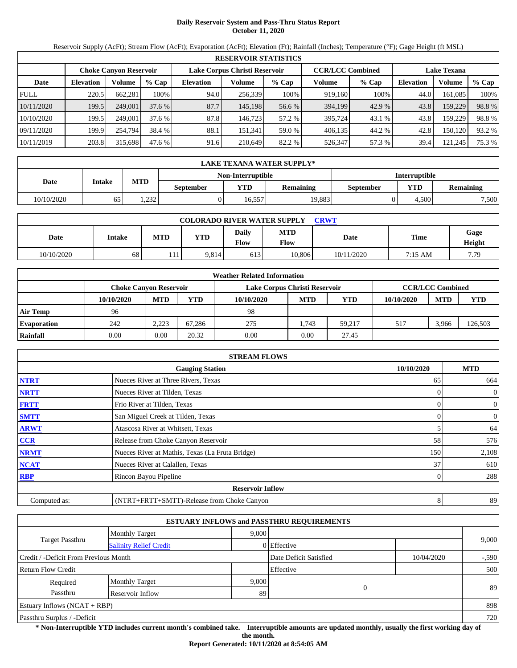# **Daily Reservoir System and Pass-Thru Status Report October 11, 2020**

Reservoir Supply (AcFt); Stream Flow (AcFt); Evaporation (AcFt); Elevation (Ft); Rainfall (Inches); Temperature (°F); Gage Height (ft MSL)

|             |                  |                               |         |                  | <b>RESERVOIR STATISTICS</b>   |         |                         |         |                  |                    |        |
|-------------|------------------|-------------------------------|---------|------------------|-------------------------------|---------|-------------------------|---------|------------------|--------------------|--------|
|             |                  | <b>Choke Canyon Reservoir</b> |         |                  | Lake Corpus Christi Reservoir |         | <b>CCR/LCC Combined</b> |         |                  | <b>Lake Texana</b> |        |
| Date        | <b>Elevation</b> | Volume                        | $%$ Cap | <b>Elevation</b> | Volume                        | $%$ Cap | Volume                  | $%$ Cap | <b>Elevation</b> | Volume             | % Cap  |
| <b>FULL</b> | 220.5            | 662.281                       | 100%    | 94.0             | 256,339                       | 100%    | 919,160                 | 100%    | 44.0             | 161.085            | 100%   |
| 10/11/2020  | 199.5            | 249,001                       | 37.6%   | 87.7             | 145.198                       | 56.6 %  | 394,199                 | 42.9 %  | 43.8             | 159,229            | 98.8%  |
| 10/10/2020  | 199.5            | 249,001                       | 37.6 %  | 87.8             | 146.723                       | 57.2 %  | 395,724                 | 43.1 %  | 43.8             | 159.229            | 98.8%  |
| 09/11/2020  | 199.9            | 254,794                       | 38.4 %  | 88.1             | 151.341                       | 59.0 %  | 406,135                 | 44.2 %  | 42.8             | 150,120            | 93.2 % |
| 10/11/2019  | 203.8            | 315,698                       | 47.6 %  | 91.6             | 210.649                       | 82.2 %  | 526,347                 | 57.3 %  | 39.4             | 121,245            | 75.3 % |

|            | LAKE TEXANA WATER SUPPLY* |            |                  |                   |                  |                  |                      |                  |  |  |  |
|------------|---------------------------|------------|------------------|-------------------|------------------|------------------|----------------------|------------------|--|--|--|
|            |                           |            |                  | Non-Interruptible |                  |                  | <b>Interruptible</b> |                  |  |  |  |
| Date       | Intake                    | <b>MTD</b> | <b>September</b> | <b>YTD</b>        | <b>Remaining</b> | <b>September</b> | <b>YTD</b>           | <b>Remaining</b> |  |  |  |
| 10/10/2020 | 65                        | 1.232      |                  | 16.557            | 19.883           |                  | 4.500                | 7,500            |  |  |  |

| <b>COLORADO RIVER WATER SUPPLY</b><br><b>CRWT</b> |        |            |            |                      |                    |            |             |                |  |  |  |
|---------------------------------------------------|--------|------------|------------|----------------------|--------------------|------------|-------------|----------------|--|--|--|
| Date                                              | Intake | <b>MTD</b> | <b>YTD</b> | Daily<br><b>Flow</b> | <b>MTD</b><br>Flow | Date       | <b>Time</b> | Gage<br>Height |  |  |  |
| 10/10/2020                                        | 68     | .111       | 9,814      | 613                  | 10,806             | 10/11/2020 | 7:15 AM     | 7.79           |  |  |  |

|                    |                               |            |        | <b>Weather Related Information</b> |            |        |            |                         |         |
|--------------------|-------------------------------|------------|--------|------------------------------------|------------|--------|------------|-------------------------|---------|
|                    | <b>Choke Canvon Reservoir</b> |            |        | Lake Corpus Christi Reservoir      |            |        |            | <b>CCR/LCC Combined</b> |         |
|                    | 10/10/2020                    | <b>MTD</b> | YTD    | 10/10/2020                         | <b>MTD</b> | YTD    | 10/10/2020 | <b>MTD</b>              | YTD     |
| <b>Air Temp</b>    | 96                            |            |        | 98                                 |            |        |            |                         |         |
| <b>Evaporation</b> | 242                           | 2,223      | 67.286 | 275                                | .743       | 59.217 | 517        | 3.966                   | 126,503 |
| Rainfall           | 0.00                          | 0.00       | 20.32  | 0.00                               | 0.00       | 27.45  |            |                         |         |

|              | <b>STREAM FLOWS</b>                             |            |                |
|--------------|-------------------------------------------------|------------|----------------|
|              | <b>Gauging Station</b>                          | 10/10/2020 | <b>MTD</b>     |
| <b>NTRT</b>  | Nueces River at Three Rivers, Texas             | 65         | 664            |
| <b>NRTT</b>  | Nueces River at Tilden, Texas                   | $\Omega$   | $\overline{0}$ |
| <b>FRTT</b>  | Frio River at Tilden, Texas                     |            | $\mathbf{0}$   |
| <b>SMTT</b>  | San Miguel Creek at Tilden, Texas               | $\Omega$   | $\overline{0}$ |
| <b>ARWT</b>  | Atascosa River at Whitsett, Texas               | 5          | 64             |
| CCR          | Release from Choke Canyon Reservoir             | 58         | 576            |
| <b>NRMT</b>  | Nueces River at Mathis, Texas (La Fruta Bridge) | 150        | 2,108          |
| <b>NCAT</b>  | Nueces River at Calallen, Texas                 | 37         | 610            |
| <b>RBP</b>   | Rincon Bayou Pipeline                           |            | 288            |
|              | <b>Reservoir Inflow</b>                         |            |                |
| Computed as: | (NTRT+FRTT+SMTT)-Release from Choke Canyon      | 8          | 89             |

|                                                         |                       |       | <b>ESTUARY INFLOWS and PASSTHRU REQUIREMENTS</b> |            |         |
|---------------------------------------------------------|-----------------------|-------|--------------------------------------------------|------------|---------|
|                                                         | <b>Monthly Target</b> | 9.000 |                                                  |            |         |
| <b>Target Passthru</b><br><b>Salinity Relief Credit</b> |                       |       | $0$ Effective                                    |            | 9,000   |
| Credit / -Deficit From Previous Month                   |                       |       | Date Deficit Satisfied                           | 10/04/2020 | $-.590$ |
| <b>Return Flow Credit</b>                               |                       |       | Effective                                        |            | 500     |
| Required                                                | <b>Monthly Target</b> | 9,000 |                                                  |            |         |
| Passthru                                                | Reservoir Inflow      | 89    | $\mathbf{0}$                                     |            | 89      |
| Estuary Inflows $(NCAT + RBP)$                          |                       |       |                                                  |            | 898     |
| Passthru Surplus / -Deficit                             |                       |       |                                                  |            | 720     |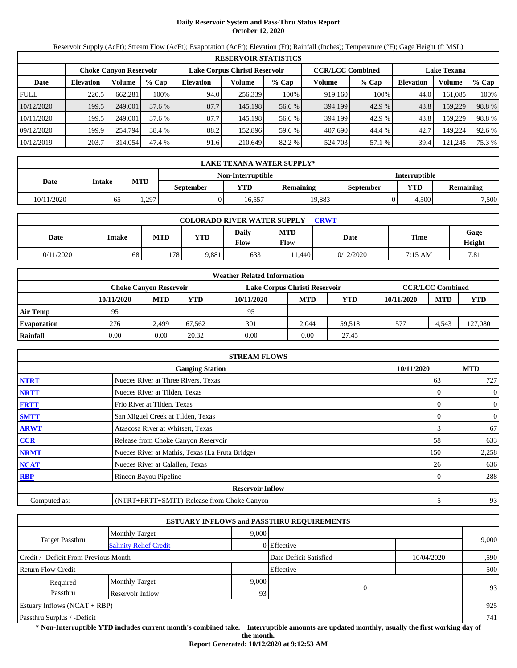# **Daily Reservoir System and Pass-Thru Status Report October 12, 2020**

Reservoir Supply (AcFt); Stream Flow (AcFt); Evaporation (AcFt); Elevation (Ft); Rainfall (Inches); Temperature (°F); Gage Height (ft MSL)

| <b>RESERVOIR STATISTICS</b> |                                                                                                                 |         |         |                  |         |         |         |         |                  |         |        |
|-----------------------------|-----------------------------------------------------------------------------------------------------------------|---------|---------|------------------|---------|---------|---------|---------|------------------|---------|--------|
|                             | <b>CCR/LCC Combined</b><br>Lake Corpus Christi Reservoir<br><b>Lake Texana</b><br><b>Choke Canyon Reservoir</b> |         |         |                  |         |         |         |         |                  |         |        |
| Date                        | <b>Elevation</b>                                                                                                | Volume  | $%$ Cap | <b>Elevation</b> | Volume  | $%$ Cap | Volume  | $%$ Cap | <b>Elevation</b> | Volume  | % Cap  |
| <b>FULL</b>                 | 220.5                                                                                                           | 662.281 | 100%    | 94.0             | 256,339 | 100%    | 919,160 | 100%    | 44.0             | 161.085 | 100%   |
| 10/12/2020                  | 199.5                                                                                                           | 249,001 | 37.6%   | 87.7             | 145.198 | 56.6 %  | 394,199 | 42.9 %  | 43.8             | 159,229 | 98.8%  |
| 10/11/2020                  | 199.5                                                                                                           | 249,001 | 37.6 %  | 87.7             | 145.198 | 56.6 %  | 394.199 | 42.9 %  | 43.8             | 159.229 | 98.8%  |
| 09/12/2020                  | 199.9                                                                                                           | 254,794 | 38.4 %  | 88.2             | 152.896 | 59.6 %  | 407,690 | 44.4 %  | 42.7             | 149.224 | 92.6 % |
| 10/12/2019                  | 203.7                                                                                                           | 314,054 | 47.4 %  | 91.6             | 210,649 | 82.2 %  | 524,703 | 57.1 %  | 39.4             | 121,245 | 75.3 % |

|            | <b>LAKE TEXANA WATER SUPPLY*</b> |            |                  |                   |                  |           |                      |                  |  |  |  |
|------------|----------------------------------|------------|------------------|-------------------|------------------|-----------|----------------------|------------------|--|--|--|
|            |                                  |            |                  | Non-Interruptible |                  |           | <b>Interruptible</b> |                  |  |  |  |
| Date       | Intake                           | <b>MTD</b> | <b>September</b> | VTD-              | <b>Remaining</b> | September | <b>YTD</b>           | <b>Remaining</b> |  |  |  |
| 10/11/2020 | 65                               | . 297      |                  | 16.557            | 19.883           |           | 4.500                | 7,500            |  |  |  |

| <b>COLORADO RIVER WATER SUPPLY</b><br><b>CRWT</b> |        |            |            |               |                    |             |         |                |  |  |
|---------------------------------------------------|--------|------------|------------|---------------|--------------------|-------------|---------|----------------|--|--|
| Date                                              | Intake | <b>MTD</b> | <b>YTD</b> | Daily<br>Flow | <b>MTD</b><br>Flow | <b>Date</b> | Time    | Gage<br>Height |  |  |
| 10/11/2020                                        | 68     | 178        | 9,881      | 633           | 1.440              | 10/12/2020  | 7:15 AM | 7.81           |  |  |

|                    |                               |            |        | <b>Weather Related Information</b> |            |        |            |                         |         |
|--------------------|-------------------------------|------------|--------|------------------------------------|------------|--------|------------|-------------------------|---------|
|                    | <b>Choke Canvon Reservoir</b> |            |        | Lake Corpus Christi Reservoir      |            |        |            | <b>CCR/LCC Combined</b> |         |
|                    | 10/11/2020                    | <b>MTD</b> | YTD    | 10/11/2020                         | <b>MTD</b> | YTD    | 10/11/2020 | <b>MTD</b>              | YTD     |
| <b>Air Temp</b>    | 95                            |            |        | 95                                 |            |        |            |                         |         |
| <b>Evaporation</b> | 276                           | 2.499      | 67.562 | 301                                | 2.044      | 59.518 | 577        | 4.543                   | 127,080 |
| Rainfall           | 0.00                          | 0.00       | 20.32  | 0.00                               | 0.00       | 27.45  |            |                         |         |

|              | <b>STREAM FLOWS</b>                             |            |                |
|--------------|-------------------------------------------------|------------|----------------|
|              | <b>Gauging Station</b>                          | 10/11/2020 | <b>MTD</b>     |
| <b>NTRT</b>  | Nueces River at Three Rivers, Texas             | 63         | 727            |
| <b>NRTT</b>  | Nueces River at Tilden, Texas                   | $\Omega$   | $\overline{0}$ |
| <b>FRTT</b>  | Frio River at Tilden, Texas                     |            | $\mathbf{0}$   |
| <b>SMTT</b>  | San Miguel Creek at Tilden, Texas               | $\Omega$   | $\mathbf{0}$   |
| <b>ARWT</b>  | Atascosa River at Whitsett, Texas               | 3          | 67             |
| CCR          | Release from Choke Canyon Reservoir             | 58         | 633            |
| <b>NRMT</b>  | Nueces River at Mathis, Texas (La Fruta Bridge) | 150        | 2,258          |
| <b>NCAT</b>  | Nueces River at Calallen, Texas                 | 26         | 636            |
| <b>RBP</b>   | Rincon Bayou Pipeline                           |            | 288            |
|              | <b>Reservoir Inflow</b>                         |            |                |
| Computed as: | (NTRT+FRTT+SMTT)-Release from Choke Canyon      | 5          | 93             |

|                                                         |                       |       | <b>ESTUARY INFLOWS and PASSTHRU REQUIREMENTS</b> |            |         |
|---------------------------------------------------------|-----------------------|-------|--------------------------------------------------|------------|---------|
|                                                         | <b>Monthly Target</b> | 9.000 |                                                  |            | 9,000   |
| <b>Target Passthru</b><br><b>Salinity Relief Credit</b> |                       |       | 0 Effective                                      |            |         |
| Credit / -Deficit From Previous Month                   |                       |       | Date Deficit Satisfied                           | 10/04/2020 | $-.590$ |
| <b>Return Flow Credit</b>                               |                       |       | Effective                                        |            | 500     |
| Required                                                | <b>Monthly Target</b> | 9,000 |                                                  |            |         |
| Passthru                                                | Reservoir Inflow      | 93    | 0                                                |            | 93      |
| Estuary Inflows $(NCAT + RBP)$                          |                       |       |                                                  | 925        |         |
| Passthru Surplus / -Deficit                             |                       |       |                                                  | 741        |         |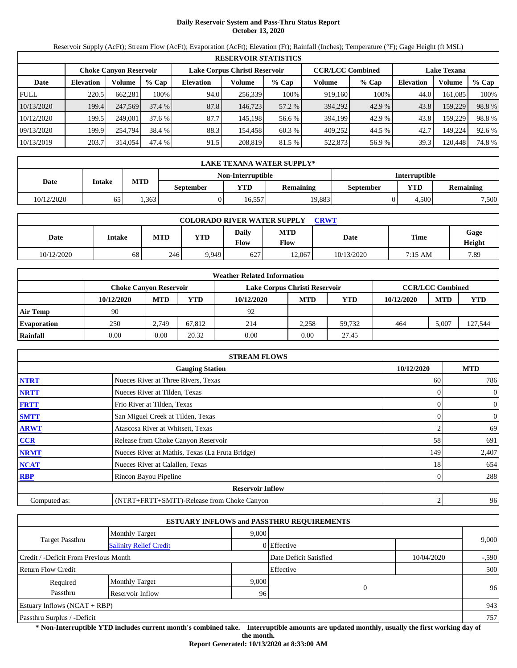# **Daily Reservoir System and Pass-Thru Status Report October 13, 2020**

Reservoir Supply (AcFt); Stream Flow (AcFt); Evaporation (AcFt); Elevation (Ft); Rainfall (Inches); Temperature (°F); Gage Height (ft MSL)

|                                                                | <b>RESERVOIR STATISTICS</b> |         |         |                  |                         |         |         |                    |                  |         |        |  |
|----------------------------------------------------------------|-----------------------------|---------|---------|------------------|-------------------------|---------|---------|--------------------|------------------|---------|--------|--|
| Lake Corpus Christi Reservoir<br><b>Choke Canyon Reservoir</b> |                             |         |         |                  | <b>CCR/LCC Combined</b> |         |         | <b>Lake Texana</b> |                  |         |        |  |
| Date                                                           | <b>Elevation</b>            | Volume  | $%$ Cap | <b>Elevation</b> | Volume                  | $%$ Cap | Volume  | $%$ Cap            | <b>Elevation</b> | Volume  | % Cap  |  |
| <b>FULL</b>                                                    | 220.5                       | 662.281 | 100%    | 94.0             | 256,339                 | 100%    | 919.160 | 100%               | 44.0             | 161.085 | 100%   |  |
| 10/13/2020                                                     | 199.4                       | 247,569 | 37.4%   | 87.8             | 146,723                 | 57.2 %  | 394,292 | 42.9 %             | 43.8             | 159,229 | 98.8%  |  |
| 10/12/2020                                                     | 199.5                       | 249,001 | 37.6 %  | 87.7             | 145.198                 | 56.6 %  | 394.199 | 42.9 %             | 43.8             | 159.229 | 98.8%  |  |
| 09/13/2020                                                     | 199.9                       | 254,794 | 38.4 %  | 88.3             | 154.458                 | 60.3 %  | 409.252 | 44.5 %             | 42.7             | 149.224 | 92.6 % |  |
| 10/13/2019                                                     | 203.7                       | 314,054 | 47.4 %  | 91.5             | 208,819                 | 81.5 %  | 522,873 | 56.9 %             | 39.3             | 120.448 | 74.8 % |  |

|            | <b>LAKE TEXANA WATER SUPPLY*</b> |            |                  |                   |                  |                      |       |                  |  |  |  |
|------------|----------------------------------|------------|------------------|-------------------|------------------|----------------------|-------|------------------|--|--|--|
|            |                                  |            |                  | Non-Interruptible |                  | <b>Interruptible</b> |       |                  |  |  |  |
| Date       | Intake                           | <b>MTD</b> | <b>September</b> | <b>YTD</b>        | <b>Remaining</b> | September            | YTD   | <b>Remaining</b> |  |  |  |
| 10/12/2020 | 65                               | .363       |                  | 16.557            | 19.883           |                      | 4.500 | 7.500            |  |  |  |

| <b>COLORADO RIVER WATER SUPPLY</b><br><b>CRWT</b> |        |            |            |               |                    |             |         |                |  |  |  |
|---------------------------------------------------|--------|------------|------------|---------------|--------------------|-------------|---------|----------------|--|--|--|
| Date                                              | Intake | <b>MTD</b> | <b>YTD</b> | Daily<br>Flow | <b>MTD</b><br>Flow | <b>Date</b> | Time    | Gage<br>Height |  |  |  |
| 10/12/2020                                        | 68     | 246        | 9,949      | 627           | 12,067             | 10/13/2020  | 7:15 AM | 7.89           |  |  |  |

|                    |                               |            |        | <b>Weather Related Information</b> |            |        |            |                         |         |
|--------------------|-------------------------------|------------|--------|------------------------------------|------------|--------|------------|-------------------------|---------|
|                    | <b>Choke Canvon Reservoir</b> |            |        | Lake Corpus Christi Reservoir      |            |        |            | <b>CCR/LCC Combined</b> |         |
|                    | 10/12/2020                    | <b>MTD</b> | YTD    | 10/12/2020                         | <b>MTD</b> | YTD    | 10/12/2020 | <b>MTD</b>              | YTD     |
| <b>Air Temp</b>    | 90                            |            |        | 92                                 |            |        |            |                         |         |
| <b>Evaporation</b> | 250                           | 2.749      | 67.812 | 214                                | 2.258      | 59.732 | 464        | 5.007                   | 127,544 |
| Rainfall           | 0.00                          | 0.00       | 20.32  | 0.00                               | 0.00       | 27.45  |            |                         |         |

|              | <b>STREAM FLOWS</b>                             |            |                |
|--------------|-------------------------------------------------|------------|----------------|
|              | <b>Gauging Station</b>                          | 10/12/2020 | <b>MTD</b>     |
| <b>NTRT</b>  | Nueces River at Three Rivers, Texas             | 60         | 786            |
| <b>NRTT</b>  | Nueces River at Tilden, Texas                   |            | $\overline{0}$ |
| <b>FRTT</b>  | Frio River at Tilden, Texas                     |            | $\overline{0}$ |
| <b>SMTT</b>  | San Miguel Creek at Tilden, Texas               | 0          | $\overline{0}$ |
| <b>ARWT</b>  | Atascosa River at Whitsett, Texas               |            | 69             |
| CCR          | Release from Choke Canyon Reservoir             | 58         | 691            |
| <b>NRMT</b>  | Nueces River at Mathis, Texas (La Fruta Bridge) | 149        | 2,407          |
| <b>NCAT</b>  | Nueces River at Calallen, Texas                 | 18         | 654            |
| <b>RBP</b>   | Rincon Bayou Pipeline                           | 0          | 288            |
|              | <b>Reservoir Inflow</b>                         |            |                |
| Computed as: | (NTRT+FRTT+SMTT)-Release from Choke Canyon      | 2          | 96             |

|                                                  |                       |       | <b>ESTUARY INFLOWS and PASSTHRU REQUIREMENTS</b> |            |         |
|--------------------------------------------------|-----------------------|-------|--------------------------------------------------|------------|---------|
|                                                  | <b>Monthly Target</b> | 9.000 |                                                  |            |         |
| Target Passthru<br><b>Salinity Relief Credit</b> |                       |       | 0 Effective                                      |            | 9,000   |
| Credit / -Deficit From Previous Month            |                       |       | Date Deficit Satisfied                           | 10/04/2020 | $-.590$ |
| <b>Return Flow Credit</b>                        |                       |       | Effective                                        |            | 500     |
| Required                                         | <b>Monthly Target</b> | 9,000 |                                                  |            |         |
| Passthru                                         | Reservoir Inflow      | 96    | $\theta$                                         |            | 96      |
| Estuary Inflows $(NCAT + RBP)$                   |                       |       |                                                  |            | 943     |
| Passthru Surplus / -Deficit                      |                       |       |                                                  |            | 757     |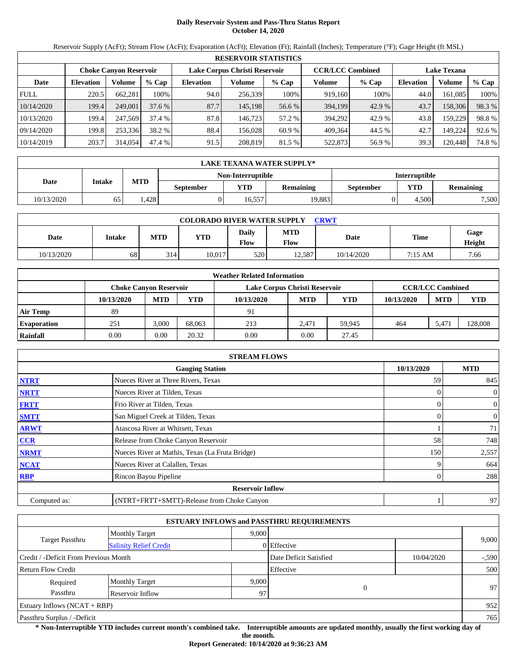# **Daily Reservoir System and Pass-Thru Status Report October 14, 2020**

Reservoir Supply (AcFt); Stream Flow (AcFt); Evaporation (AcFt); Elevation (Ft); Rainfall (Inches); Temperature (°F); Gage Height (ft MSL)

|             | <b>RESERVOIR STATISTICS</b>   |         |         |                  |         |                                                          |         |         |                  |                    |        |  |
|-------------|-------------------------------|---------|---------|------------------|---------|----------------------------------------------------------|---------|---------|------------------|--------------------|--------|--|
|             | <b>Choke Canyon Reservoir</b> |         |         |                  |         | <b>CCR/LCC Combined</b><br>Lake Corpus Christi Reservoir |         |         |                  | <b>Lake Texana</b> |        |  |
| Date        | <b>Elevation</b>              | Volume  | $%$ Cap | <b>Elevation</b> | Volume  | $%$ Cap                                                  | Volume  | $%$ Cap | <b>Elevation</b> | Volume             | % Cap  |  |
| <b>FULL</b> | 220.5                         | 662,281 | 100%    | 94.0             | 256,339 | 100%                                                     | 919,160 | 100%    | 44.0             | 161.085            | 100%   |  |
| 10/14/2020  | 199.4                         | 249,001 | 37.6%   | 87.7             | 145.198 | 56.6 %                                                   | 394,199 | 42.9 %  | 43.7             | 158,306            | 98.3%  |  |
| 10/13/2020  | 199.4                         | 247,569 | 37.4 %  | 87.8             | 146.723 | 57.2 %                                                   | 394.292 | 42.9 %  | 43.8             | 159.229            | 98.8%  |  |
| 09/14/2020  | 199.8                         | 253,336 | 38.2 %  | 88.4             | 156.028 | 60.9 %                                                   | 409.364 | 44.5 %  | 42.7             | 149.224            | 92.6 % |  |
| 10/14/2019  | 203.7                         | 314,054 | 47.4 %  | 91.5             | 208,819 | 81.5 %                                                   | 522,873 | 56.9 %  | 39.3             | 120.448            | 74.8 % |  |

|            | LAKE TEXANA WATER SUPPLY* |            |                  |                   |                  |                      |       |                  |  |  |  |
|------------|---------------------------|------------|------------------|-------------------|------------------|----------------------|-------|------------------|--|--|--|
|            |                           |            |                  | Non-Interruptible |                  | <b>Interruptible</b> |       |                  |  |  |  |
| Date       | Intake                    | <b>MTD</b> | <b>September</b> | <b>YTD</b>        | <b>Remaining</b> | September            | YTD   | <b>Remaining</b> |  |  |  |
| 10/13/2020 | 65                        | .428       |                  | 16.557            | 19.883           |                      | 4.500 | 7.500            |  |  |  |

| <b>COLORADO RIVER WATER SUPPLY</b><br>CRWT |        |            |            |                      |                    |            |             |                |  |  |
|--------------------------------------------|--------|------------|------------|----------------------|--------------------|------------|-------------|----------------|--|--|
| Date                                       | Intake | <b>MTD</b> | <b>YTD</b> | Daily<br><b>Flow</b> | <b>MTD</b><br>Flow | Date       | <b>Time</b> | Gage<br>Height |  |  |
| 10/13/2020                                 | 68     | 314        | 10.017     | 520                  | 12.587             | 10/14/2020 | 7:15 AM     | 7.66           |  |  |

|                    |            |                               |        | <b>Weather Related Information</b> |            |            |            |                         |            |
|--------------------|------------|-------------------------------|--------|------------------------------------|------------|------------|------------|-------------------------|------------|
|                    |            | <b>Choke Canvon Reservoir</b> |        | Lake Corpus Christi Reservoir      |            |            |            | <b>CCR/LCC Combined</b> |            |
|                    | 10/13/2020 | <b>MTD</b>                    | YTD    | 10/13/2020                         | <b>MTD</b> | <b>YTD</b> | 10/13/2020 | <b>MTD</b>              | <b>YTD</b> |
| <b>Air Temp</b>    | 89         |                               |        | 91                                 |            |            |            |                         |            |
| <b>Evaporation</b> | 251        | 3.000                         | 68.063 | 213                                | 2.471      | 59.945     | 464        | 5.471                   | 128,008    |
| Rainfall           | 0.00       | 0.00                          | 20.32  | 0.00                               | 0.00       | 27.45      |            |                         |            |

|              | <b>STREAM FLOWS</b>                             |            |                |
|--------------|-------------------------------------------------|------------|----------------|
|              | <b>Gauging Station</b>                          | 10/13/2020 | <b>MTD</b>     |
| <b>NTRT</b>  | Nueces River at Three Rivers, Texas             | 59         | 845            |
| <b>NRTT</b>  | Nueces River at Tilden, Texas                   |            | $\mathbf{0}$   |
| <b>FRTT</b>  | Frio River at Tilden, Texas                     | $\Omega$   | $\overline{0}$ |
| <b>SMTT</b>  | San Miguel Creek at Tilden, Texas               | $\Omega$   | $\mathbf{0}$   |
| <b>ARWT</b>  | Atascosa River at Whitsett, Texas               |            | 71             |
| CCR          | Release from Choke Canyon Reservoir             | 58         | 748            |
| <b>NRMT</b>  | Nueces River at Mathis, Texas (La Fruta Bridge) | 150        | 2,557          |
| <b>NCAT</b>  | Nueces River at Calallen, Texas                 | 9          | 664            |
| <b>RBP</b>   | Rincon Bayou Pipeline                           |            | 288            |
|              | <b>Reservoir Inflow</b>                         |            |                |
| Computed as: | (NTRT+FRTT+SMTT)-Release from Choke Canyon      |            | 97             |

|                                                         |                       |       | <b>ESTUARY INFLOWS and PASSTHRU REQUIREMENTS</b> |            |         |
|---------------------------------------------------------|-----------------------|-------|--------------------------------------------------|------------|---------|
|                                                         | <b>Monthly Target</b> | 9,000 |                                                  |            |         |
| <b>Target Passthru</b><br><b>Salinity Relief Credit</b> |                       |       | 0 Effective                                      |            | 9,000   |
| Credit / -Deficit From Previous Month                   |                       |       | Date Deficit Satisfied                           | 10/04/2020 | $-.590$ |
| <b>Return Flow Credit</b>                               |                       |       | Effective                                        |            | 500     |
| Required                                                | <b>Monthly Target</b> | 9,000 |                                                  |            |         |
| Passthru                                                | Reservoir Inflow      | 97    | $\Omega$                                         |            | 97      |
| <b>Estuary Inflows (NCAT + RBP)</b>                     |                       |       |                                                  |            | 952     |
| Passthru Surplus / -Deficit                             |                       |       |                                                  |            | 765     |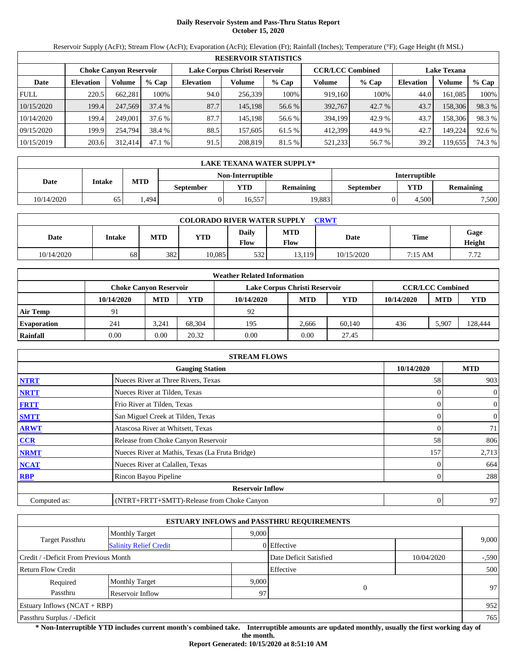## **Daily Reservoir System and Pass-Thru Status Report October 15, 2020**

Reservoir Supply (AcFt); Stream Flow (AcFt); Evaporation (AcFt); Elevation (Ft); Rainfall (Inches); Temperature (°F); Gage Height (ft MSL)

|             | <b>RESERVOIR STATISTICS</b> |                        |         |                               |         |         |                         |         |                    |         |        |  |  |
|-------------|-----------------------------|------------------------|---------|-------------------------------|---------|---------|-------------------------|---------|--------------------|---------|--------|--|--|
|             |                             | Choke Canvon Reservoir |         | Lake Corpus Christi Reservoir |         |         | <b>CCR/LCC Combined</b> |         | <b>Lake Texana</b> |         |        |  |  |
| Date        | <b>Elevation</b>            | Volume                 | $%$ Cap | <b>Elevation</b>              | Volume  | $%$ Cap | Volume                  | $%$ Cap | <b>Elevation</b>   | Volume  | % Cap  |  |  |
| <b>FULL</b> | 220.5                       | 662,281                | 100%    | 94.0                          | 256,339 | 100%    | 919.160                 | 100%    | 44.0               | 161,085 | 100%   |  |  |
| 10/15/2020  | 199.4                       | 247,569                | 37.4%   | 87.7                          | 145.198 | 56.6 %  | 392,767                 | 42.7 %  | 43.7               | 158,306 | 98.3 % |  |  |
| 10/14/2020  | 199.4                       | 249,001                | 37.6%   | 87.7                          | 145.198 | 56.6 %  | 394.199                 | 42.9 %  | 43.7               | 158,306 | 98.3 % |  |  |
| 09/15/2020  | 199.9                       | 254,794                | 38.4 %  | 88.5                          | 157,605 | 61.5 %  | 412.399                 | 44.9 %  | 42.7               | 149.224 | 92.6 % |  |  |
| 10/15/2019  | 203.6                       | 312,414                | 47.1%   | 91.5                          | 208.819 | 81.5 %  | 521,233                 | 56.7 %  | 39.2               | 19,655  | 74.3 % |  |  |

|            | <b>LAKE TEXANA WATER SUPPLY*</b> |                                           |                  |        |                  |                  |            |                  |  |  |  |
|------------|----------------------------------|-------------------------------------------|------------------|--------|------------------|------------------|------------|------------------|--|--|--|
|            |                                  | <b>Interruptible</b><br>Non-Interruptible |                  |        |                  |                  |            |                  |  |  |  |
| Date       | Intake                           | <b>MTD</b>                                | <b>September</b> | VTD-   | <b>Remaining</b> | <b>September</b> | <b>YTD</b> | <b>Remaining</b> |  |  |  |
| 10/14/2020 | 65                               | 1.494                                     |                  | 16.557 | 19.883           |                  | 4.500      | 7,500            |  |  |  |

| <b>COLORADO RIVER WATER SUPPLY</b><br>CRWT |        |            |            |                      |                    |            |             |                |  |  |
|--------------------------------------------|--------|------------|------------|----------------------|--------------------|------------|-------------|----------------|--|--|
| Date                                       | Intake | <b>MTD</b> | <b>YTD</b> | Daily<br><b>Flow</b> | <b>MTD</b><br>Flow | Date       | <b>Time</b> | Gage<br>Height |  |  |
| 10/14/2020                                 | 68     | 382        | 10.085     | 532                  | 13.119             | 10/15/2020 | 7:15 AM     | 770<br>.12     |  |  |

|                    | <b>Weather Related Information</b> |                               |        |                               |            |            |            |                         |            |  |  |  |
|--------------------|------------------------------------|-------------------------------|--------|-------------------------------|------------|------------|------------|-------------------------|------------|--|--|--|
|                    |                                    | <b>Choke Canvon Reservoir</b> |        | Lake Corpus Christi Reservoir |            |            |            | <b>CCR/LCC Combined</b> |            |  |  |  |
|                    | 10/14/2020                         | <b>MTD</b>                    | YTD    | 10/14/2020                    | <b>MTD</b> | <b>YTD</b> | 10/14/2020 | <b>MTD</b>              | <b>YTD</b> |  |  |  |
| <b>Air Temp</b>    |                                    |                               |        | 92                            |            |            |            |                         |            |  |  |  |
| <b>Evaporation</b> | 241                                | 3.241                         | 68.304 | 195                           | 2.666      | 60.140     | 436        | 5.907                   | 128,444    |  |  |  |
| Rainfall           | 0.00                               | 0.00                          | 20.32  | 0.00                          | 0.00       | 27.45      |            |                         |            |  |  |  |

|              | <b>STREAM FLOWS</b>                             |                |                |
|--------------|-------------------------------------------------|----------------|----------------|
|              | <b>Gauging Station</b>                          | 10/14/2020     | <b>MTD</b>     |
| <b>NTRT</b>  | Nueces River at Three Rivers, Texas             | 58             | 903            |
| <b>NRTT</b>  | Nueces River at Tilden, Texas                   |                | $\overline{0}$ |
| <b>FRTT</b>  | Frio River at Tilden, Texas                     |                | $\overline{0}$ |
| <b>SMTT</b>  | San Miguel Creek at Tilden, Texas               | 0              | $\overline{0}$ |
| <b>ARWT</b>  | Atascosa River at Whitsett, Texas               | 0              | 71             |
| CCR          | Release from Choke Canyon Reservoir             | 58             | 806            |
| <b>NRMT</b>  | Nueces River at Mathis, Texas (La Fruta Bridge) | 157            | 2,713          |
| <b>NCAT</b>  | Nueces River at Calallen, Texas                 |                | 664            |
| <b>RBP</b>   | Rincon Bayou Pipeline                           | 0              | 288            |
|              | <b>Reservoir Inflow</b>                         |                |                |
| Computed as: | (NTRT+FRTT+SMTT)-Release from Choke Canyon      | $\overline{0}$ | 97             |

|                                       |                               |       | <b>ESTUARY INFLOWS and PASSTHRU REQUIREMENTS</b> |            |         |
|---------------------------------------|-------------------------------|-------|--------------------------------------------------|------------|---------|
|                                       | <b>Monthly Target</b>         | 9.000 |                                                  |            |         |
| Target Passthru                       | <b>Salinity Relief Credit</b> |       | 0 Effective                                      |            | 9,000   |
| Credit / -Deficit From Previous Month |                               |       | Date Deficit Satisfied                           | 10/04/2020 | $-.590$ |
| <b>Return Flow Credit</b>             |                               |       | Effective                                        |            | 500     |
| Required                              | <b>Monthly Target</b>         | 9,000 |                                                  |            |         |
| Passthru                              | Reservoir Inflow              | 97    | 0                                                |            | 97      |
| Estuary Inflows $(NCAT + RBP)$        |                               |       |                                                  |            | 952     |
| Passthru Surplus / -Deficit           |                               |       |                                                  |            | 765     |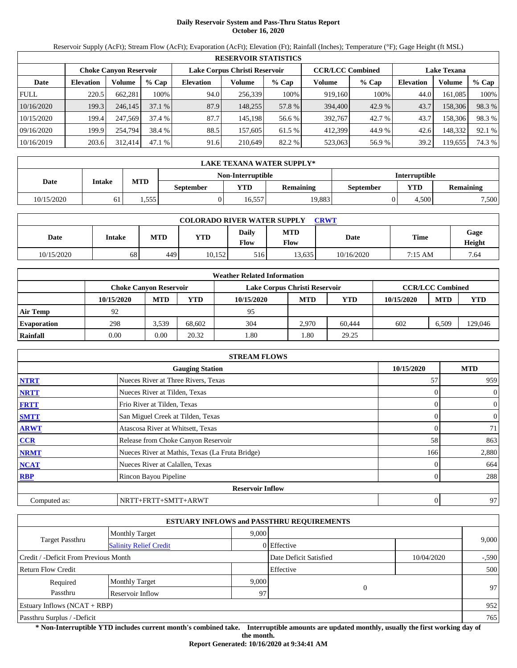## **Daily Reservoir System and Pass-Thru Status Report October 16, 2020**

Reservoir Supply (AcFt); Stream Flow (AcFt); Evaporation (AcFt); Elevation (Ft); Rainfall (Inches); Temperature (°F); Gage Height (ft MSL)

|             | <b>RESERVOIR STATISTICS</b> |                               |         |                               |         |         |                         |         |                    |         |        |  |  |
|-------------|-----------------------------|-------------------------------|---------|-------------------------------|---------|---------|-------------------------|---------|--------------------|---------|--------|--|--|
|             |                             | <b>Choke Canyon Reservoir</b> |         | Lake Corpus Christi Reservoir |         |         | <b>CCR/LCC Combined</b> |         | <b>Lake Texana</b> |         |        |  |  |
| Date        | <b>Elevation</b>            | Volume                        | $%$ Cap | <b>Elevation</b>              | Volume  | $%$ Cap | Volume                  | $%$ Cap | <b>Elevation</b>   | Volume  | % Cap  |  |  |
| <b>FULL</b> | 220.5                       | 662.281                       | 100%    | 94.0                          | 256,339 | 100%    | 919.160                 | 100%    | 44.0               | 161.085 | 100%   |  |  |
| 10/16/2020  | 199.3                       | 246,145                       | 37.1%   | 87.9                          | 148.255 | 57.8 %  | 394,400                 | 42.9 %  | 43.7               | 158,306 | 98.3%  |  |  |
| 10/15/2020  | 199.4                       | 247,569                       | 37.4 %  | 87.7                          | 145.198 | 56.6 %  | 392,767                 | 42.7 %  | 43.7               | 158.306 | 98.3 % |  |  |
| 09/16/2020  | 199.9                       | 254,794                       | 38.4 %  | 88.5                          | 157.605 | 61.5 %  | 412.399                 | 44.9 %  | 42.6               | 148.332 | 92.1 % |  |  |
| 10/16/2019  | 203.6                       | 312,414                       | 47.1 %  | 91.6                          | 210.649 | 82.2 %  | 523,063                 | 56.9 %  | 39.2               | 119,655 | 74.3 % |  |  |

|            | LAKE TEXANA WATER SUPPLY* |                                           |                  |        |                  |           |       |           |  |  |  |
|------------|---------------------------|-------------------------------------------|------------------|--------|------------------|-----------|-------|-----------|--|--|--|
|            |                           | <b>Interruptible</b><br>Non-Interruptible |                  |        |                  |           |       |           |  |  |  |
| Date       | Intake                    | <b>MTD</b>                                | <b>September</b> | YTD    | <b>Remaining</b> | September | YTD   | Remaining |  |  |  |
| 10/15/2020 | 61                        | . 555                                     |                  | 16.557 | 19.883           |           | 4.500 | 7,500     |  |  |  |

| <b>COLORADO RIVER WATER SUPPLY</b><br>CRWT |        |            |            |                      |                    |            |             |                |  |  |
|--------------------------------------------|--------|------------|------------|----------------------|--------------------|------------|-------------|----------------|--|--|
| Date                                       | Intake | <b>MTD</b> | <b>YTD</b> | Daily<br><b>Flow</b> | <b>MTD</b><br>Flow | Date       | <b>Time</b> | Gage<br>Height |  |  |
| 10/15/2020                                 | 68     | 449        | 10.152     | 516                  | 13.635             | 10/16/2020 | 7:15 AM     | 7.64           |  |  |

|                    | <b>Weather Related Information</b> |            |        |                               |            |        |            |                         |         |  |  |  |
|--------------------|------------------------------------|------------|--------|-------------------------------|------------|--------|------------|-------------------------|---------|--|--|--|
|                    | <b>Choke Canvon Reservoir</b>      |            |        | Lake Corpus Christi Reservoir |            |        |            | <b>CCR/LCC Combined</b> |         |  |  |  |
|                    | 10/15/2020                         | <b>MTD</b> | YTD    | 10/15/2020                    | <b>MTD</b> | YTD    | 10/15/2020 | <b>MTD</b>              | YTD     |  |  |  |
| <b>Air Temp</b>    | 92                                 |            |        | 95                            |            |        |            |                         |         |  |  |  |
| <b>Evaporation</b> | 298                                | 3,539      | 68.602 | 304                           | 2.970      | 60.444 | 602        | 6.509                   | 129,046 |  |  |  |
| Rainfall           | 0.00                               | 0.00       | 20.32  | 1.80                          | 1.80       | 29.25  |            |                         |         |  |  |  |

|              | <b>STREAM FLOWS</b>                             |            |                |  |  |  |  |  |
|--------------|-------------------------------------------------|------------|----------------|--|--|--|--|--|
|              | <b>Gauging Station</b>                          | 10/15/2020 | <b>MTD</b>     |  |  |  |  |  |
| <b>NTRT</b>  | Nueces River at Three Rivers, Texas             | 57         | 959            |  |  |  |  |  |
| <b>NRTT</b>  | Nueces River at Tilden, Texas                   |            | $\overline{0}$ |  |  |  |  |  |
| <b>FRTT</b>  | Frio River at Tilden, Texas                     |            | $\overline{0}$ |  |  |  |  |  |
| <b>SMTT</b>  | San Miguel Creek at Tilden, Texas               |            | $\overline{0}$ |  |  |  |  |  |
| <b>ARWT</b>  | Atascosa River at Whitsett, Texas               |            | 71             |  |  |  |  |  |
| CCR          | Release from Choke Canyon Reservoir             | 58         | 863            |  |  |  |  |  |
| <b>NRMT</b>  | Nueces River at Mathis, Texas (La Fruta Bridge) | 166        | 2,880          |  |  |  |  |  |
| <b>NCAT</b>  | Nueces River at Calallen, Texas                 |            | 664            |  |  |  |  |  |
| <b>RBP</b>   | Rincon Bayou Pipeline                           |            | 288            |  |  |  |  |  |
|              | <b>Reservoir Inflow</b>                         |            |                |  |  |  |  |  |
| Computed as: | NRTT+FRTT+SMTT+ARWT                             | 0          | 97             |  |  |  |  |  |

|                                       |                               |       | <b>ESTUARY INFLOWS and PASSTHRU REQUIREMENTS</b> |            |        |
|---------------------------------------|-------------------------------|-------|--------------------------------------------------|------------|--------|
|                                       | <b>Monthly Target</b>         | 9,000 |                                                  |            |        |
| <b>Target Passthru</b>                | <b>Salinity Relief Credit</b> |       | 0 Effective                                      |            | 9,000  |
| Credit / -Deficit From Previous Month |                               |       | Date Deficit Satisfied                           | 10/04/2020 | $-590$ |
| <b>Return Flow Credit</b>             |                               |       | Effective                                        |            | 500    |
| Required                              | <b>Monthly Target</b>         | 9,000 |                                                  |            |        |
| Passthru                              | Reservoir Inflow              | 97    | $\overline{0}$                                   |            | 97     |
| <b>Estuary Inflows (NCAT + RBP)</b>   |                               |       |                                                  |            | 952    |
| Passthru Surplus / -Deficit           |                               |       |                                                  |            | 765    |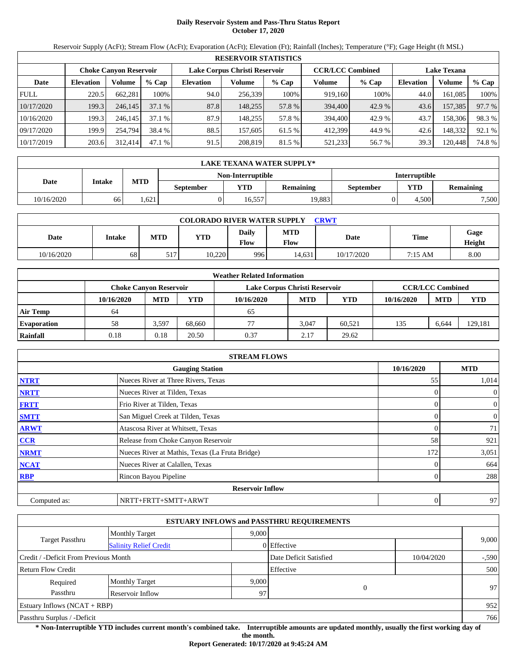# **Daily Reservoir System and Pass-Thru Status Report October 17, 2020**

Reservoir Supply (AcFt); Stream Flow (AcFt); Evaporation (AcFt); Elevation (Ft); Rainfall (Inches); Temperature (°F); Gage Height (ft MSL)

|             | <b>RESERVOIR STATISTICS</b> |                               |         |                               |         |         |                         |         |                    |         |        |  |  |
|-------------|-----------------------------|-------------------------------|---------|-------------------------------|---------|---------|-------------------------|---------|--------------------|---------|--------|--|--|
|             |                             | <b>Choke Canyon Reservoir</b> |         | Lake Corpus Christi Reservoir |         |         | <b>CCR/LCC Combined</b> |         | <b>Lake Texana</b> |         |        |  |  |
| Date        | <b>Elevation</b>            | Volume                        | $%$ Cap | <b>Elevation</b>              | Volume  | $%$ Cap | Volume                  | $%$ Cap | <b>Elevation</b>   | Volume  | % Cap  |  |  |
| <b>FULL</b> | 220.5                       | 662.281                       | 100%    | 94.0                          | 256,339 | 100%    | 919.160                 | 100%    | 44.0               | 161.085 | 100%   |  |  |
| 10/17/2020  | 199.3                       | 246,145                       | 37.1%   | 87.8                          | 148.255 | 57.8 %  | 394,400                 | 42.9 %  | 43.6               | 157,385 | 97.7 % |  |  |
| 10/16/2020  | 199.3                       | 246.145                       | 37.1%   | 87.9                          | 148.255 | 57.8 %  | 394,400                 | 42.9 %  | 43.7               | 158,306 | 98.3%  |  |  |
| 09/17/2020  | 199.9                       | 254,794                       | 38.4 %  | 88.5                          | 157.605 | 61.5 %  | 412.399                 | 44.9 %  | 42.6               | 148.332 | 92.1 % |  |  |
| 10/17/2019  | 203.6                       | 312,414                       | 47.1%   | 91.5                          | 208,819 | 81.5 %  | 521,233                 | 56.7 %  | 39.3               | 120,448 | 74.8 % |  |  |

|            | LAKE TEXANA WATER SUPPLY* |            |                  |                   |                  |                      |            |                  |  |  |  |
|------------|---------------------------|------------|------------------|-------------------|------------------|----------------------|------------|------------------|--|--|--|
|            |                           |            |                  | Non-Interruptible |                  | <b>Interruptible</b> |            |                  |  |  |  |
| Date       | Intake                    | <b>MTD</b> | <b>September</b> | YTD.              | <b>Remaining</b> | <b>September</b>     | <b>YTD</b> | <b>Remaining</b> |  |  |  |
| 10/16/2020 | 66                        | . 621      |                  | 16.557            | 19.883           |                      | 4.500      | 7,500            |  |  |  |

| <b>COLORADO RIVER WATER SUPPLY</b><br>CRWT |        |            |            |                      |                    |            |             |                |  |  |
|--------------------------------------------|--------|------------|------------|----------------------|--------------------|------------|-------------|----------------|--|--|
| Date                                       | Intake | <b>MTD</b> | <b>YTD</b> | Daily<br><b>Flow</b> | <b>MTD</b><br>Flow | Date       | <b>Time</b> | Gage<br>Height |  |  |
| 10/16/2020                                 | 68     | 517        | 10,220     | 9961                 | 14.631             | 10/17/2020 | 7:15 AM     | 8.00           |  |  |

|                    |            |                               |        | <b>Weather Related Information</b> |            |            |            |                         |            |
|--------------------|------------|-------------------------------|--------|------------------------------------|------------|------------|------------|-------------------------|------------|
|                    |            | <b>Choke Canvon Reservoir</b> |        | Lake Corpus Christi Reservoir      |            |            |            | <b>CCR/LCC Combined</b> |            |
|                    | 10/16/2020 | <b>MTD</b>                    | YTD    | 10/16/2020                         | <b>MTD</b> | <b>YTD</b> | 10/16/2020 | <b>MTD</b>              | <b>YTD</b> |
| <b>Air Temp</b>    | 64         |                               |        | 65                                 |            |            |            |                         |            |
| <b>Evaporation</b> | 58         | 3,597                         | 68.660 | 77                                 | 3.047      | 60.521     | 135        | 6.644                   | 129,181    |
| Rainfall           | 0.18       | 0.18                          | 20.50  | 0.37                               | 2.17       | 29.62      |            |                         |            |

|              | <b>STREAM FLOWS</b>                             |            |              |
|--------------|-------------------------------------------------|------------|--------------|
|              | <b>Gauging Station</b>                          | 10/16/2020 | <b>MTD</b>   |
| <b>NTRT</b>  | Nueces River at Three Rivers, Texas             | 55         | 1,014        |
| <b>NRTT</b>  | Nueces River at Tilden, Texas                   | $\Omega$   | $\mathbf{0}$ |
| <b>FRTT</b>  | Frio River at Tilden, Texas                     | 0          | $\mathbf{0}$ |
| <b>SMTT</b>  | San Miguel Creek at Tilden, Texas               | $\Omega$   | $\mathbf{0}$ |
| <b>ARWT</b>  | Atascosa River at Whitsett, Texas               | 0          | 71           |
| CCR          | Release from Choke Canyon Reservoir             | 58         | 921          |
| <b>NRMT</b>  | Nueces River at Mathis, Texas (La Fruta Bridge) | 172        | 3,051        |
| <b>NCAT</b>  | Nueces River at Calallen, Texas                 | 0          | 664          |
| <b>RBP</b>   | Rincon Bayou Pipeline                           | 0          | 288          |
|              | <b>Reservoir Inflow</b>                         |            |              |
| Computed as: | NRTT+FRTT+SMTT+ARWT                             | 0          | 97           |

|                                       |                               |       | <b>ESTUARY INFLOWS and PASSTHRU REQUIREMENTS</b> |            |         |
|---------------------------------------|-------------------------------|-------|--------------------------------------------------|------------|---------|
|                                       | <b>Monthly Target</b>         | 9.000 |                                                  |            |         |
| <b>Target Passthru</b>                | <b>Salinity Relief Credit</b> |       | 0 Effective                                      |            | 9,000   |
| Credit / -Deficit From Previous Month |                               |       | Date Deficit Satisfied                           | 10/04/2020 | $-.590$ |
| <b>Return Flow Credit</b>             |                               |       | Effective                                        |            | 500     |
| Required                              | <b>Monthly Target</b>         | 9,000 |                                                  |            |         |
| Passthru                              | Reservoir Inflow              | 97    | $\Omega$                                         |            | 97      |
| Estuary Inflows $(NCAT + RBP)$        |                               |       |                                                  |            | 952     |
| Passthru Surplus / -Deficit           |                               |       |                                                  |            | 766     |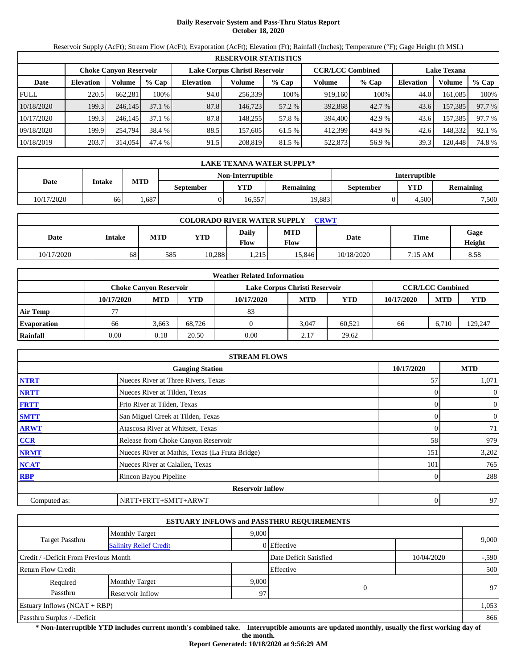## **Daily Reservoir System and Pass-Thru Status Report October 18, 2020**

Reservoir Supply (AcFt); Stream Flow (AcFt); Evaporation (AcFt); Elevation (Ft); Rainfall (Inches); Temperature (°F); Gage Height (ft MSL)

|             | <b>RESERVOIR STATISTICS</b>                                                               |         |         |                  |         |         |         |                    |                  |         |        |  |  |
|-------------|-------------------------------------------------------------------------------------------|---------|---------|------------------|---------|---------|---------|--------------------|------------------|---------|--------|--|--|
|             | <b>CCR/LCC Combined</b><br>Lake Corpus Christi Reservoir<br><b>Choke Canyon Reservoir</b> |         |         |                  |         |         |         | <b>Lake Texana</b> |                  |         |        |  |  |
| Date        | <b>Elevation</b>                                                                          | Volume  | $%$ Cap | <b>Elevation</b> | Volume  | $%$ Cap | Volume  | $%$ Cap            | <b>Elevation</b> | Volume  | % Cap  |  |  |
| <b>FULL</b> | 220.5                                                                                     | 662.281 | 100%    | 94.0             | 256,339 | 100%    | 919,160 | 100%               | 44.0             | 161.085 | 100%   |  |  |
| 10/18/2020  | 199.3                                                                                     | 246,145 | 37.1%   | 87.8             | 146,723 | 57.2 %  | 392,868 | 42.7 %             | 43.6             | 157,385 | 97.7 % |  |  |
| 10/17/2020  | 199.3                                                                                     | 246.145 | 37.1%   | 87.8             | 148.255 | 57.8 %  | 394,400 | 42.9 %             | 43.6             | 157,385 | 97.7 % |  |  |
| 09/18/2020  | 199.9                                                                                     | 254,794 | 38.4 %  | 88.5             | 157.605 | 61.5 %  | 412.399 | 44.9 %             | 42.6             | 148,332 | 92.1 % |  |  |
| 10/18/2019  | 203.7                                                                                     | 314,054 | 47.4 %  | 91.5             | 208,819 | 81.5 %  | 522,873 | 56.9%              | 39.3             | 120,448 | 74.8 % |  |  |

|            | <b>LAKE TEXANA WATER SUPPLY*</b> |            |                  |                   |           |                      |       |                  |  |  |  |
|------------|----------------------------------|------------|------------------|-------------------|-----------|----------------------|-------|------------------|--|--|--|
|            |                                  |            |                  | Non-Interruptible |           | <b>Interruptible</b> |       |                  |  |  |  |
| Date       | Intake                           | <b>MTD</b> | <b>September</b> | <b>YTD</b>        | Remaining | September            | YTD   | <b>Remaining</b> |  |  |  |
| 10/17/2020 | 66                               | .687       |                  | 16.557            | 19.883    |                      | 4.500 | 7,500            |  |  |  |

| <b>COLORADO RIVER WATER SUPPLY</b><br><b>CRWT</b> |        |            |            |                      |                    |            |         |                       |  |  |
|---------------------------------------------------|--------|------------|------------|----------------------|--------------------|------------|---------|-----------------------|--|--|
| Date                                              | Intake | <b>MTD</b> | <b>YTD</b> | Daily<br><b>Flow</b> | <b>MTD</b><br>Flow | Date       | Time    | Gage<br><b>Height</b> |  |  |
| 10/17/2020                                        | 68     | 5851       | 10.288     | 215<br>.             | 15.846             | 10/18/2020 | 7:15 AM | 8.58                  |  |  |

|                    |                               |            |        | <b>Weather Related Information</b> |            |        |            |                         |         |
|--------------------|-------------------------------|------------|--------|------------------------------------|------------|--------|------------|-------------------------|---------|
|                    | <b>Choke Canvon Reservoir</b> |            |        | Lake Corpus Christi Reservoir      |            |        |            | <b>CCR/LCC Combined</b> |         |
|                    | 10/17/2020                    | <b>MTD</b> | YTD    | 10/17/2020                         | <b>MTD</b> | YTD    | 10/17/2020 | <b>MTD</b>              | YTD     |
| <b>Air Temp</b>    |                               |            |        | 83                                 |            |        |            |                         |         |
| <b>Evaporation</b> | 66                            | 3,663      | 68.726 |                                    | 3.047      | 60.521 | 66         | 6.710                   | 129,247 |
| Rainfall           | 0.00                          | 0.18       | 20.50  | 0.00                               | 2.17       | 29.62  |            |                         |         |

|              | <b>STREAM FLOWS</b>                             |            |              |
|--------------|-------------------------------------------------|------------|--------------|
|              | <b>Gauging Station</b>                          | 10/17/2020 | <b>MTD</b>   |
| <b>NTRT</b>  | Nueces River at Three Rivers, Texas             | 57         | 1,071        |
| <b>NRTT</b>  | Nueces River at Tilden, Texas                   |            | $\mathbf{0}$ |
| <b>FRTT</b>  | Frio River at Tilden, Texas                     |            | $\mathbf{0}$ |
| <b>SMTT</b>  | San Miguel Creek at Tilden, Texas               | 0          | $\mathbf{0}$ |
| <b>ARWT</b>  | Atascosa River at Whitsett, Texas               |            | 71           |
| <b>CCR</b>   | Release from Choke Canyon Reservoir             | 58         | 979          |
| <b>NRMT</b>  | Nueces River at Mathis, Texas (La Fruta Bridge) | 151        | 3,202        |
| <b>NCAT</b>  | Nueces River at Calallen, Texas                 | 101        | 765          |
| <b>RBP</b>   | Rincon Bayou Pipeline                           |            | 288          |
|              | <b>Reservoir Inflow</b>                         |            |              |
| Computed as: | NRTT+FRTT+SMTT+ARWT                             | 0          | 97           |

|                                       |                               |       | <b>ESTUARY INFLOWS and PASSTHRU REQUIREMENTS</b> |            |         |  |
|---------------------------------------|-------------------------------|-------|--------------------------------------------------|------------|---------|--|
|                                       | <b>Monthly Target</b>         | 9,000 |                                                  |            |         |  |
| Target Passthru                       | <b>Salinity Relief Credit</b> |       | 0 Effective                                      |            | 9,000   |  |
| Credit / -Deficit From Previous Month |                               |       | Date Deficit Satisfied                           | 10/04/2020 | $-.590$ |  |
| <b>Return Flow Credit</b>             |                               |       | Effective                                        |            | 500     |  |
| Required                              | <b>Monthly Target</b>         | 9,000 |                                                  |            |         |  |
| Passthru                              | Reservoir Inflow              | 97    | $\theta$                                         |            | 97      |  |
| Estuary Inflows $(NCAT + RBP)$        |                               |       |                                                  |            | 1,053   |  |
| Passthru Surplus / -Deficit           |                               |       |                                                  |            |         |  |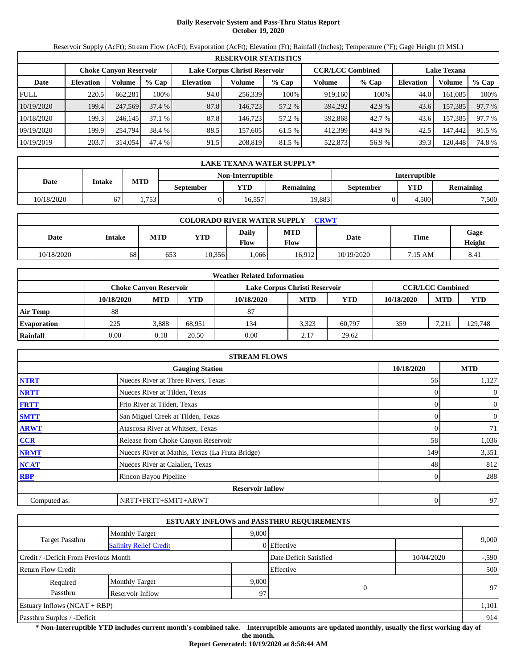## **Daily Reservoir System and Pass-Thru Status Report October 19, 2020**

Reservoir Supply (AcFt); Stream Flow (AcFt); Evaporation (AcFt); Elevation (Ft); Rainfall (Inches); Temperature (°F); Gage Height (ft MSL)

|             | <b>RESERVOIR STATISTICS</b> |                               |         |                               |         |         |                         |         |                    |         |        |  |  |
|-------------|-----------------------------|-------------------------------|---------|-------------------------------|---------|---------|-------------------------|---------|--------------------|---------|--------|--|--|
|             |                             | <b>Choke Canvon Reservoir</b> |         | Lake Corpus Christi Reservoir |         |         | <b>CCR/LCC Combined</b> |         | <b>Lake Texana</b> |         |        |  |  |
| Date        | <b>Elevation</b>            | Volume                        | $%$ Cap | <b>Elevation</b>              | Volume  | $%$ Cap | Volume                  | $%$ Cap | <b>Elevation</b>   | Volume  | % Cap  |  |  |
| <b>FULL</b> | 220.5                       | 662,281                       | 100%    | 94.0                          | 256,339 | 100%    | 919,160                 | 100%    | 44.0               | 161,085 | 100%   |  |  |
| 10/19/2020  | 199.4                       | 247,569                       | 37.4%   | 87.8                          | 146.723 | 57.2 %  | 394.292                 | 42.9 %  | 43.6               | 157,385 | 97.7 % |  |  |
| 10/18/2020  | 199.3                       | 246.145                       | 37.1%   | 87.8                          | 146.723 | 57.2 %  | 392,868                 | 42.7 %  | 43.6               | 157,385 | 97.7 % |  |  |
| 09/19/2020  | 199.9                       | 254,794                       | 38.4 %  | 88.5                          | 157.605 | 61.5 %  | 412.399                 | 44.9 %  | 42.5               | 147.442 | 91.5 % |  |  |
| 10/19/2019  | 203.7                       | 314,054                       | 47.4 %  | 91.5                          | 208,819 | 81.5 %  | 522,873                 | 56.9 %  | 39.3               | 120.448 | 74.8%  |  |  |

|            | <b>LAKE TEXANA WATER SUPPLY*</b> |            |           |                   |           |                      |       |                  |  |  |
|------------|----------------------------------|------------|-----------|-------------------|-----------|----------------------|-------|------------------|--|--|
|            |                                  |            |           | Non-Interruptible |           | <b>Interruptible</b> |       |                  |  |  |
| Date       | Intake                           | <b>MTD</b> | September | $\mathbf{v}$ TD   | Remaining | September            | YTD   | <b>Remaining</b> |  |  |
| 10/18/2020 |                                  | 1.753      |           | 16.557            | 19.883    |                      | 4.500 | 7.500            |  |  |

| <b>COLORADO RIVER WATER SUPPLY</b><br>CRWT |        |            |            |                      |                    |            |             |                |  |  |
|--------------------------------------------|--------|------------|------------|----------------------|--------------------|------------|-------------|----------------|--|--|
| Date                                       | Intake | <b>MTD</b> | <b>YTD</b> | <b>Daily</b><br>Flow | <b>MTD</b><br>Flow | Date       | <b>Time</b> | Gage<br>Height |  |  |
| 10/18/2020                                 | 68     | 653        | 10.356     | .066                 | 16.912             | 10/19/2020 | 7:15 AM     | 8.41           |  |  |

|                    |            |                               |        | <b>Weather Related Information</b> |            |            |            |                         |            |
|--------------------|------------|-------------------------------|--------|------------------------------------|------------|------------|------------|-------------------------|------------|
|                    |            | <b>Choke Canvon Reservoir</b> |        | Lake Corpus Christi Reservoir      |            |            |            | <b>CCR/LCC Combined</b> |            |
|                    | 10/18/2020 | <b>MTD</b>                    | YTD    | 10/18/2020                         | <b>MTD</b> | <b>YTD</b> | 10/18/2020 | <b>MTD</b>              | <b>YTD</b> |
| <b>Air Temp</b>    | 88         |                               |        | 87                                 |            |            |            |                         |            |
| <b>Evaporation</b> | 225        | 3.888                         | 68.951 | 134                                | 3.323      | 60.797     | 359        | 7,21                    | 129,748    |
| Rainfall           | 0.00       | 0.18                          | 20.50  | 0.00                               | 2.17       | 29.62      |            |                         |            |

|              | <b>STREAM FLOWS</b>                             |            |                |
|--------------|-------------------------------------------------|------------|----------------|
|              | <b>Gauging Station</b>                          | 10/18/2020 | <b>MTD</b>     |
| <b>NTRT</b>  | Nueces River at Three Rivers, Texas             | 56         | 1,127          |
| <b>NRTT</b>  | Nueces River at Tilden, Texas                   |            | $\mathbf{0}$   |
| <b>FRTT</b>  | Frio River at Tilden, Texas                     |            | $\overline{0}$ |
| <b>SMTT</b>  | San Miguel Creek at Tilden, Texas               | 0          | $\mathbf{0}$   |
| <b>ARWT</b>  | Atascosa River at Whitsett, Texas               |            | 71             |
| <b>CCR</b>   | Release from Choke Canyon Reservoir             | 58         | 1,036          |
| <b>NRMT</b>  | Nueces River at Mathis, Texas (La Fruta Bridge) | 149        | 3,351          |
| <b>NCAT</b>  | Nueces River at Calallen, Texas                 | 48         | 812            |
| <b>RBP</b>   | Rincon Bayou Pipeline                           |            | 288            |
|              | <b>Reservoir Inflow</b>                         |            |                |
| Computed as: | NRTT+FRTT+SMTT+ARWT                             | 0          | 97             |

|                                       |                               |       | <b>ESTUARY INFLOWS and PASSTHRU REQUIREMENTS</b> |            |         |
|---------------------------------------|-------------------------------|-------|--------------------------------------------------|------------|---------|
|                                       | <b>Monthly Target</b>         | 9,000 |                                                  |            |         |
| Target Passthru                       | <b>Salinity Relief Credit</b> |       | 0 Effective                                      |            | 9,000   |
| Credit / -Deficit From Previous Month |                               |       | Date Deficit Satisfied                           | 10/04/2020 | $-.590$ |
| Return Flow Credit                    |                               |       | Effective                                        |            | 500     |
| Required                              | <b>Monthly Target</b>         | 9,000 |                                                  |            |         |
| Passthru                              | Reservoir Inflow              | 97    | $\theta$                                         |            | 97      |
| Estuary Inflows $(NCAT + RBP)$        |                               |       |                                                  |            | 1,101   |
| Passthru Surplus / -Deficit           |                               |       |                                                  |            | 914     |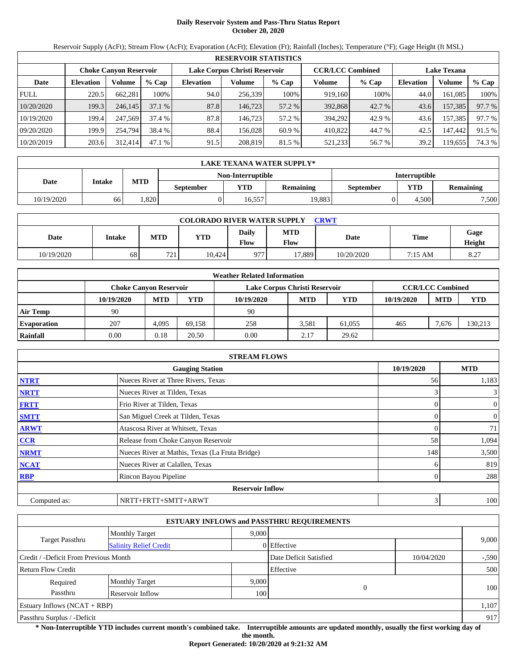## **Daily Reservoir System and Pass-Thru Status Report October 20, 2020**

Reservoir Supply (AcFt); Stream Flow (AcFt); Evaporation (AcFt); Elevation (Ft); Rainfall (Inches); Temperature (°F); Gage Height (ft MSL)

|             | <b>RESERVOIR STATISTICS</b> |                               |         |                               |         |         |                         |        |                    |         |        |  |  |
|-------------|-----------------------------|-------------------------------|---------|-------------------------------|---------|---------|-------------------------|--------|--------------------|---------|--------|--|--|
|             |                             | <b>Choke Canvon Reservoir</b> |         | Lake Corpus Christi Reservoir |         |         | <b>CCR/LCC Combined</b> |        | <b>Lake Texana</b> |         |        |  |  |
| Date        | <b>Elevation</b>            | Volume                        | $%$ Cap | <b>Elevation</b>              | Volume  | $%$ Cap | Volume                  | % Cap  | <b>Elevation</b>   | Volume  | % Cap  |  |  |
| <b>FULL</b> | 220.5                       | 662,281                       | 100%    | 94.0                          | 256,339 | 100%    | 919,160                 | 100%   | 44.0               | 161,085 | 100%   |  |  |
| 10/20/2020  | 199.3                       | 246,145                       | 37.1%   | 87.8                          | 146.723 | 57.2 %  | 392,868                 | 42.7 % | 43.6               | 157,385 | 97.7 % |  |  |
| 10/19/2020  | 199.4                       | 247,569                       | 37.4 %  | 87.8                          | 146.723 | 57.2 %  | 394.292                 | 42.9 % | 43.6               | 157,385 | 97.7 % |  |  |
| 09/20/2020  | 199.9                       | 254,794                       | 38.4 %  | 88.4                          | 156.028 | 60.9 %  | 410,822                 | 44.7 % | 42.5               | 147.442 | 91.5 % |  |  |
| 10/20/2019  | 203.6                       | 312,414                       | 47.1%   | 91.5                          | 208,819 | 81.5 %  | 521,233                 | 56.7 % | 39.2               | 19,655  | 74.3 % |  |  |

|            | LAKE TEXANA WATER SUPPLY* |            |                  |                   |                  |                      |       |                  |  |  |  |
|------------|---------------------------|------------|------------------|-------------------|------------------|----------------------|-------|------------------|--|--|--|
|            |                           |            |                  | Non-Interruptible |                  | <b>Interruptible</b> |       |                  |  |  |  |
| Date       | Intake                    | <b>MTD</b> | <b>September</b> | YTD               | <b>Remaining</b> | <b>September</b>     | YTD   | <b>Remaining</b> |  |  |  |
| 10/19/2020 | 66                        | .820       |                  | 6.557             | 19,883           |                      | 4.500 | 7,500            |  |  |  |

| <b>COLORADO RIVER WATER SUPPLY</b><br>CRWT |        |            |            |                      |                    |            |             |                |  |  |
|--------------------------------------------|--------|------------|------------|----------------------|--------------------|------------|-------------|----------------|--|--|
| Date                                       | Intake | <b>MTD</b> | <b>YTD</b> | Daily<br><b>Flow</b> | <b>MTD</b><br>Flow | Date       | <b>Time</b> | Gage<br>Height |  |  |
| 10/19/2020                                 | 68     | 721        | 10.424     | 977                  | 17.889             | 10/20/2020 | 7:15 AM     | 8.27           |  |  |

|                    |            |                               |        | <b>Weather Related Information</b> |            |            |            |                         |            |
|--------------------|------------|-------------------------------|--------|------------------------------------|------------|------------|------------|-------------------------|------------|
|                    |            | <b>Choke Canvon Reservoir</b> |        | Lake Corpus Christi Reservoir      |            |            |            | <b>CCR/LCC Combined</b> |            |
|                    | 10/19/2020 | <b>MTD</b>                    | YTD    | 10/19/2020                         | <b>MTD</b> | <b>YTD</b> | 10/19/2020 | <b>MTD</b>              | <b>YTD</b> |
| <b>Air Temp</b>    | 90         |                               |        | 90                                 |            |            |            |                         |            |
| <b>Evaporation</b> | 207        | 4.095                         | 69.158 | 258                                | 3.581      | 61.055     | 465        | 7.676                   | 130,213    |
| Rainfall           | 0.00       | 0.18                          | 20.50  | 0.00                               | 2.17       | 29.62      |            |                         |            |

|              | <b>STREAM FLOWS</b>                             |            |              |
|--------------|-------------------------------------------------|------------|--------------|
|              | <b>Gauging Station</b>                          | 10/19/2020 | <b>MTD</b>   |
| <b>NTRT</b>  | Nueces River at Three Rivers, Texas             | 56         | 1,183        |
| <b>NRTT</b>  | Nueces River at Tilden, Texas                   | 3          | 3            |
| <b>FRTT</b>  | Frio River at Tilden, Texas                     | 0          | $\mathbf{0}$ |
| <b>SMTT</b>  | San Miguel Creek at Tilden, Texas               | $\Omega$   | $\mathbf{0}$ |
| <b>ARWT</b>  | Atascosa River at Whitsett, Texas               | 0          | 71           |
| <b>CCR</b>   | Release from Choke Canyon Reservoir             | 58         | 1,094        |
| <b>NRMT</b>  | Nueces River at Mathis, Texas (La Fruta Bridge) | 148        | 3,500        |
| <b>NCAT</b>  | Nueces River at Calallen, Texas                 | h          | 819          |
| <b>RBP</b>   | Rincon Bayou Pipeline                           | 0          | 288          |
|              | <b>Reservoir Inflow</b>                         |            |              |
| Computed as: | NRTT+FRTT+SMTT+ARWT                             | 3          | 100          |

|                                       |                               |       | <b>ESTUARY INFLOWS and PASSTHRU REQUIREMENTS</b> |            |         |
|---------------------------------------|-------------------------------|-------|--------------------------------------------------|------------|---------|
|                                       | <b>Monthly Target</b>         | 9.000 |                                                  |            |         |
| Target Passthru                       | <b>Salinity Relief Credit</b> |       | 0 Effective                                      |            | 9,000   |
| Credit / -Deficit From Previous Month |                               |       | Date Deficit Satisfied                           | 10/04/2020 | $-.590$ |
| <b>Return Flow Credit</b>             |                               |       | Effective                                        |            | 500     |
| Required                              | <b>Monthly Target</b>         | 9,000 |                                                  |            |         |
| Passthru                              | Reservoir Inflow              | 100   | $\overline{0}$                                   |            | 100     |
| Estuary Inflows $(NCAT + RBP)$        |                               |       |                                                  |            | 1,107   |
| Passthru Surplus / -Deficit           |                               | 917   |                                                  |            |         |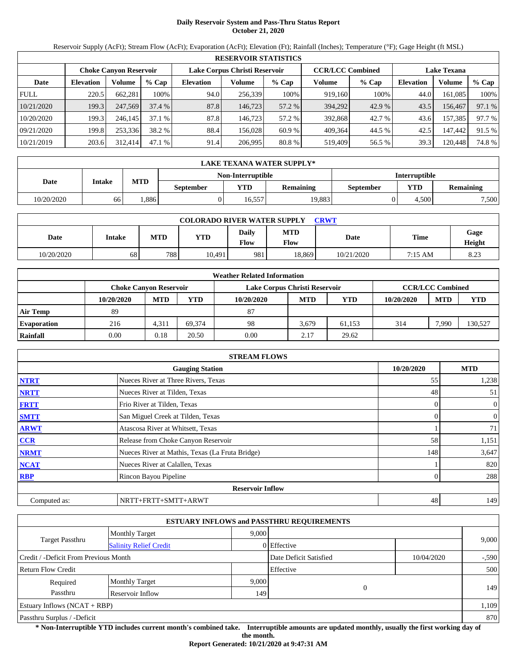# **Daily Reservoir System and Pass-Thru Status Report October 21, 2020**

Reservoir Supply (AcFt); Stream Flow (AcFt); Evaporation (AcFt); Elevation (Ft); Rainfall (Inches); Temperature (°F); Gage Height (ft MSL)

|             | <b>RESERVOIR STATISTICS</b> |                               |         |                               |         |         |                         |         |                    |         |        |  |  |
|-------------|-----------------------------|-------------------------------|---------|-------------------------------|---------|---------|-------------------------|---------|--------------------|---------|--------|--|--|
|             |                             | <b>Choke Canyon Reservoir</b> |         | Lake Corpus Christi Reservoir |         |         | <b>CCR/LCC Combined</b> |         | <b>Lake Texana</b> |         |        |  |  |
| Date        | <b>Elevation</b>            | Volume                        | $%$ Cap | <b>Elevation</b>              | Volume  | $%$ Cap | Volume                  | $%$ Cap | <b>Elevation</b>   | Volume  | % Cap  |  |  |
| <b>FULL</b> | 220.5                       | 662.281                       | 100%    | 94.0                          | 256,339 | 100%    | 919.160                 | 100%    | 44.0               | 161.085 | 100%   |  |  |
| 10/21/2020  | 199.3                       | 247,569                       | 37.4 %  | 87.8                          | 146,723 | 57.2 %  | 394,292                 | 42.9 %  | 43.5               | 156,467 | 97.1 % |  |  |
| 10/20/2020  | 199.3                       | 246.145                       | 37.1%   | 87.8                          | 146.723 | 57.2 %  | 392.868                 | 42.7 %  | 43.6               | 157,385 | 97.7 % |  |  |
| 09/21/2020  | 199.8                       | 253,336                       | 38.2 %  | 88.4                          | 156.028 | 60.9 %  | 409.364                 | 44.5 %  | 42.5               | 147.442 | 91.5 % |  |  |
| 10/21/2019  | 203.6                       | 312,414                       | 47.1 %  | 91.4                          | 206,995 | 80.8%   | 519,409                 | 56.5 %  | 39.3               | 120.448 | 74.8 % |  |  |

|            | LAKE TEXANA WATER SUPPLY* |            |                  |                   |                  |                      |            |                  |  |  |  |
|------------|---------------------------|------------|------------------|-------------------|------------------|----------------------|------------|------------------|--|--|--|
|            |                           |            |                  | Non-Interruptible |                  | <b>Interruptible</b> |            |                  |  |  |  |
| Date       | Intake                    | <b>MTD</b> | <b>September</b> | <b>YTD</b>        | <b>Remaining</b> | September            | <b>YTD</b> | <b>Remaining</b> |  |  |  |
| 10/20/2020 | 66                        | .886       |                  | 16.557            | 19.883           |                      | 4.500      | 7,500            |  |  |  |

| <b>COLORADO RIVER WATER SUPPLY</b><br>CRWT |        |            |            |                      |                    |            |             |                |  |  |
|--------------------------------------------|--------|------------|------------|----------------------|--------------------|------------|-------------|----------------|--|--|
| Date                                       | Intake | <b>MTD</b> | <b>YTD</b> | Daily<br><b>Flow</b> | <b>MTD</b><br>Flow | Date       | <b>Time</b> | Gage<br>Height |  |  |
| 10/20/2020                                 | 68     | 788        | 10.491     | 981                  | 18.869             | 10/21/2020 | 7:15 AM     | 8.23           |  |  |

|                    | <b>Weather Related Information</b> |            |        |                               |            |        |            |                         |         |  |  |  |
|--------------------|------------------------------------|------------|--------|-------------------------------|------------|--------|------------|-------------------------|---------|--|--|--|
|                    | <b>Choke Canvon Reservoir</b>      |            |        | Lake Corpus Christi Reservoir |            |        |            | <b>CCR/LCC Combined</b> |         |  |  |  |
|                    | 10/20/2020                         | <b>MTD</b> | YTD    | 10/20/2020                    | <b>MTD</b> | YTD    | 10/20/2020 | <b>MTD</b>              | YTD     |  |  |  |
| <b>Air Temp</b>    | 89                                 |            |        | 87                            |            |        |            |                         |         |  |  |  |
| <b>Evaporation</b> | 216                                | 4,311      | 69.374 | 98                            | 3.679      | 61,153 | 314        | 7.990                   | 130,527 |  |  |  |
| Rainfall           | 0.00                               | 0.18       | 20.50  | 0.00                          | 2.17       | 29.62  |            |                         |         |  |  |  |

|              | <b>STREAM FLOWS</b>                             |                |              |
|--------------|-------------------------------------------------|----------------|--------------|
|              | <b>Gauging Station</b>                          | 10/20/2020     | <b>MTD</b>   |
| <b>NTRT</b>  | Nueces River at Three Rivers, Texas             | 55             | 1,238        |
| <b>NRTT</b>  | Nueces River at Tilden, Texas                   | 48             | 51           |
| <b>FRTT</b>  | Frio River at Tilden, Texas                     | 0              | $\mathbf{0}$ |
| <b>SMTT</b>  | San Miguel Creek at Tilden, Texas               | $\Omega$       | $\mathbf{0}$ |
| <b>ARWT</b>  | Atascosa River at Whitsett, Texas               |                | 71           |
| <b>CCR</b>   | Release from Choke Canyon Reservoir             | 58             | 1,151        |
| <b>NRMT</b>  | Nueces River at Mathis, Texas (La Fruta Bridge) | 148            | 3,647        |
| <b>NCAT</b>  | Nueces River at Calallen, Texas                 |                | 820          |
| <b>RBP</b>   | Rincon Bayou Pipeline                           | $\overline{0}$ | 288          |
|              | <b>Reservoir Inflow</b>                         |                |              |
| Computed as: | NRTT+FRTT+SMTT+ARWT                             | 48             | 149          |

|                                       |                               |       | <b>ESTUARY INFLOWS and PASSTHRU REQUIREMENTS</b> |            |         |  |
|---------------------------------------|-------------------------------|-------|--------------------------------------------------|------------|---------|--|
|                                       | <b>Monthly Target</b>         | 9,000 |                                                  |            |         |  |
| Target Passthru                       | <b>Salinity Relief Credit</b> |       | 0 Effective                                      |            | 9,000   |  |
| Credit / -Deficit From Previous Month |                               |       | Date Deficit Satisfied                           | 10/04/2020 | $-.590$ |  |
| <b>Return Flow Credit</b>             |                               |       | Effective                                        |            | 500     |  |
| Required                              | <b>Monthly Target</b>         | 9,000 |                                                  |            |         |  |
| Passthru                              | Reservoir Inflow              | 149   | $\theta$                                         |            | 149     |  |
| Estuary Inflows $(NCAT + RBP)$        |                               |       |                                                  |            | 1,109   |  |
| Passthru Surplus / -Deficit           |                               |       |                                                  |            |         |  |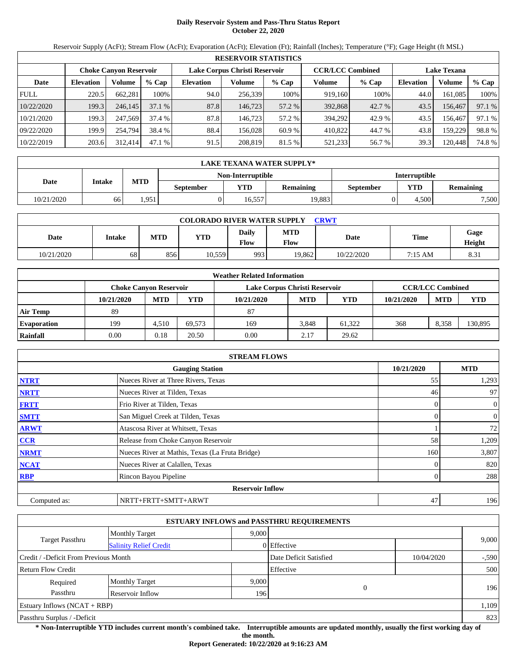## **Daily Reservoir System and Pass-Thru Status Report October 22, 2020**

Reservoir Supply (AcFt); Stream Flow (AcFt); Evaporation (AcFt); Elevation (Ft); Rainfall (Inches); Temperature (°F); Gage Height (ft MSL)

|             | <b>RESERVOIR STATISTICS</b> |                               |         |                               |         |         |                         |         |                    |         |        |  |  |
|-------------|-----------------------------|-------------------------------|---------|-------------------------------|---------|---------|-------------------------|---------|--------------------|---------|--------|--|--|
|             |                             | <b>Choke Canyon Reservoir</b> |         | Lake Corpus Christi Reservoir |         |         | <b>CCR/LCC Combined</b> |         | <b>Lake Texana</b> |         |        |  |  |
| Date        | <b>Elevation</b>            | Volume                        | $%$ Cap | <b>Elevation</b>              | Volume  | $%$ Cap | Volume                  | $%$ Cap | <b>Elevation</b>   | Volume  | % Cap  |  |  |
| <b>FULL</b> | 220.5                       | 662.281                       | 100%    | 94.0                          | 256,339 | 100%    | 919,160                 | 100%    | 44.0               | 161.085 | 100%   |  |  |
| 10/22/2020  | 199.3                       | 246,145                       | 37.1%   | 87.8                          | 146,723 | 57.2 %  | 392,868                 | 42.7 %  | 43.5               | 156,467 | 97.1 % |  |  |
| 10/21/2020  | 199.3                       | 247,569                       | 37.4 %  | 87.8                          | 146.723 | 57.2 %  | 394.292                 | 42.9 %  | 43.5               | 156.467 | 97.1 % |  |  |
| 09/22/2020  | 199.9                       | 254,794                       | 38.4 %  | 88.4                          | 156.028 | 60.9 %  | 410.822                 | 44.7 %  | 43.8               | 159.229 | 98.8%  |  |  |
| 10/22/2019  | 203.6                       | 312,414                       | 47.1%   | 91.5                          | 208,819 | 81.5 %  | 521,233                 | 56.7 %  | 39.3               | 120,448 | 74.8 % |  |  |

|            | LAKE TEXANA WATER SUPPLY* |            |                  |                   |                  |                      |            |           |  |  |  |
|------------|---------------------------|------------|------------------|-------------------|------------------|----------------------|------------|-----------|--|--|--|
|            |                           |            |                  | Non-Interruptible |                  | <b>Interruptible</b> |            |           |  |  |  |
| Date       | Intake                    | <b>MTD</b> | <b>September</b> | <b>YTD</b>        | <b>Remaining</b> | September            | <b>YTD</b> | Remaining |  |  |  |
| 10/21/2020 | 66                        | 1.951      |                  | 16.557            | 19.883           |                      | 4.500      | 7,500     |  |  |  |

| <b>COLORADO RIVER WATER SUPPLY</b><br>CRWT |        |            |            |                      |                    |            |             |                |  |  |
|--------------------------------------------|--------|------------|------------|----------------------|--------------------|------------|-------------|----------------|--|--|
| Date                                       | Intake | <b>MTD</b> | <b>YTD</b> | Daily<br><b>Flow</b> | <b>MTD</b><br>Flow | Date       | <b>Time</b> | Gage<br>Height |  |  |
| 10/21/2020                                 | 68     | 856        | 10,559     | 993                  | 19.862             | 10/22/2020 | 7:15 AM     | 8.31           |  |  |

|                    |                        |            |        | <b>Weather Related Information</b> |            |            |            |                         |            |
|--------------------|------------------------|------------|--------|------------------------------------|------------|------------|------------|-------------------------|------------|
|                    | Choke Canvon Reservoir |            |        | Lake Corpus Christi Reservoir      |            |            |            | <b>CCR/LCC Combined</b> |            |
|                    | 10/21/2020             | <b>MTD</b> | YTD    | 10/21/2020                         | <b>MTD</b> | <b>YTD</b> | 10/21/2020 | <b>MTD</b>              | <b>YTD</b> |
| <b>Air Temp</b>    | 89                     |            |        | 87                                 |            |            |            |                         |            |
| <b>Evaporation</b> | 199                    | 4.510      | 69.573 | 169                                | 3.848      | 61.322     | 368        | 8.358                   | 130,895    |
| Rainfall           | 0.00                   | 0.18       | 20.50  | 0.00                               | 2.17       | 29.62      |            |                         |            |

|              | <b>STREAM FLOWS</b>                             |            |                |
|--------------|-------------------------------------------------|------------|----------------|
|              | <b>Gauging Station</b>                          | 10/21/2020 | <b>MTD</b>     |
| <b>NTRT</b>  | Nueces River at Three Rivers, Texas             | 55         | 1,293          |
| <b>NRTT</b>  | Nueces River at Tilden, Texas                   | 46         | 97             |
| <b>FRTT</b>  | Frio River at Tilden, Texas                     | 0          | $\overline{0}$ |
| <b>SMTT</b>  | San Miguel Creek at Tilden, Texas               |            | $\mathbf{0}$   |
| <b>ARWT</b>  | Atascosa River at Whitsett, Texas               |            | 72             |
| CCR          | Release from Choke Canyon Reservoir             | 58         | 1,209          |
| <b>NRMT</b>  | Nueces River at Mathis, Texas (La Fruta Bridge) | 160        | 3,807          |
| <b>NCAT</b>  | Nueces River at Calallen, Texas                 |            | 820            |
| <b>RBP</b>   | Rincon Bayou Pipeline                           |            | 288            |
|              | <b>Reservoir Inflow</b>                         |            |                |
| Computed as: | NRTT+FRTT+SMTT+ARWT                             | 47         | 196            |

|                                       |                               |       | <b>ESTUARY INFLOWS and PASSTHRU REQUIREMENTS</b> |            |         |
|---------------------------------------|-------------------------------|-------|--------------------------------------------------|------------|---------|
|                                       | <b>Monthly Target</b>         | 9,000 |                                                  |            |         |
| Target Passthru                       | <b>Salinity Relief Credit</b> |       | 0 Effective                                      |            | 9,000   |
| Credit / -Deficit From Previous Month |                               |       | Date Deficit Satisfied                           | 10/04/2020 | $-.590$ |
| Return Flow Credit                    |                               |       | Effective                                        |            | 500     |
| Required                              | <b>Monthly Target</b>         | 9,000 |                                                  |            |         |
| Passthru                              | Reservoir Inflow              | 196   | $\theta$                                         |            | 196     |
| Estuary Inflows $(NCAT + RBP)$        |                               |       |                                                  |            | 1,109   |
| Passthru Surplus / -Deficit           |                               |       |                                                  |            | 823     |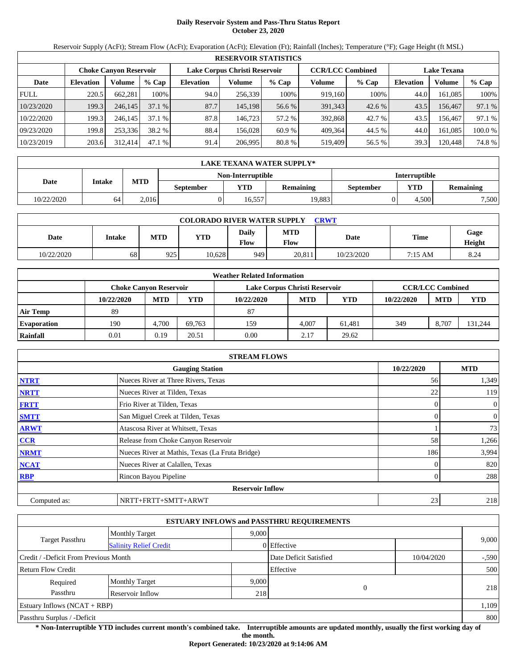# **Daily Reservoir System and Pass-Thru Status Report October 23, 2020**

Reservoir Supply (AcFt); Stream Flow (AcFt); Evaporation (AcFt); Elevation (Ft); Rainfall (Inches); Temperature (°F); Gage Height (ft MSL)

|             | <b>RESERVOIR STATISTICS</b> |                               |         |                  |                               |         |         |                         |                    |         |         |  |  |
|-------------|-----------------------------|-------------------------------|---------|------------------|-------------------------------|---------|---------|-------------------------|--------------------|---------|---------|--|--|
|             |                             | <b>Choke Canvon Reservoir</b> |         |                  | Lake Corpus Christi Reservoir |         |         | <b>CCR/LCC Combined</b> | <b>Lake Texana</b> |         |         |  |  |
| Date        | <b>Elevation</b>            | Volume                        | $%$ Cap | <b>Elevation</b> | Volume                        | $%$ Cap | Volume  | $%$ Cap                 | <b>Elevation</b>   | Volume  | % Cap   |  |  |
| <b>FULL</b> | 220.5                       | 662.281                       | 100%    | 94.0             | 256,339                       | 100%    | 919,160 | 100%                    | 44.0               | 161.085 | 100%    |  |  |
| 10/23/2020  | 199.3                       | 246,145                       | 37.1%   | 87.7             | 145,198                       | 56.6 %  | 391,343 | 42.6%                   | 43.5               | 156.467 | 97.1 %  |  |  |
| 10/22/2020  | 199.3                       | 246.145                       | 37.1%   | 87.8             | 146.723                       | 57.2 %  | 392,868 | 42.7 %                  | 43.5               | 156.467 | 97.1 %  |  |  |
| 09/23/2020  | 199.8                       | 253.336                       | 38.2 %  | 88.4             | 156.028                       | 60.9 %  | 409.364 | 44.5 %                  | 44.0               | 161.085 | 100.0 % |  |  |
| 10/23/2019  | 203.6                       | 312,414                       | 47.1 %  | 91.4             | 206.995                       | 80.8 %  | 519,409 | 56.5 %                  | 39.3               | 120,448 | 74.8%   |  |  |

|            | LAKE TEXANA WATER SUPPLY* |            |           |                   |                  |                      |            |                  |  |  |  |
|------------|---------------------------|------------|-----------|-------------------|------------------|----------------------|------------|------------------|--|--|--|
|            |                           |            |           | Non-Interruptible |                  | <b>Interruptible</b> |            |                  |  |  |  |
| Date       | Intake                    | <b>MTD</b> | September | <b>VTD</b>        | <b>Remaining</b> | September            | <b>YTD</b> | <b>Remaining</b> |  |  |  |
| 10/22/2020 | 64                        | 2.016      |           | 16.557            | 19.883           |                      | 4.500      | 7,500            |  |  |  |

| <b>COLORADO RIVER WATER SUPPLY</b><br><b>CRWT</b> |        |            |            |                      |                    |            |             |                |  |  |
|---------------------------------------------------|--------|------------|------------|----------------------|--------------------|------------|-------------|----------------|--|--|
| Date                                              | Intake | <b>MTD</b> | <b>YTD</b> | Daily<br><b>Flow</b> | <b>MTD</b><br>Flow | Date       | <b>Time</b> | Gage<br>Height |  |  |
| 10/22/2020                                        | 68     | 925        | 10.628     | 9491                 | 20.811             | 10/23/2020 | 7:15 AM     | 8.24           |  |  |

|                    |                               |            |        | <b>Weather Related Information</b> |            |            |            |                         |            |
|--------------------|-------------------------------|------------|--------|------------------------------------|------------|------------|------------|-------------------------|------------|
|                    | <b>Choke Canvon Reservoir</b> |            |        | Lake Corpus Christi Reservoir      |            |            |            | <b>CCR/LCC Combined</b> |            |
|                    | 10/22/2020                    | <b>MTD</b> | YTD    | 10/22/2020                         | <b>MTD</b> | <b>YTD</b> | 10/22/2020 | <b>MTD</b>              | <b>YTD</b> |
| <b>Air Temp</b>    | 89                            |            |        | 87                                 |            |            |            |                         |            |
| <b>Evaporation</b> | 190                           | 4.700      | 69.763 | 159                                | 4.007      | 61.481     | 349        | 8.707                   | 131,244    |
| Rainfall           | 0.01                          | 0.19       | 20.51  | 0.00                               | 2.17       | 29.62      |            |                         |            |

|              | <b>STREAM FLOWS</b>                             |            |                |
|--------------|-------------------------------------------------|------------|----------------|
|              | <b>Gauging Station</b>                          | 10/22/2020 | <b>MTD</b>     |
| <b>NTRT</b>  | Nueces River at Three Rivers, Texas             | 56         | 1,349          |
| <b>NRTT</b>  | Nueces River at Tilden, Texas                   | 22         | 119            |
| <b>FRTT</b>  | Frio River at Tilden, Texas                     |            | $\overline{0}$ |
| <b>SMTT</b>  | San Miguel Creek at Tilden, Texas               |            | $\overline{0}$ |
| <b>ARWT</b>  | Atascosa River at Whitsett, Texas               |            | 73             |
| <b>CCR</b>   | Release from Choke Canyon Reservoir             | 58         | 1,266          |
| <b>NRMT</b>  | Nueces River at Mathis, Texas (La Fruta Bridge) | 186        | 3,994          |
| <b>NCAT</b>  | Nueces River at Calallen, Texas                 |            | 820            |
| <b>RBP</b>   | Rincon Bayou Pipeline                           |            | 288            |
|              | <b>Reservoir Inflow</b>                         |            |                |
| Computed as: | NRTT+FRTT+SMTT+ARWT                             | 23         | 218            |

|                                       |                               |       | <b>ESTUARY INFLOWS and PASSTHRU REQUIREMENTS</b> |            |         |  |
|---------------------------------------|-------------------------------|-------|--------------------------------------------------|------------|---------|--|
|                                       | <b>Monthly Target</b>         | 9.000 |                                                  |            |         |  |
| Target Passthru                       | <b>Salinity Relief Credit</b> |       | 0 Effective                                      |            | 9,000   |  |
| Credit / -Deficit From Previous Month |                               |       | Date Deficit Satisfied                           | 10/04/2020 | $-.590$ |  |
| <b>Return Flow Credit</b>             |                               |       | Effective                                        |            | 500     |  |
| Required                              | <b>Monthly Target</b>         | 9,000 |                                                  |            |         |  |
| Passthru                              | Reservoir Inflow              | 218   | 0                                                |            | 218     |  |
| Estuary Inflows $(NCAT + RBP)$        |                               |       |                                                  |            | 1,109   |  |
| Passthru Surplus / -Deficit           |                               |       |                                                  |            |         |  |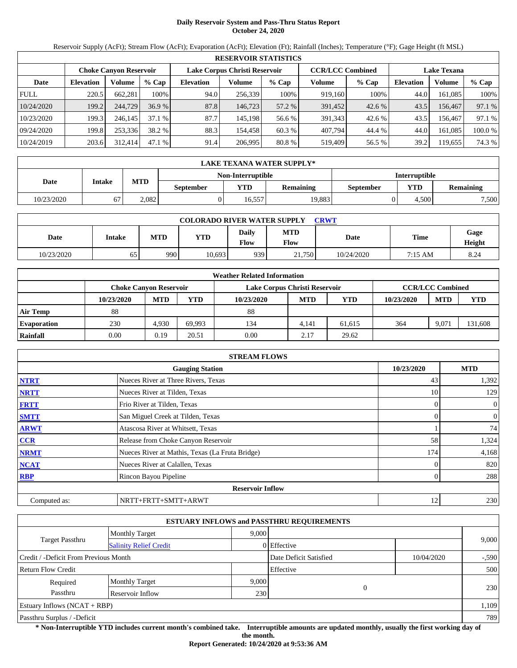# **Daily Reservoir System and Pass-Thru Status Report October 24, 2020**

Reservoir Supply (AcFt); Stream Flow (AcFt); Evaporation (AcFt); Elevation (Ft); Rainfall (Inches); Temperature (°F); Gage Height (ft MSL)

|             | <b>RESERVOIR STATISTICS</b> |                               |         |                  |                               |         |                                               |         |                  |         |        |  |  |
|-------------|-----------------------------|-------------------------------|---------|------------------|-------------------------------|---------|-----------------------------------------------|---------|------------------|---------|--------|--|--|
|             |                             | <b>Choke Canvon Reservoir</b> |         |                  | Lake Corpus Christi Reservoir |         | <b>CCR/LCC Combined</b><br><b>Lake Texana</b> |         |                  |         |        |  |  |
| Date        | <b>Elevation</b>            | Volume                        | $%$ Cap | <b>Elevation</b> | Volume                        | $%$ Cap | Volume                                        | $%$ Cap | <b>Elevation</b> | Volume  | % Cap  |  |  |
| <b>FULL</b> | 220.5                       | 662.281                       | 100%    | 94.0             | 256.339                       | 100%    | 919.160                                       | 100%    | 44.0             | 161.085 | 100%   |  |  |
| 10/24/2020  | 199.2                       | 244,729                       | 36.9%   | 87.8             | 146.723                       | 57.2 %  | 391,452                                       | 42.6 %  | 43.5             | 156,467 | 97.1 % |  |  |
| 10/23/2020  | 199.3                       | 246.145                       | 37.1%   | 87.7             | 145.198                       | 56.6 %  | 391.343                                       | 42.6 %  | 43.5             | 156.467 | 97.1 % |  |  |
| 09/24/2020  | 199.8                       | 253.336                       | 38.2 %  | 88.3             | 154.458                       | 60.3 %  | 407.794                                       | 44.4 %  | 44.0             | 161.085 | 100.0% |  |  |
| 10/24/2019  | 203.6                       | 312,414                       | 47.1 %  | 91.4             | 206.995                       | 80.8 %  | 519,409                                       | 56.5 %  | 39.2             | 119,655 | 74.3 % |  |  |

|            | LAKE TEXANA WATER SUPPLY* |            |           |                   |           |                      |            |                  |  |  |  |
|------------|---------------------------|------------|-----------|-------------------|-----------|----------------------|------------|------------------|--|--|--|
|            |                           |            |           | Non-Interruptible |           | <b>Interruptible</b> |            |                  |  |  |  |
| Date       | Intake                    | <b>MTD</b> | September | <b>VTD</b>        | Remaining | September            | <b>YTD</b> | <b>Remaining</b> |  |  |  |
| 10/23/2020 |                           | 2.082      |           | 16.557            | 19.883    |                      | 4.500      | 7,500            |  |  |  |

| <b>COLORADO RIVER WATER SUPPLY</b><br><b>CRWT</b> |        |            |        |               |                    |            |             |                |  |  |
|---------------------------------------------------|--------|------------|--------|---------------|--------------------|------------|-------------|----------------|--|--|
| Date                                              | Intake | <b>MTD</b> | YTD    | Daily<br>Flow | <b>MTD</b><br>Flow | Date       | <b>Time</b> | Gage<br>Height |  |  |
| 10/23/2020                                        | 65     | 990        | 10.693 | 9391          | 21,750             | 10/24/2020 | 7:15 AM     | 8.24           |  |  |

|                    |                               |            |        | <b>Weather Related Information</b> |            |            |            |                         |            |
|--------------------|-------------------------------|------------|--------|------------------------------------|------------|------------|------------|-------------------------|------------|
|                    | <b>Choke Canvon Reservoir</b> |            |        | Lake Corpus Christi Reservoir      |            |            |            | <b>CCR/LCC Combined</b> |            |
|                    | 10/23/2020                    | <b>MTD</b> | YTD    | 10/23/2020                         | <b>MTD</b> | <b>YTD</b> | 10/23/2020 | <b>MTD</b>              | <b>YTD</b> |
| <b>Air Temp</b>    | 88                            |            |        | 88                                 |            |            |            |                         |            |
| <b>Evaporation</b> | 230                           | 4.930      | 69.993 | 134                                | 4.141      | 61.615     | 364        | 9.071                   | 131,608    |
| Rainfall           | 0.00                          | 0.19       | 20.51  | 0.00                               | 2.17       | 29.62      |            |                         |            |

|              | <b>STREAM FLOWS</b>                             |            |                |
|--------------|-------------------------------------------------|------------|----------------|
|              | <b>Gauging Station</b>                          | 10/23/2020 | <b>MTD</b>     |
| <b>NTRT</b>  | Nueces River at Three Rivers, Texas             | 43         | 1,392          |
| <b>NRTT</b>  | Nueces River at Tilden, Texas                   | 10         | 129            |
| <b>FRTT</b>  | Frio River at Tilden, Texas                     |            | $\overline{0}$ |
| <b>SMTT</b>  | San Miguel Creek at Tilden, Texas               |            | $\overline{0}$ |
| <b>ARWT</b>  | Atascosa River at Whitsett, Texas               |            | 74             |
| <b>CCR</b>   | Release from Choke Canyon Reservoir             | 58         | 1,324          |
| <b>NRMT</b>  | Nueces River at Mathis, Texas (La Fruta Bridge) | 174        | 4,168          |
| <b>NCAT</b>  | Nueces River at Calallen, Texas                 |            | 820            |
| <b>RBP</b>   | Rincon Bayou Pipeline                           |            | 288            |
|              | <b>Reservoir Inflow</b>                         |            |                |
| Computed as: | NRTT+FRTT+SMTT+ARWT                             | 12         | 230            |

|                                                  |                       |       | <b>ESTUARY INFLOWS and PASSTHRU REQUIREMENTS</b> |            |         |  |
|--------------------------------------------------|-----------------------|-------|--------------------------------------------------|------------|---------|--|
|                                                  | <b>Monthly Target</b> | 9,000 |                                                  |            |         |  |
| Target Passthru<br><b>Salinity Relief Credit</b> |                       |       | 0 Effective                                      |            | 9,000   |  |
| Credit / -Deficit From Previous Month            |                       |       | Date Deficit Satisfied                           | 10/04/2020 | $-.590$ |  |
| <b>Return Flow Credit</b>                        |                       |       | Effective                                        |            | 500     |  |
| Required                                         | <b>Monthly Target</b> | 9,000 |                                                  |            |         |  |
| Passthru<br>Reservoir Inflow<br>230              |                       |       | $\theta$                                         |            | 230     |  |
| Estuary Inflows $(NCAT + RBP)$                   |                       |       |                                                  |            | 1,109   |  |
| Passthru Surplus / -Deficit                      |                       |       |                                                  |            |         |  |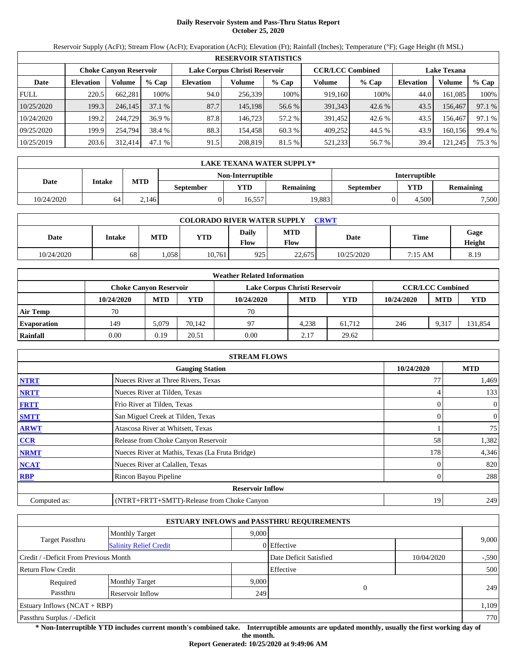## **Daily Reservoir System and Pass-Thru Status Report October 25, 2020**

Reservoir Supply (AcFt); Stream Flow (AcFt); Evaporation (AcFt); Elevation (Ft); Rainfall (Inches); Temperature (°F); Gage Height (ft MSL)

|             | <b>RESERVOIR STATISTICS</b>   |         |         |                  |                               |         |         |                         |                    |         |        |  |
|-------------|-------------------------------|---------|---------|------------------|-------------------------------|---------|---------|-------------------------|--------------------|---------|--------|--|
|             | <b>Choke Canyon Reservoir</b> |         |         |                  | Lake Corpus Christi Reservoir |         |         | <b>CCR/LCC Combined</b> | <b>Lake Texana</b> |         |        |  |
| Date        | <b>Elevation</b>              | Volume  | $%$ Cap | <b>Elevation</b> | Volume                        | $%$ Cap | Volume  | $%$ Cap                 | <b>Elevation</b>   | Volume  | % Cap  |  |
| <b>FULL</b> | 220.5                         | 662.281 | 100%    | 94.0             | 256,339                       | 100%    | 919,160 | 100%                    | 44.0               | 161.085 | 100%   |  |
| 10/25/2020  | 199.3                         | 246,145 | 37.1%   | 87.7             | 145.198                       | 56.6 %  | 391,343 | 42.6 %                  | 43.5               | 156.467 | 97.1 % |  |
| 10/24/2020  | 199.2                         | 244,729 | 36.9%   | 87.8             | 146.723                       | 57.2 %  | 391,452 | 42.6 %                  | 43.5               | 156.467 | 97.1 % |  |
| 09/25/2020  | 199.9                         | 254,794 | 38.4 %  | 88.3             | 154.458                       | 60.3 %  | 409.252 | 44.5 %                  | 43.9               | 160.156 | 99.4 % |  |
| 10/25/2019  | 203.6                         | 312,414 | 47.1%   | 91.5             | 208,819                       | 81.5 %  | 521,233 | 56.7 %                  | 39.4               | 121,245 | 75.3 % |  |

|            | <b>LAKE TEXANA WATER SUPPLY*</b> |            |                  |                   |                  |                      |            |                  |  |  |
|------------|----------------------------------|------------|------------------|-------------------|------------------|----------------------|------------|------------------|--|--|
|            |                                  |            |                  | Non-Interruptible |                  | <b>Interruptible</b> |            |                  |  |  |
| Date       | Intake                           | <b>MTD</b> | <b>September</b> | YTD.              | <b>Remaining</b> | <b>September</b>     | <b>YTD</b> | <b>Remaining</b> |  |  |
| 10/24/2020 | 64                               | 2.146      |                  | 16.557            | 19.883           |                      | 4.500      | 7,500            |  |  |

| <b>COLORADO RIVER WATER SUPPLY</b><br><b>CRWT</b> |        |      |        |                      |                           |            |         |                |  |  |
|---------------------------------------------------|--------|------|--------|----------------------|---------------------------|------------|---------|----------------|--|--|
| Date                                              | Intake | MTD  | YTD    | <b>Daily</b><br>Flow | <b>MTD</b><br><b>Flow</b> | Date       | Time    | Gage<br>Height |  |  |
| 10/24/2020                                        | 68     | .058 | 10,761 | 925                  | 22,675                    | 10/25/2020 | 7:15 AM | 8.19           |  |  |

|                    |            |                               |        | <b>Weather Related Information</b> |            |            |            |                         |            |
|--------------------|------------|-------------------------------|--------|------------------------------------|------------|------------|------------|-------------------------|------------|
|                    |            | <b>Choke Canvon Reservoir</b> |        | Lake Corpus Christi Reservoir      |            |            |            | <b>CCR/LCC Combined</b> |            |
|                    | 10/24/2020 | <b>MTD</b>                    | YTD    | 10/24/2020                         | <b>MTD</b> | <b>YTD</b> | 10/24/2020 | <b>MTD</b>              | <b>YTD</b> |
| <b>Air Temp</b>    | 70         |                               |        | 70                                 |            |            |            |                         |            |
| <b>Evaporation</b> | 149        | 5.079                         | 70.142 | 97                                 | 4.238      | 61.712     | 246        | 9,317                   | 131,854    |
| Rainfall           | 0.00       | 0.19                          | 20.51  | 0.00                               | 2.17       | 29.62      |            |                         |            |

|              | <b>STREAM FLOWS</b>                             |            |                  |
|--------------|-------------------------------------------------|------------|------------------|
|              | <b>Gauging Station</b>                          | 10/24/2020 | <b>MTD</b>       |
| <b>NTRT</b>  | Nueces River at Three Rivers, Texas             | 77         | 1,469            |
| <b>NRTT</b>  | Nueces River at Tilden, Texas                   |            | 133              |
| <b>FRTT</b>  | Frio River at Tilden, Texas                     |            | $\mathbf{0}$     |
| <b>SMTT</b>  | San Miguel Creek at Tilden, Texas               |            | $\boldsymbol{0}$ |
| <b>ARWT</b>  | Atascosa River at Whitsett, Texas               |            | 75               |
| <b>CCR</b>   | Release from Choke Canyon Reservoir             | 58         | 1,382            |
| <b>NRMT</b>  | Nueces River at Mathis, Texas (La Fruta Bridge) | 178        | 4,346            |
| <b>NCAT</b>  | Nueces River at Calallen, Texas                 |            | 820              |
| <b>RBP</b>   | Rincon Bayou Pipeline                           |            | 288              |
|              | <b>Reservoir Inflow</b>                         |            |                  |
| Computed as: | (NTRT+FRTT+SMTT)-Release from Choke Canyon      | 19         | 249              |

|                                                         |                       |       | <b>ESTUARY INFLOWS and PASSTHRU REQUIREMENTS</b> |            |         |  |
|---------------------------------------------------------|-----------------------|-------|--------------------------------------------------|------------|---------|--|
|                                                         | <b>Monthly Target</b> | 9.000 |                                                  |            |         |  |
| <b>Target Passthru</b><br><b>Salinity Relief Credit</b> |                       |       | 0 Effective                                      |            | 9,000   |  |
| Credit / -Deficit From Previous Month                   |                       |       | Date Deficit Satisfied                           | 10/04/2020 | $-.590$ |  |
| <b>Return Flow Credit</b>                               |                       |       | Effective                                        |            | 500     |  |
| Required                                                | <b>Monthly Target</b> | 9,000 |                                                  |            |         |  |
| Passthru                                                | Reservoir Inflow      | 249   | $\Omega$                                         |            | 249     |  |
| Estuary Inflows $(NCAT + RBP)$                          |                       |       |                                                  |            | 1,109   |  |
| Passthru Surplus / -Deficit                             |                       |       |                                                  |            | 770     |  |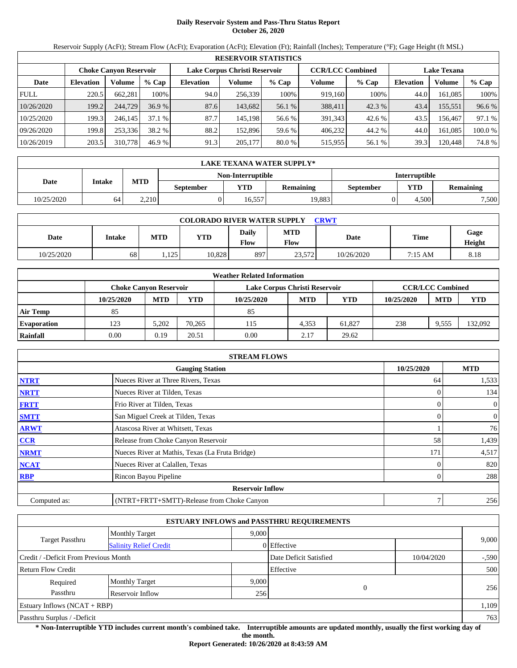## **Daily Reservoir System and Pass-Thru Status Report October 26, 2020**

Reservoir Supply (AcFt); Stream Flow (AcFt); Evaporation (AcFt); Elevation (Ft); Rainfall (Inches); Temperature (°F); Gage Height (ft MSL)

|             | <b>RESERVOIR STATISTICS</b> |                               |         |                               |         |         |                         |         |                    |         |         |  |
|-------------|-----------------------------|-------------------------------|---------|-------------------------------|---------|---------|-------------------------|---------|--------------------|---------|---------|--|
|             |                             | <b>Choke Canvon Reservoir</b> |         | Lake Corpus Christi Reservoir |         |         | <b>CCR/LCC Combined</b> |         | <b>Lake Texana</b> |         |         |  |
| Date        | <b>Elevation</b>            | Volume                        | $%$ Cap | <b>Elevation</b>              | Volume  | $%$ Cap | Volume                  | $%$ Cap | <b>Elevation</b>   | Volume  | % Cap   |  |
| <b>FULL</b> | 220.5                       | 662.281                       | 100%    | 94.0                          | 256,339 | 100%    | 919,160                 | 100%    | 44.0               | 161.085 | 100%    |  |
| 10/26/2020  | 199.2                       | 244,729                       | 36.9%   | 87.6                          | 143,682 | 56.1 %  | 388,411                 | 42.3%   | 43.4               | 155,551 | 96.6 %  |  |
| 10/25/2020  | 199.3                       | 246.145                       | 37.1%   | 87.7                          | 145.198 | 56.6 %  | 391.343                 | 42.6 %  | 43.5               | 156.467 | 97.1 %  |  |
| 09/26/2020  | 199.8                       | 253.336                       | 38.2 %  | 88.2                          | 152.896 | 59.6 %  | 406.232                 | 44.2 %  | 44.0               | 161.085 | 100.0 % |  |
| 10/26/2019  | 203.5                       | 310,778                       | 46.9 %  | 91.3                          | 205,177 | 80.0 %  | 515,955                 | 56.1 %  | 39.3               | 120,448 | 74.8%   |  |

|            | LAKE TEXANA WATER SUPPLY* |            |                  |                   |                  |                      |            |                  |  |  |
|------------|---------------------------|------------|------------------|-------------------|------------------|----------------------|------------|------------------|--|--|
|            |                           |            |                  | Non-Interruptible |                  | <b>Interruptible</b> |            |                  |  |  |
| Date       | Intake                    | <b>MTD</b> | <b>September</b> | <b>YTD</b>        | <b>Remaining</b> | September            | <b>YTD</b> | <b>Remaining</b> |  |  |
| 10/25/2020 | 64                        | 2.210      |                  | 16.557            | 19.883           |                      | 4.500      | 7,500            |  |  |

| <b>COLORADO RIVER WATER SUPPLY</b><br><b>CRWT</b> |        |      |        |                      |                    |            |         |                |  |
|---------------------------------------------------|--------|------|--------|----------------------|--------------------|------------|---------|----------------|--|
| Date                                              | Intake | MTD  | YTD    | <b>Daily</b><br>Flow | <b>MTD</b><br>Flow | Date       | Time    | Gage<br>Height |  |
| 10/25/2020                                        | 68     | .125 | 10.828 | 897                  | 23.572             | 10/26/2020 | 7:15 AM | 8.18           |  |

|                    |                        |            |        | <b>Weather Related Information</b> |            |        |            |                         |            |
|--------------------|------------------------|------------|--------|------------------------------------|------------|--------|------------|-------------------------|------------|
|                    | Choke Canvon Reservoir |            |        | Lake Corpus Christi Reservoir      |            |        |            | <b>CCR/LCC Combined</b> |            |
|                    | 10/25/2020             | <b>MTD</b> | YTD    | 10/25/2020                         | <b>MTD</b> | YTD    | 10/25/2020 | <b>MTD</b>              | <b>YTD</b> |
| <b>Air Temp</b>    | 85                     |            |        | 85                                 |            |        |            |                         |            |
| <b>Evaporation</b> | 123                    | 5.202      | 70.265 | 115                                | 4,353      | 61.827 | 238        | 9,555                   | 132,092    |
| Rainfall           | 0.00                   | 0.19       | 20.51  | 0.00                               | 2.17       | 29.62  |            |                         |            |

|              | <b>STREAM FLOWS</b>                             |            |                |
|--------------|-------------------------------------------------|------------|----------------|
|              | <b>Gauging Station</b>                          | 10/25/2020 | <b>MTD</b>     |
| <b>NTRT</b>  | Nueces River at Three Rivers, Texas             | 64         | 1,533          |
| <b>NRTT</b>  | Nueces River at Tilden, Texas                   |            | 134            |
| <b>FRTT</b>  | Frio River at Tilden, Texas                     | 0          | $\overline{0}$ |
| <b>SMTT</b>  | San Miguel Creek at Tilden, Texas               | 0          | $\overline{0}$ |
| <b>ARWT</b>  | Atascosa River at Whitsett, Texas               |            | 76             |
| <b>CCR</b>   | Release from Choke Canyon Reservoir             | 58         | 1,439          |
| <b>NRMT</b>  | Nueces River at Mathis, Texas (La Fruta Bridge) | 171        | 4,517          |
| <b>NCAT</b>  | Nueces River at Calallen, Texas                 |            | 820            |
| <b>RBP</b>   | Rincon Bayou Pipeline                           |            | 288            |
|              | <b>Reservoir Inflow</b>                         |            |                |
| Computed as: | (NTRT+FRTT+SMTT)-Release from Choke Canyon      |            | 256            |

|                                                  |                       |       | <b>ESTUARY INFLOWS and PASSTHRU REQUIREMENTS</b> |            |         |  |
|--------------------------------------------------|-----------------------|-------|--------------------------------------------------|------------|---------|--|
|                                                  | <b>Monthly Target</b> | 9.000 |                                                  |            |         |  |
| Target Passthru<br><b>Salinity Relief Credit</b> |                       |       | 0 Effective                                      |            | 9,000   |  |
| Credit / -Deficit From Previous Month            |                       |       | Date Deficit Satisfied                           | 10/04/2020 | $-.590$ |  |
| Return Flow Credit                               |                       |       | Effective                                        |            | 500     |  |
| Required                                         | <b>Monthly Target</b> | 9,000 |                                                  |            |         |  |
| Passthru                                         | Reservoir Inflow      | 256   | $\mathbf{0}$                                     |            | 256     |  |
| Estuary Inflows $(NCAT + RBP)$                   |                       |       |                                                  |            | 1,109   |  |
| Passthru Surplus / -Deficit                      |                       |       |                                                  |            | 763     |  |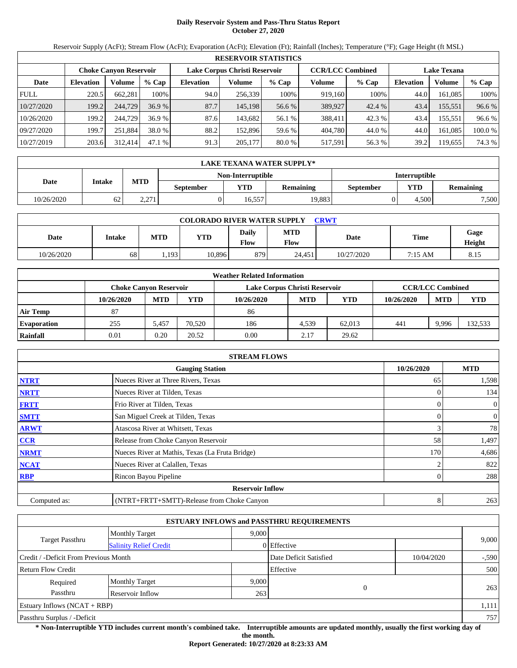# **Daily Reservoir System and Pass-Thru Status Report October 27, 2020**

Reservoir Supply (AcFt); Stream Flow (AcFt); Evaporation (AcFt); Elevation (Ft); Rainfall (Inches); Temperature (°F); Gage Height (ft MSL)

|             | <b>RESERVOIR STATISTICS</b> |                               |         |                               |         |         |                         |         |                    |         |         |  |
|-------------|-----------------------------|-------------------------------|---------|-------------------------------|---------|---------|-------------------------|---------|--------------------|---------|---------|--|
|             |                             | <b>Choke Canvon Reservoir</b> |         | Lake Corpus Christi Reservoir |         |         | <b>CCR/LCC Combined</b> |         | <b>Lake Texana</b> |         |         |  |
| Date        | <b>Elevation</b>            | Volume                        | $%$ Cap | <b>Elevation</b>              | Volume  | $%$ Cap | Volume                  | $%$ Cap | <b>Elevation</b>   | Volume  | % Cap   |  |
| <b>FULL</b> | 220.5                       | 662.281                       | 100%    | 94.0                          | 256,339 | 100%    | 919,160                 | 100%    | 44.0               | 161.085 | 100%    |  |
| 10/27/2020  | 199.2                       | 244,729                       | 36.9%   | 87.7                          | 145,198 | 56.6 %  | 389,927                 | 42.4%   | 43.4               | 155,551 | 96.6 %  |  |
| 10/26/2020  | 199.2                       | 244,729                       | 36.9%   | 87.6                          | 143.682 | 56.1 %  | 388.411                 | 42.3 %  | 43.4               | 155.551 | 96.6 %  |  |
| 09/27/2020  | 199.7                       | 251.884                       | 38.0 %  | 88.2                          | 152.896 | 59.6 %  | 404,780                 | 44.0 %  | 44.0               | 161.085 | 100.0 % |  |
| 10/27/2019  | 203.6                       | 312,414                       | 47.1 %  | 91.3                          | 205,177 | 80.0 %  | 517,591                 | 56.3 %  | 39.2               | 119.655 | 74.3 %  |  |

|            | LAKE TEXANA WATER SUPPLY* |                |                   |                      |                  |           |            |                  |  |  |
|------------|---------------------------|----------------|-------------------|----------------------|------------------|-----------|------------|------------------|--|--|
|            |                           |                | Non-Interruptible | <b>Interruptible</b> |                  |           |            |                  |  |  |
| Date       | Intake                    | <b>MTD</b>     | <b>September</b>  | <b>YTD</b>           | <b>Remaining</b> | September | <b>YTD</b> | <b>Remaining</b> |  |  |
| 10/26/2020 | 62                        | າ າາາ<br>2.211 |                   | 16.557               | 19.883           |           | 4.500      | 7,500            |  |  |

| <b>COLORADO RIVER WATER SUPPLY</b><br><b>CRWT</b> |        |            |        |                      |                           |            |         |                |  |  |
|---------------------------------------------------|--------|------------|--------|----------------------|---------------------------|------------|---------|----------------|--|--|
| Date                                              | Intake | <b>MTD</b> | YTD    | <b>Daily</b><br>Flow | <b>MTD</b><br><b>Flow</b> | Date       | Time    | Gage<br>Height |  |  |
| 10/26/2020                                        | 68     | .193       | 10.896 | 879                  | 24.451                    | 10/27/2020 | 7:15 AM | 8.15           |  |  |

|                    | <b>Weather Related Information</b> |            |        |                               |            |        |            |                         |            |  |  |  |
|--------------------|------------------------------------|------------|--------|-------------------------------|------------|--------|------------|-------------------------|------------|--|--|--|
|                    | Choke Canvon Reservoir             |            |        | Lake Corpus Christi Reservoir |            |        |            | <b>CCR/LCC Combined</b> |            |  |  |  |
|                    | 10/26/2020                         | <b>MTD</b> | YTD    | 10/26/2020                    | <b>MTD</b> | YTD    | 10/26/2020 | <b>MTD</b>              | <b>YTD</b> |  |  |  |
| <b>Air Temp</b>    | 87                                 |            |        | 86                            |            |        |            |                         |            |  |  |  |
| <b>Evaporation</b> | 255                                | 5.457      | 70.520 | 186                           | 4.539      | 62,013 | 441        | 9,996                   | 132,533    |  |  |  |
| Rainfall           | 0.01                               | 0.20       | 20.52  | 0.00                          | 2.17       | 29.62  |            |                         |            |  |  |  |

|              | <b>STREAM FLOWS</b>                             |            |                |
|--------------|-------------------------------------------------|------------|----------------|
|              | <b>Gauging Station</b>                          | 10/26/2020 | <b>MTD</b>     |
| <b>NTRT</b>  | Nueces River at Three Rivers, Texas             | 65         | 1,598          |
| <b>NRTT</b>  | Nueces River at Tilden, Texas                   |            | 134            |
| <b>FRTT</b>  | Frio River at Tilden, Texas                     |            | $\overline{0}$ |
| <b>SMTT</b>  | San Miguel Creek at Tilden, Texas               | 0          | $\overline{0}$ |
| <b>ARWT</b>  | Atascosa River at Whitsett, Texas               | 3          | 78             |
| CCR          | Release from Choke Canyon Reservoir             | 58         | 1,497          |
| <b>NRMT</b>  | Nueces River at Mathis, Texas (La Fruta Bridge) | 170        | 4,686          |
| <b>NCAT</b>  | Nueces River at Calallen, Texas                 |            | 822            |
| <b>RBP</b>   | Rincon Bayou Pipeline                           | 0          | 288            |
|              | <b>Reservoir Inflow</b>                         |            |                |
| Computed as: | (NTRT+FRTT+SMTT)-Release from Choke Canyon      | 8          | 263            |

|                                                  |                       |       | <b>ESTUARY INFLOWS and PASSTHRU REQUIREMENTS</b> |            |         |  |
|--------------------------------------------------|-----------------------|-------|--------------------------------------------------|------------|---------|--|
|                                                  | <b>Monthly Target</b> | 9.000 |                                                  |            |         |  |
| Target Passthru<br><b>Salinity Relief Credit</b> |                       |       | 0 Effective                                      |            | 9,000   |  |
| Credit / -Deficit From Previous Month            |                       |       | Date Deficit Satisfied                           | 10/04/2020 | $-.590$ |  |
| <b>Return Flow Credit</b>                        |                       |       | Effective                                        |            | 500     |  |
| Required                                         | <b>Monthly Target</b> | 9,000 | 0                                                |            |         |  |
| Passthru                                         | Reservoir Inflow      |       |                                                  |            | 263     |  |
| Estuary Inflows $(NCAT + RBP)$                   |                       |       |                                                  |            | 1,111   |  |
| Passthru Surplus / -Deficit                      |                       |       |                                                  |            | 757     |  |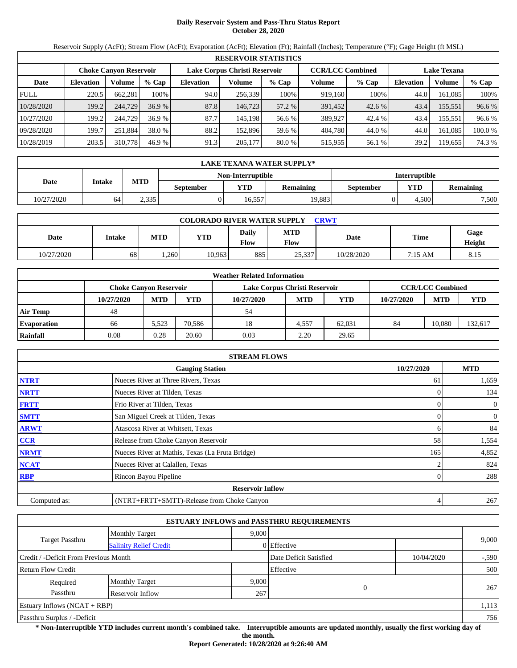## **Daily Reservoir System and Pass-Thru Status Report October 28, 2020**

Reservoir Supply (AcFt); Stream Flow (AcFt); Evaporation (AcFt); Elevation (Ft); Rainfall (Inches); Temperature (°F); Gage Height (ft MSL)

|             | <b>RESERVOIR STATISTICS</b> |                               |         |                  |                               |         |                         |         |                    |         |        |  |
|-------------|-----------------------------|-------------------------------|---------|------------------|-------------------------------|---------|-------------------------|---------|--------------------|---------|--------|--|
|             |                             | <b>Choke Canvon Reservoir</b> |         |                  | Lake Corpus Christi Reservoir |         | <b>CCR/LCC Combined</b> |         | <b>Lake Texana</b> |         |        |  |
| Date        | <b>Elevation</b>            | Volume                        | $%$ Cap | <b>Elevation</b> | Volume                        | $%$ Cap | Volume                  | $%$ Cap | <b>Elevation</b>   | Volume  | % Cap  |  |
| <b>FULL</b> | 220.5                       | 662.281                       | 100%    | 94.0             | 256.339                       | 100%    | 919.160                 | 100%    | 44.0               | 161.085 | 100%   |  |
| 10/28/2020  | 199.2                       | 244,729                       | 36.9 %  | 87.8             | 146.723                       | 57.2 %  | 391,452                 | 42.6 %  | 43.4               | 155,551 | 96.6 % |  |
| 10/27/2020  | 199.2                       | 244,729                       | 36.9 %  | 87.7             | 145.198                       | 56.6 %  | 389,927                 | 42.4 %  | 43.4               | 155.551 | 96.6 % |  |
| 09/28/2020  | 199.7                       | 251.884                       | 38.0 %  | 88.2             | 152,896                       | 59.6 %  | 404,780                 | 44.0 %  | 44.0               | 161.085 | 100.0% |  |
| 10/28/2019  | 203.5                       | 310,778                       | 46.9 %  | 91.3             | 205,177                       | 80.0 %  | 515,955                 | 56.1 %  | 39.2               | 119,655 | 74.3 % |  |

|            | LAKE TEXANA WATER SUPPLY* |            |                  |                   |                  |                      |            |                  |  |  |  |
|------------|---------------------------|------------|------------------|-------------------|------------------|----------------------|------------|------------------|--|--|--|
|            |                           |            |                  | Non-Interruptible |                  | <b>Interruptible</b> |            |                  |  |  |  |
| Date       | Intake                    | <b>MTD</b> | <b>September</b> | YTD               | <b>Remaining</b> | September            | <b>YTD</b> | <b>Remaining</b> |  |  |  |
| 10/27/2020 | 64                        | 2.335      |                  | 16.557            | 19.883           |                      | 4.500      | 7,500            |  |  |  |

| <b>COLORADO RIVER WATER SUPPLY</b><br>CRWT |        |            |            |                      |                    |            |         |                |  |  |
|--------------------------------------------|--------|------------|------------|----------------------|--------------------|------------|---------|----------------|--|--|
| Date                                       | Intake | <b>MTD</b> | <b>YTD</b> | <b>Daily</b><br>Flow | <b>MTD</b><br>Flow | Date       | Time    | Gage<br>Height |  |  |
| 10/27/2020                                 | 68     | ,260       | 10.963     | 885                  | 25,337             | 10/28/2020 | 7:15 AM | 8.15           |  |  |

|                    | <b>Weather Related Information</b> |            |        |                               |            |            |            |                         |            |  |  |
|--------------------|------------------------------------|------------|--------|-------------------------------|------------|------------|------------|-------------------------|------------|--|--|
|                    | <b>Choke Canyon Reservoir</b>      |            |        | Lake Corpus Christi Reservoir |            |            |            | <b>CCR/LCC Combined</b> |            |  |  |
|                    | 10/27/2020                         | <b>MTD</b> | YTD    | 10/27/2020                    | <b>MTD</b> | <b>YTD</b> | 10/27/2020 | <b>MTD</b>              | <b>YTD</b> |  |  |
| <b>Air Temp</b>    | 48                                 |            |        | 54                            |            |            |            |                         |            |  |  |
| <b>Evaporation</b> | 66                                 | 5.523      | 70.586 | 18                            | 4.557      | 62.031     | 84         | 10.080                  | 132,617    |  |  |
| Rainfall           | 0.08                               | 0.28       | 20.60  | 0.03                          | 2.20       | 29.65      |            |                         |            |  |  |

|              | <b>STREAM FLOWS</b>                             |            |                  |
|--------------|-------------------------------------------------|------------|------------------|
|              | <b>Gauging Station</b>                          | 10/27/2020 | <b>MTD</b>       |
| <b>NTRT</b>  | Nueces River at Three Rivers, Texas             | -61        | 1,659            |
| <b>NRTT</b>  | Nueces River at Tilden, Texas                   |            | 134              |
| <b>FRTT</b>  | Frio River at Tilden, Texas                     | 0          | $\mathbf{0}$     |
| <b>SMTT</b>  | San Miguel Creek at Tilden, Texas               | 0          | $\boldsymbol{0}$ |
| <b>ARWT</b>  | Atascosa River at Whitsett, Texas               | h.         | 84               |
| <b>CCR</b>   | Release from Choke Canyon Reservoir             | 58         | 1,554            |
| <b>NRMT</b>  | Nueces River at Mathis, Texas (La Fruta Bridge) | 165        | 4,852            |
| <b>NCAT</b>  | Nueces River at Calallen, Texas                 |            | 824              |
| <b>RBP</b>   | Rincon Bayou Pipeline                           |            | 288              |
|              | <b>Reservoir Inflow</b>                         |            |                  |
| Computed as: | (NTRT+FRTT+SMTT)-Release from Choke Canyon      | 4          | 267              |

|                                                         |                       |       | <b>ESTUARY INFLOWS and PASSTHRU REQUIREMENTS</b> |            |         |  |
|---------------------------------------------------------|-----------------------|-------|--------------------------------------------------|------------|---------|--|
|                                                         | <b>Monthly Target</b> | 9.000 |                                                  |            |         |  |
| <b>Target Passthru</b><br><b>Salinity Relief Credit</b> |                       |       | 0 Effective                                      |            | 9,000   |  |
| Credit / -Deficit From Previous Month                   |                       |       | Date Deficit Satisfied                           | 10/04/2020 | $-.590$ |  |
| <b>Return Flow Credit</b>                               |                       |       | Effective                                        |            | 500     |  |
| Required                                                | <b>Monthly Target</b> | 9,000 |                                                  |            | 267     |  |
| Passthru                                                | Reservoir Inflow      | 267   | $\Omega$                                         |            |         |  |
| Estuary Inflows $(NCAT + RBP)$                          |                       |       |                                                  |            | 1,113   |  |
| Passthru Surplus / -Deficit                             |                       |       |                                                  |            | 756     |  |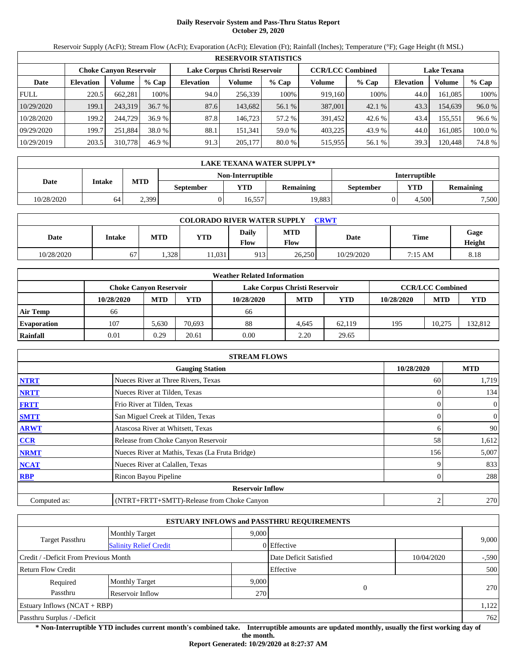## **Daily Reservoir System and Pass-Thru Status Report October 29, 2020**

Reservoir Supply (AcFt); Stream Flow (AcFt); Evaporation (AcFt); Elevation (Ft); Rainfall (Inches); Temperature (°F); Gage Height (ft MSL)

|             | <b>RESERVOIR STATISTICS</b> |                               |         |                               |         |         |                         |         |                    |         |         |  |
|-------------|-----------------------------|-------------------------------|---------|-------------------------------|---------|---------|-------------------------|---------|--------------------|---------|---------|--|
|             |                             | <b>Choke Canvon Reservoir</b> |         | Lake Corpus Christi Reservoir |         |         | <b>CCR/LCC Combined</b> |         | <b>Lake Texana</b> |         |         |  |
| Date        | <b>Elevation</b>            | Volume                        | $%$ Cap | <b>Elevation</b>              | Volume  | $%$ Cap | Volume                  | $%$ Cap | <b>Elevation</b>   | Volume  | % Cap   |  |
| <b>FULL</b> | 220.5                       | 662.281                       | 100%    | 94.0                          | 256,339 | 100%    | 919,160                 | 100%    | 44.0               | 161.085 | 100%    |  |
| 10/29/2020  | 199.1                       | 243,319                       | 36.7%   | 87.6                          | 143,682 | 56.1 %  | 387,001                 | 42.1%   | 43.3               | 154.639 | 96.0%   |  |
| 10/28/2020  | 199.2                       | 244,729                       | 36.9%   | 87.8                          | 146.723 | 57.2 %  | 391.452                 | 42.6 %  | 43.4               | 155.551 | 96.6 %  |  |
| 09/29/2020  | 199.7                       | 251.884                       | 38.0 %  | 88.1                          | 151.341 | 59.0 %  | 403.225                 | 43.9 %  | 44.0               | 161.085 | 100.0 % |  |
| 10/29/2019  | 203.5                       | 310,778                       | 46.9 %  | 91.3                          | 205,177 | 80.0 %  | 515,955                 | 56.1 %  | 39.3               | 120,448 | 74.8%   |  |

|            | LAKE TEXANA WATER SUPPLY* |            |                  |                   |                  |                      |       |                  |  |  |
|------------|---------------------------|------------|------------------|-------------------|------------------|----------------------|-------|------------------|--|--|
|            |                           |            |                  | Non-Interruptible |                  | <b>Interruptible</b> |       |                  |  |  |
| Date       | Intake                    | <b>MTD</b> | <b>September</b> | YTD               | <b>Remaining</b> | September            | YTD   | <b>Remaining</b> |  |  |
| 10/28/2020 | 64                        | 2,399      |                  | 16.557            | 19.883           |                      | 4.500 | 7,500            |  |  |

| <b>COLORADO RIVER WATER SUPPLY</b><br>CRWT |        |      |            |                      |                    |            |         |                |  |  |
|--------------------------------------------|--------|------|------------|----------------------|--------------------|------------|---------|----------------|--|--|
| Date                                       | Intake | MTD  | <b>YTD</b> | <b>Daily</b><br>Flow | <b>MTD</b><br>Flow | Date       | Time    | Gage<br>Height |  |  |
| 10/28/2020                                 | 67     | .328 | 1,031      | 913                  | 26,250             | 10/29/2020 | 7:15 AM | 8.18           |  |  |

|                    |                               |            |        | <b>Weather Related Information</b> |            |            |            |                         |        |
|--------------------|-------------------------------|------------|--------|------------------------------------|------------|------------|------------|-------------------------|--------|
|                    | <b>Choke Canyon Reservoir</b> |            |        | Lake Corpus Christi Reservoir      |            |            |            | <b>CCR/LCC Combined</b> |        |
|                    | 10/28/2020                    | <b>MTD</b> | YTD    | 10/28/2020                         | <b>MTD</b> | <b>YTD</b> | 10/28/2020 | <b>MTD</b>              | YTD    |
| <b>Air Temp</b>    | 66                            |            |        | 66                                 |            |            |            |                         |        |
| <b>Evaporation</b> | 107                           | 5.630      | 70.693 | 88                                 | 4.645      | 62,119     | 195        | 10.275                  | 32.812 |
| Rainfall           | 0.01                          | 0.29       | 20.61  | 0.00                               | 2.20       | 29.65      |            |                         |        |

|              | <b>STREAM FLOWS</b>                             |            |                  |
|--------------|-------------------------------------------------|------------|------------------|
|              | <b>Gauging Station</b>                          | 10/28/2020 | <b>MTD</b>       |
| <b>NTRT</b>  | Nueces River at Three Rivers, Texas             | 60         | 1,719            |
| <b>NRTT</b>  | Nueces River at Tilden, Texas                   |            | 134              |
| <b>FRTT</b>  | Frio River at Tilden, Texas                     | 0          | $\mathbf{0}$     |
| <b>SMTT</b>  | San Miguel Creek at Tilden, Texas               | 0          | $\boldsymbol{0}$ |
| <b>ARWT</b>  | Atascosa River at Whitsett, Texas               | h.         | 90               |
| <b>CCR</b>   | Release from Choke Canyon Reservoir             | 58         | 1,612            |
| <b>NRMT</b>  | Nueces River at Mathis, Texas (La Fruta Bridge) | 156        | 5,007            |
| <b>NCAT</b>  | Nueces River at Calallen, Texas                 |            | 833              |
| <b>RBP</b>   | Rincon Bayou Pipeline                           |            | 288              |
|              | <b>Reservoir Inflow</b>                         |            |                  |
| Computed as: | (NTRT+FRTT+SMTT)-Release from Choke Canyon      | ∠          | 270              |

|                                                  |                       |                  | <b>ESTUARY INFLOWS and PASSTHRU REQUIREMENTS</b> |            |         |
|--------------------------------------------------|-----------------------|------------------|--------------------------------------------------|------------|---------|
|                                                  | <b>Monthly Target</b> | 9.000            |                                                  |            |         |
| Target Passthru<br><b>Salinity Relief Credit</b> |                       |                  | 0 Effective                                      |            | 9,000   |
| Credit / -Deficit From Previous Month            |                       |                  | Date Deficit Satisfied                           | 10/04/2020 | $-.590$ |
| <b>Return Flow Credit</b>                        |                       |                  | Effective                                        |            | 500     |
| Required                                         | <b>Monthly Target</b> | 9,000            |                                                  |            |         |
| Passthru                                         | Reservoir Inflow      | 270 <sup> </sup> | 0                                                |            | 270     |
| Estuary Inflows $(NCAT + RBP)$                   |                       |                  |                                                  |            | 1,122   |
| Passthru Surplus / -Deficit                      |                       |                  |                                                  |            | 762     |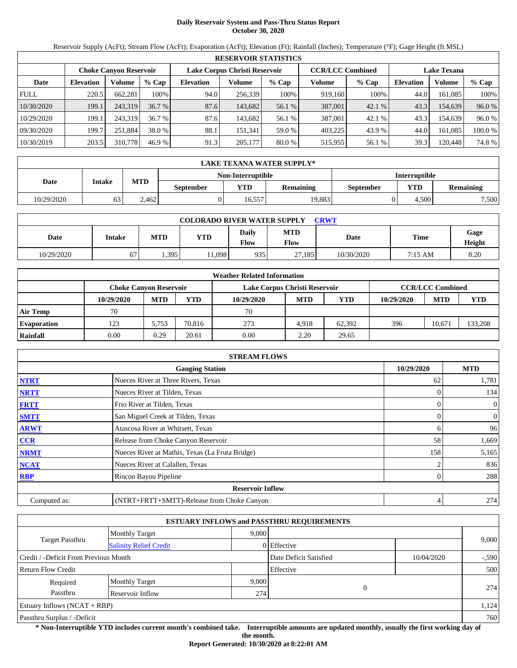## **Daily Reservoir System and Pass-Thru Status Report October 30, 2020**

Reservoir Supply (AcFt); Stream Flow (AcFt); Evaporation (AcFt); Elevation (Ft); Rainfall (Inches); Temperature (°F); Gage Height (ft MSL)

|             | <b>RESERVOIR STATISTICS</b> |                               |         |                               |         |         |                         |         |                    |         |         |
|-------------|-----------------------------|-------------------------------|---------|-------------------------------|---------|---------|-------------------------|---------|--------------------|---------|---------|
|             |                             | <b>Choke Canvon Reservoir</b> |         | Lake Corpus Christi Reservoir |         |         | <b>CCR/LCC Combined</b> |         | <b>Lake Texana</b> |         |         |
| Date        | <b>Elevation</b>            | Volume                        | $%$ Cap | <b>Elevation</b>              | Volume  | $%$ Cap | Volume                  | $%$ Cap | <b>Elevation</b>   | Volume  | % Cap   |
| <b>FULL</b> | 220.5                       | 662.281                       | 100%    | 94.0                          | 256,339 | 100%    | 919.160                 | 100%    | 44.0               | 161.085 | 100%    |
| 10/30/2020  | 199.1                       | 243,319                       | 36.7%   | 87.6                          | 143.682 | 56.1 %  | 387,001                 | 42.1 %  | 43.3               | 154,639 | 96.0%   |
| 10/29/2020  | 199.1                       | 243,319                       | 36.7%   | 87.6                          | 143.682 | 56.1 %  | 387,001                 | 42.1 %  | 43.3               | 154.639 | 96.0%   |
| 09/30/2020  | 199.7                       | 251.884                       | 38.0 %  | 88.1                          | 151.341 | 59.0 %  | 403.225                 | 43.9 %  | 44.0               | 161.085 | 100.0 % |
| 10/30/2019  | 203.5                       | 310,778                       | 46.9%   | 91.3                          | 205,177 | 80.0 %  | 515.955                 | 56.1 %  | 39.3               | 120.448 | 74.8%   |

|                   | LAKE TEXANA WATER SUPPLY* |            |           |        |           |                      |       |                  |  |  |  |
|-------------------|---------------------------|------------|-----------|--------|-----------|----------------------|-------|------------------|--|--|--|
| Non-Interruptible |                           |            |           |        |           | <b>Interruptible</b> |       |                  |  |  |  |
| Date              | Intake                    | <b>MTD</b> | September | YTD    | Remaining | September            | YTD   | <b>Remaining</b> |  |  |  |
| 10/29/2020        | 63                        | 2.462      |           | 16.557 | 19.883    |                      | 4.500 | 7,500            |  |  |  |

| <b>COLORADO RIVER WATER SUPPLY</b><br>CRWT |        |            |            |                      |                           |            |             |                |  |  |
|--------------------------------------------|--------|------------|------------|----------------------|---------------------------|------------|-------------|----------------|--|--|
| Date                                       | Intake | <b>MTD</b> | <b>YTD</b> | <b>Daily</b><br>Flow | <b>MTD</b><br><b>Flow</b> | Date       | <b>Time</b> | Gage<br>Height |  |  |
| 10/29/2020                                 | 67     | 1,395      | 1.098      | 935                  | 27.185                    | 10/30/2020 | 7:15 AM     | 8.20           |  |  |

|                    |                        |            |        | <b>Weather Related Information</b> |            |            |            |                         |         |
|--------------------|------------------------|------------|--------|------------------------------------|------------|------------|------------|-------------------------|---------|
|                    | Choke Canvon Reservoir |            |        | Lake Corpus Christi Reservoir      |            |            |            | <b>CCR/LCC Combined</b> |         |
|                    | 10/29/2020             | <b>MTD</b> | YTD    | 10/29/2020                         | <b>MTD</b> | <b>YTD</b> | 10/29/2020 | <b>MTD</b>              | YTD     |
| <b>Air Temp</b>    | 70                     |            |        | 70                                 |            |            |            |                         |         |
| <b>Evaporation</b> | 123                    | 5.753      | 70,816 | 273                                | 4.918      | 62.392     | 396        | 10.671                  | 133,208 |
| Rainfall           | 0.00                   | 0.29       | 20.61  | 0.00                               | 2.20       | 29.65      |            |                         |         |

|              | <b>STREAM FLOWS</b>                             |            |                  |
|--------------|-------------------------------------------------|------------|------------------|
|              | <b>Gauging Station</b>                          | 10/29/2020 | <b>MTD</b>       |
| <b>NTRT</b>  | Nueces River at Three Rivers, Texas             | 62         | 1,781            |
| <b>NRTT</b>  | Nueces River at Tilden, Texas                   |            | 134              |
| <b>FRTT</b>  | Frio River at Tilden, Texas                     |            | 0                |
| <b>SMTT</b>  | San Miguel Creek at Tilden, Texas               |            | $\boldsymbol{0}$ |
| <b>ARWT</b>  | Atascosa River at Whitsett, Texas               | h.         | 96               |
| CCR          | Release from Choke Canyon Reservoir             | 58         | 1,669            |
| <b>NRMT</b>  | Nueces River at Mathis, Texas (La Fruta Bridge) | 158        | 5,165            |
| <b>NCAT</b>  | Nueces River at Calallen, Texas                 |            | 836              |
| <b>RBP</b>   | Rincon Bayou Pipeline                           |            | 288              |
|              | <b>Reservoir Inflow</b>                         |            |                  |
| Computed as: | (NTRT+FRTT+SMTT)-Release from Choke Canyon      | 4          | 274              |

|                                                  |                       |       | <b>ESTUARY INFLOWS and PASSTHRU REQUIREMENTS</b> |  |         |
|--------------------------------------------------|-----------------------|-------|--------------------------------------------------|--|---------|
|                                                  | <b>Monthly Target</b> | 9.000 |                                                  |  |         |
| Target Passthru<br><b>Salinity Relief Credit</b> |                       |       | 0 Effective                                      |  | 9,000   |
| Credit / -Deficit From Previous Month            |                       |       | Date Deficit Satisfied<br>10/04/2020             |  | $-.590$ |
| <b>Return Flow Credit</b>                        |                       |       | Effective                                        |  | 500     |
| Required                                         | <b>Monthly Target</b> | 9,000 |                                                  |  |         |
| Passthru                                         | Reservoir Inflow      | 274   | 0                                                |  | 274     |
| Estuary Inflows $(NCAT + RBP)$                   |                       |       |                                                  |  | 1,124   |
| Passthru Surplus / -Deficit                      |                       |       |                                                  |  | 760     |